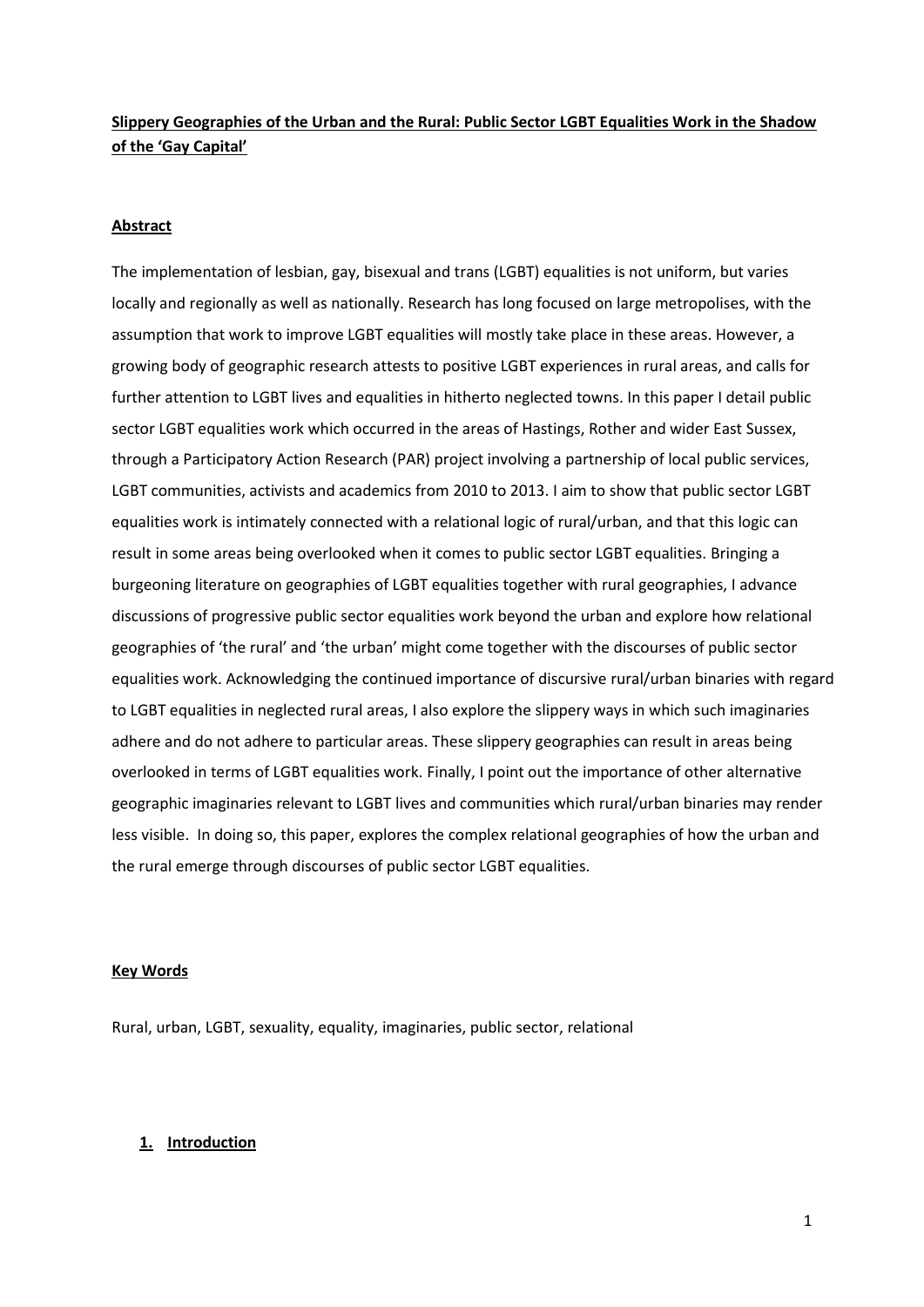## **Slippery Geographies of the Urban and the Rural: Public Sector LGBT Equalities Work in the Shadow of the 'Gay Capital'**

## **Abstract**

The implementation of lesbian, gay, bisexual and trans (LGBT) equalities is not uniform, but varies locally and regionally as well as nationally. Research has long focused on large metropolises, with the assumption that work to improve LGBT equalities will mostly take place in these areas. However, a growing body of geographic research attests to positive LGBT experiences in rural areas, and calls for further attention to LGBT lives and equalities in hitherto neglected towns. In this paper I detail public sector LGBT equalities work which occurred in the areas of Hastings, Rother and wider East Sussex, through a Participatory Action Research (PAR) project involving a partnership of local public services, LGBT communities, activists and academics from 2010 to 2013. I aim to show that public sector LGBT equalities work is intimately connected with a relational logic of rural/urban, and that this logic can result in some areas being overlooked when it comes to public sector LGBT equalities. Bringing a burgeoning literature on geographies of LGBT equalities together with rural geographies, I advance discussions of progressive public sector equalities work beyond the urban and explore how relational geographies of 'the rural' and 'the urban' might come together with the discourses of public sector equalities work. Acknowledging the continued importance of discursive rural/urban binaries with regard to LGBT equalities in neglected rural areas, I also explore the slippery ways in which such imaginaries adhere and do not adhere to particular areas. These slippery geographies can result in areas being overlooked in terms of LGBT equalities work. Finally, I point out the importance of other alternative geographic imaginaries relevant to LGBT lives and communities which rural/urban binaries may render less visible. In doing so, this paper, explores the complex relational geographies of how the urban and the rural emerge through discourses of public sector LGBT equalities.

#### **Key Words**

Rural, urban, LGBT, sexuality, equality, imaginaries, public sector, relational

#### **1. Introduction**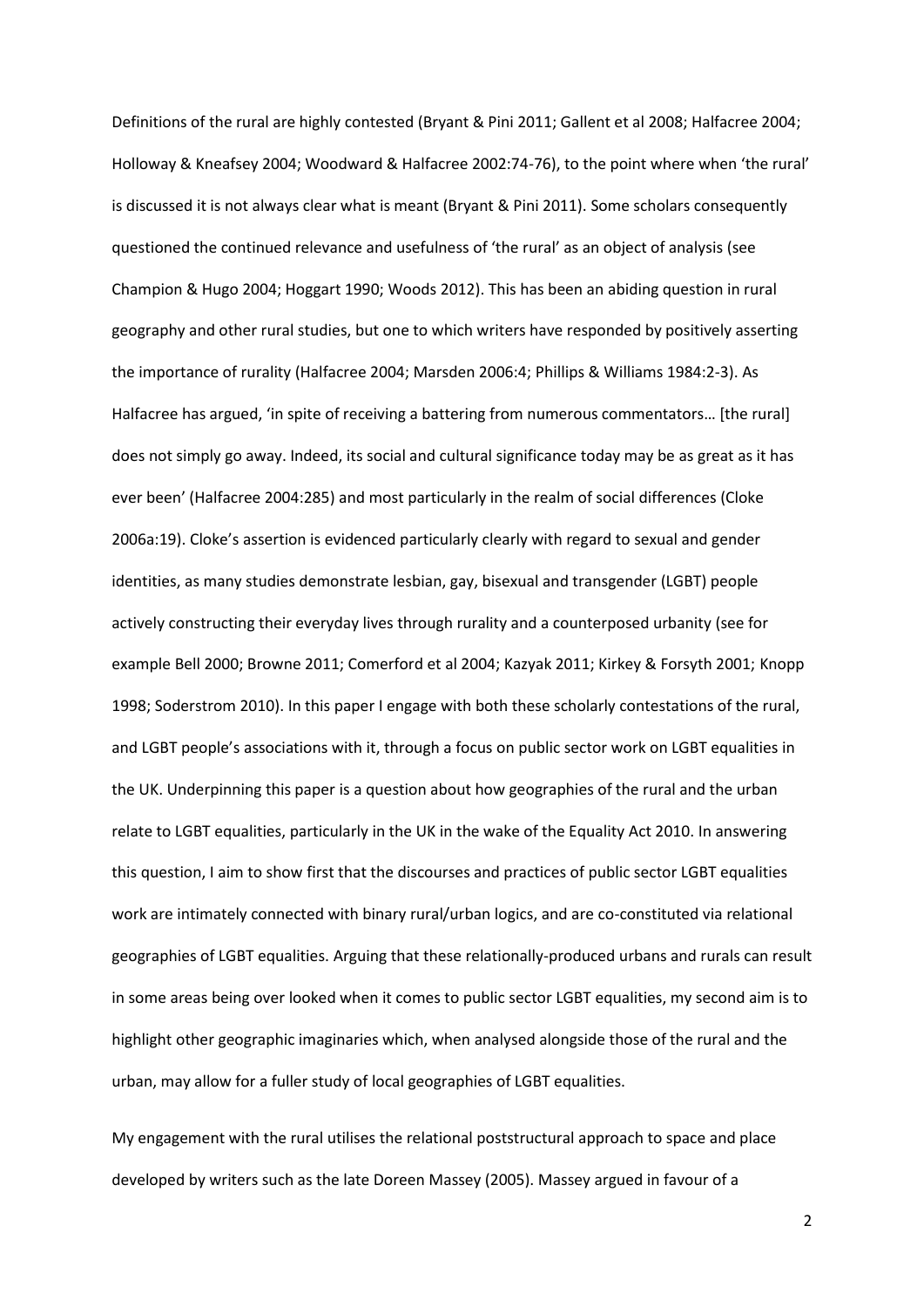Definitions of the rural are highly contested (Bryant & Pini 2011; Gallent et al 2008; Halfacree 2004; Holloway & Kneafsey 2004; Woodward & Halfacree 2002:74-76), to the point where when 'the rural' is discussed it is not always clear what is meant (Bryant & Pini 2011). Some scholars consequently questioned the continued relevance and usefulness of 'the rural' as an object of analysis (see Champion & Hugo 2004; Hoggart 1990; Woods 2012). This has been an abiding question in rural geography and other rural studies, but one to which writers have responded by positively asserting the importance of rurality (Halfacree 2004; Marsden 2006:4; Phillips & Williams 1984:2-3). As Halfacree has argued, 'in spite of receiving a battering from numerous commentators… [the rural] does not simply go away. Indeed, its social and cultural significance today may be as great as it has ever been' (Halfacree 2004:285) and most particularly in the realm of social differences (Cloke 2006a:19). Cloke's assertion is evidenced particularly clearly with regard to sexual and gender identities, as many studies demonstrate lesbian, gay, bisexual and transgender (LGBT) people actively constructing their everyday lives through rurality and a counterposed urbanity (see for example Bell 2000; Browne 2011; Comerford et al 2004; Kazyak 2011; Kirkey & Forsyth 2001; Knopp 1998; Soderstrom 2010). In this paper I engage with both these scholarly contestations of the rural, and LGBT people's associations with it, through a focus on public sector work on LGBT equalities in the UK. Underpinning this paper is a question about how geographies of the rural and the urban relate to LGBT equalities, particularly in the UK in the wake of the Equality Act 2010. In answering this question, I aim to show first that the discourses and practices of public sector LGBT equalities work are intimately connected with binary rural/urban logics, and are co-constituted via relational geographies of LGBT equalities. Arguing that these relationally-produced urbans and rurals can result in some areas being over looked when it comes to public sector LGBT equalities, my second aim is to highlight other geographic imaginaries which, when analysed alongside those of the rural and the urban, may allow for a fuller study of local geographies of LGBT equalities.

My engagement with the rural utilises the relational poststructural approach to space and place developed by writers such as the late Doreen Massey (2005). Massey argued in favour of a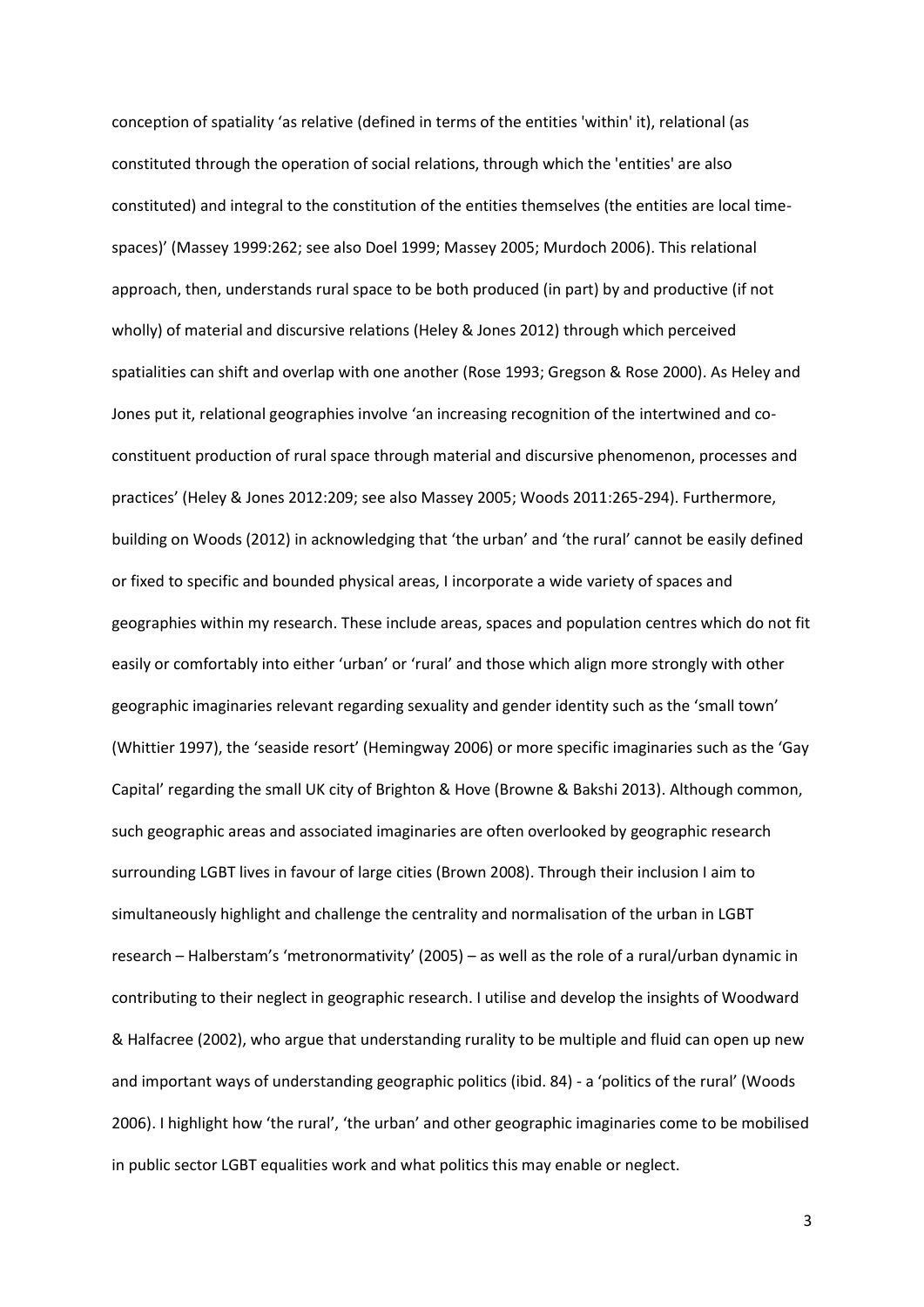conception of spatiality 'as relative (defined in terms of the entities 'within' it), relational (as constituted through the operation of social relations, through which the 'entities' are also constituted) and integral to the constitution of the entities themselves (the entities are local timespaces)' (Massey 1999:262; see also Doel 1999; Massey 2005; Murdoch 2006). This relational approach, then, understands rural space to be both produced (in part) by and productive (if not wholly) of material and discursive relations (Heley & Jones 2012) through which perceived spatialities can shift and overlap with one another (Rose 1993; Gregson & Rose 2000). As Heley and Jones put it, relational geographies involve 'an increasing recognition of the intertwined and coconstituent production of rural space through material and discursive phenomenon, processes and practices' (Heley & Jones 2012:209; see also Massey 2005; Woods 2011:265-294). Furthermore, building on Woods (2012) in acknowledging that 'the urban' and 'the rural' cannot be easily defined or fixed to specific and bounded physical areas, I incorporate a wide variety of spaces and geographies within my research. These include areas, spaces and population centres which do not fit easily or comfortably into either 'urban' or 'rural' and those which align more strongly with other geographic imaginaries relevant regarding sexuality and gender identity such as the 'small town' (Whittier 1997), the 'seaside resort' (Hemingway 2006) or more specific imaginaries such as the 'Gay Capital' regarding the small UK city of Brighton & Hove (Browne & Bakshi 2013). Although common, such geographic areas and associated imaginaries are often overlooked by geographic research surrounding LGBT lives in favour of large cities (Brown 2008). Through their inclusion I aim to simultaneously highlight and challenge the centrality and normalisation of the urban in LGBT research – Halberstam's 'metronormativity' (2005) – as well as the role of a rural/urban dynamic in contributing to their neglect in geographic research. I utilise and develop the insights of Woodward & Halfacree (2002), who argue that understanding rurality to be multiple and fluid can open up new and important ways of understanding geographic politics (ibid. 84) - a 'politics of the rural' (Woods 2006). I highlight how 'the rural', 'the urban' and other geographic imaginaries come to be mobilised in public sector LGBT equalities work and what politics this may enable or neglect.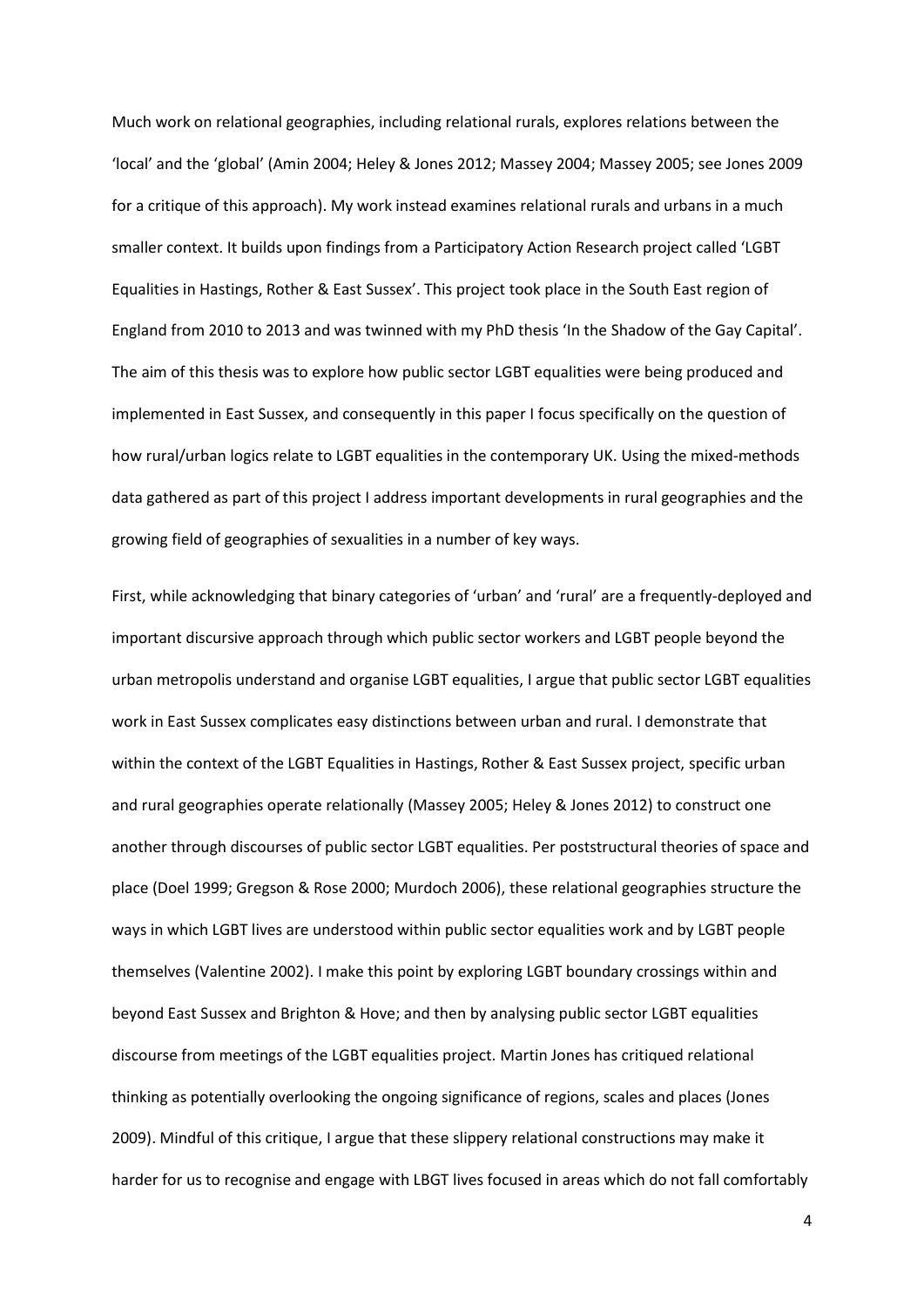Much work on relational geographies, including relational rurals, explores relations between the 'local' and the 'global' (Amin 2004; Heley & Jones 2012; Massey 2004; Massey 2005; see Jones 2009 for a critique of this approach). My work instead examines relational rurals and urbans in a much smaller context. It builds upon findings from a Participatory Action Research project called 'LGBT Equalities in Hastings, Rother & East Sussex'. This project took place in the South East region of England from 2010 to 2013 and was twinned with my PhD thesis 'In the Shadow of the Gay Capital'. The aim of this thesis was to explore how public sector LGBT equalities were being produced and implemented in East Sussex, and consequently in this paper I focus specifically on the question of how rural/urban logics relate to LGBT equalities in the contemporary UK. Using the mixed-methods data gathered as part of this project I address important developments in rural geographies and the growing field of geographies of sexualities in a number of key ways.

First, while acknowledging that binary categories of 'urban' and 'rural' are a frequently-deployed and important discursive approach through which public sector workers and LGBT people beyond the urban metropolis understand and organise LGBT equalities, I argue that public sector LGBT equalities work in East Sussex complicates easy distinctions between urban and rural. I demonstrate that within the context of the LGBT Equalities in Hastings, Rother & East Sussex project, specific urban and rural geographies operate relationally (Massey 2005; Heley & Jones 2012) to construct one another through discourses of public sector LGBT equalities. Per poststructural theories of space and place (Doel 1999; Gregson & Rose 2000; Murdoch 2006), these relational geographies structure the ways in which LGBT lives are understood within public sector equalities work and by LGBT people themselves (Valentine 2002). I make this point by exploring LGBT boundary crossings within and beyond East Sussex and Brighton & Hove; and then by analysing public sector LGBT equalities discourse from meetings of the LGBT equalities project. Martin Jones has critiqued relational thinking as potentially overlooking the ongoing significance of regions, scales and places (Jones 2009). Mindful of this critique, I argue that these slippery relational constructions may make it harder for us to recognise and engage with LBGT lives focused in areas which do not fall comfortably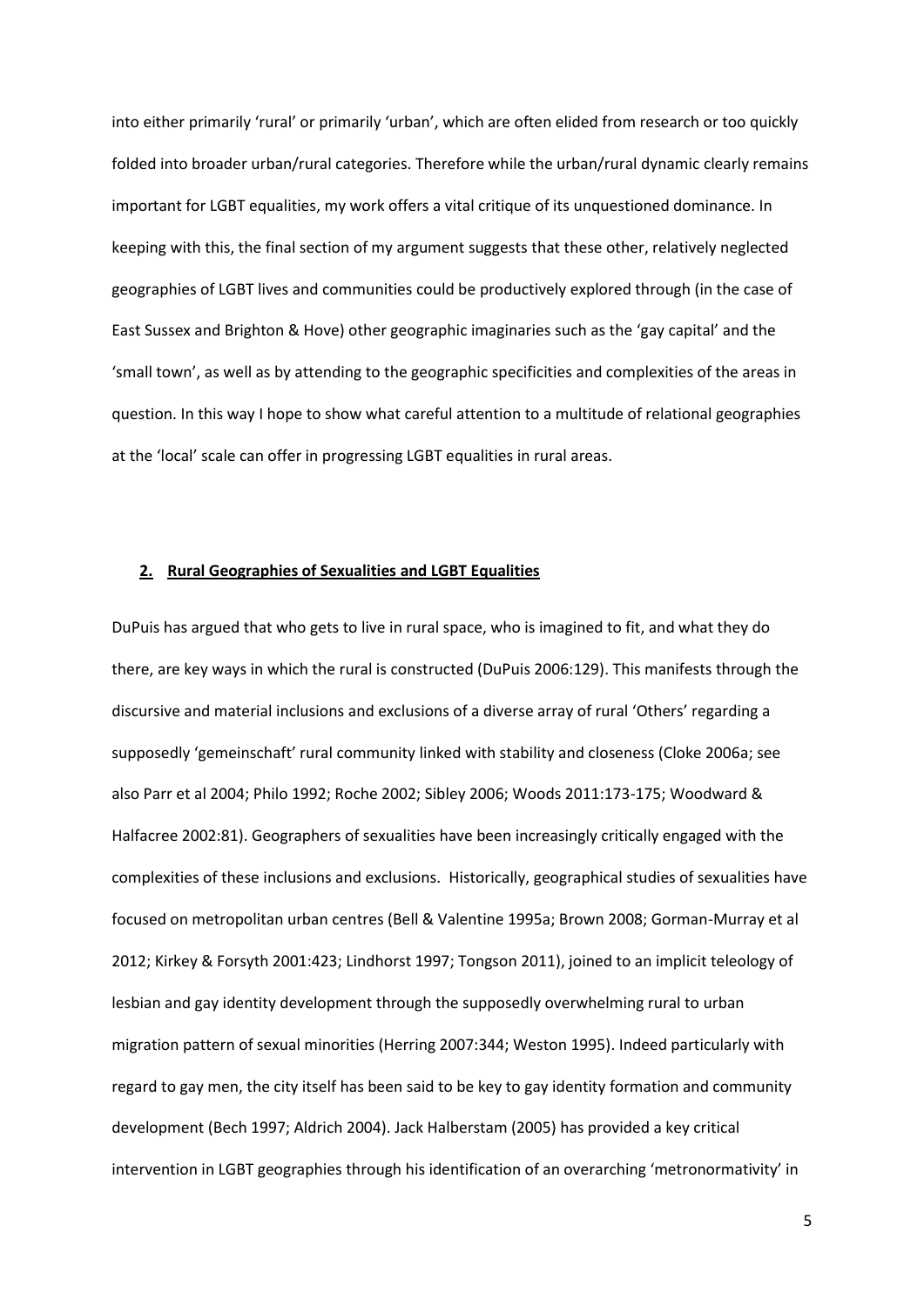into either primarily 'rural' or primarily 'urban', which are often elided from research or too quickly folded into broader urban/rural categories. Therefore while the urban/rural dynamic clearly remains important for LGBT equalities, my work offers a vital critique of its unquestioned dominance. In keeping with this, the final section of my argument suggests that these other, relatively neglected geographies of LGBT lives and communities could be productively explored through (in the case of East Sussex and Brighton & Hove) other geographic imaginaries such as the 'gay capital' and the 'small town', as well as by attending to the geographic specificities and complexities of the areas in question. In this way I hope to show what careful attention to a multitude of relational geographies at the 'local' scale can offer in progressing LGBT equalities in rural areas.

### **2. Rural Geographies of Sexualities and LGBT Equalities**

DuPuis has argued that who gets to live in rural space, who is imagined to fit, and what they do there, are key ways in which the rural is constructed (DuPuis 2006:129). This manifests through the discursive and material inclusions and exclusions of a diverse array of rural 'Others' regarding a supposedly 'gemeinschaft' rural community linked with stability and closeness (Cloke 2006a; see also Parr et al 2004; Philo 1992; Roche 2002; Sibley 2006; Woods 2011:173-175; Woodward & Halfacree 2002:81). Geographers of sexualities have been increasingly critically engaged with the complexities of these inclusions and exclusions. Historically, geographical studies of sexualities have focused on metropolitan urban centres (Bell & Valentine 1995a; Brown 2008; Gorman-Murray et al 2012; Kirkey & Forsyth 2001:423; Lindhorst 1997; Tongson 2011), joined to an implicit teleology of lesbian and gay identity development through the supposedly overwhelming rural to urban migration pattern of sexual minorities (Herring 2007:344; Weston 1995). Indeed particularly with regard to gay men, the city itself has been said to be key to gay identity formation and community development (Bech 1997; Aldrich 2004). Jack Halberstam (2005) has provided a key critical intervention in LGBT geographies through his identification of an overarching 'metronormativity' in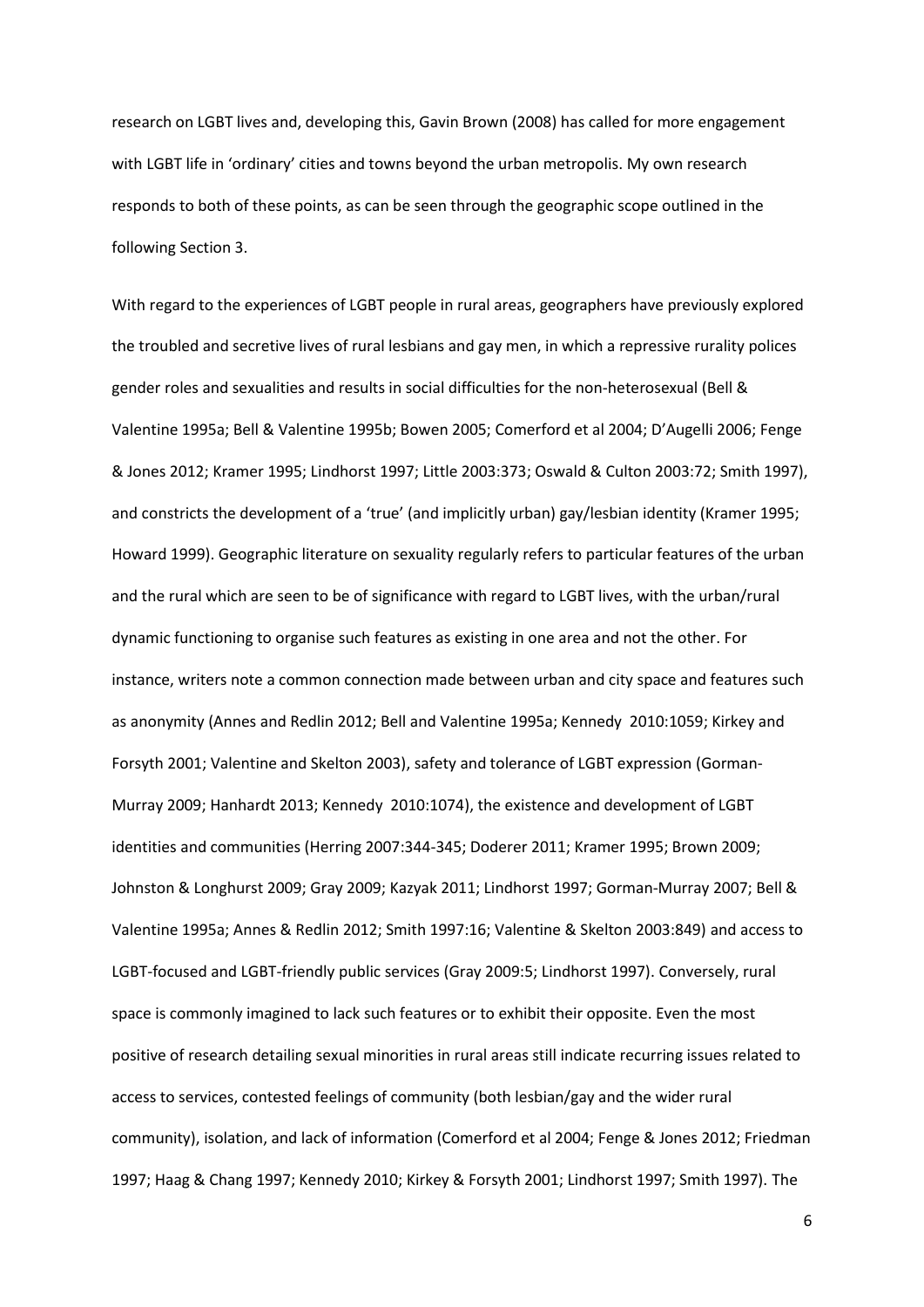research on LGBT lives and, developing this, Gavin Brown (2008) has called for more engagement with LGBT life in 'ordinary' cities and towns beyond the urban metropolis. My own research responds to both of these points, as can be seen through the geographic scope outlined in the following Section 3.

With regard to the experiences of LGBT people in rural areas, geographers have previously explored the troubled and secretive lives of rural lesbians and gay men, in which a repressive rurality polices gender roles and sexualities and results in social difficulties for the non-heterosexual (Bell & Valentine 1995a; Bell & Valentine 1995b; Bowen 2005; Comerford et al 2004; D'Augelli 2006; Fenge & Jones 2012; Kramer 1995; Lindhorst 1997; Little 2003:373; Oswald & Culton 2003:72; Smith 1997), and constricts the development of a 'true' (and implicitly urban) gay/lesbian identity (Kramer 1995; Howard 1999). Geographic literature on sexuality regularly refers to particular features of the urban and the rural which are seen to be of significance with regard to LGBT lives, with the urban/rural dynamic functioning to organise such features as existing in one area and not the other. For instance, writers note a common connection made between urban and city space and features such as anonymity (Annes and Redlin 2012; Bell and Valentine 1995a; Kennedy 2010:1059; Kirkey and Forsyth 2001; Valentine and Skelton 2003), safety and tolerance of LGBT expression (Gorman-Murray 2009; Hanhardt 2013; Kennedy 2010:1074), the existence and development of LGBT identities and communities (Herring 2007:344-345; Doderer 2011; Kramer 1995; Brown 2009; Johnston & Longhurst 2009; Gray 2009; Kazyak 2011; Lindhorst 1997; Gorman-Murray 2007; Bell & Valentine 1995a; Annes & Redlin 2012; Smith 1997:16; Valentine & Skelton 2003:849) and access to LGBT-focused and LGBT-friendly public services (Gray 2009:5; Lindhorst 1997). Conversely, rural space is commonly imagined to lack such features or to exhibit their opposite. Even the most positive of research detailing sexual minorities in rural areas still indicate recurring issues related to access to services, contested feelings of community (both lesbian/gay and the wider rural community), isolation, and lack of information (Comerford et al 2004; Fenge & Jones 2012; Friedman 1997; Haag & Chang 1997; Kennedy 2010; Kirkey & Forsyth 2001; Lindhorst 1997; Smith 1997). The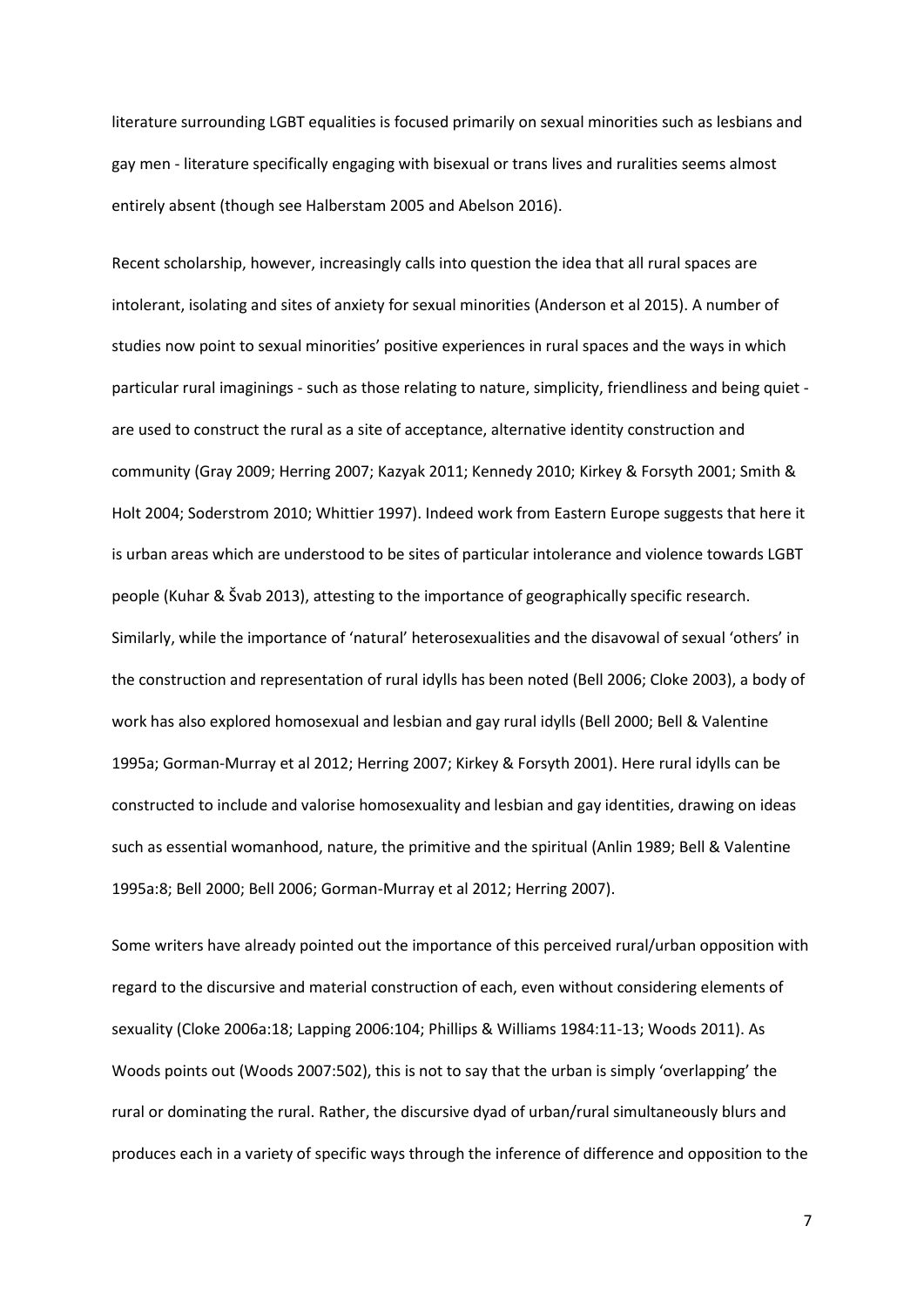literature surrounding LGBT equalities is focused primarily on sexual minorities such as lesbians and gay men - literature specifically engaging with bisexual or trans lives and ruralities seems almost entirely absent (though see Halberstam 2005 and Abelson 2016).

Recent scholarship, however, increasingly calls into question the idea that all rural spaces are intolerant, isolating and sites of anxiety for sexual minorities (Anderson et al 2015). A number of studies now point to sexual minorities' positive experiences in rural spaces and the ways in which particular rural imaginings - such as those relating to nature, simplicity, friendliness and being quiet are used to construct the rural as a site of acceptance, alternative identity construction and community (Gray 2009; Herring 2007; Kazyak 2011; Kennedy 2010; Kirkey & Forsyth 2001; Smith & Holt 2004; Soderstrom 2010; Whittier 1997). Indeed work from Eastern Europe suggests that here it is urban areas which are understood to be sites of particular intolerance and violence towards LGBT people (Kuhar & Švab 2013), attesting to the importance of geographically specific research. Similarly, while the importance of 'natural' heterosexualities and the disavowal of sexual 'others' in the construction and representation of rural idylls has been noted (Bell 2006; Cloke 2003), a body of work has also explored homosexual and lesbian and gay rural idylls (Bell 2000; Bell & Valentine 1995a; Gorman-Murray et al 2012; Herring 2007; Kirkey & Forsyth 2001). Here rural idylls can be constructed to include and valorise homosexuality and lesbian and gay identities, drawing on ideas such as essential womanhood, nature, the primitive and the spiritual (Anlin 1989; Bell & Valentine 1995a:8; Bell 2000; Bell 2006; Gorman-Murray et al 2012; Herring 2007).

Some writers have already pointed out the importance of this perceived rural/urban opposition with regard to the discursive and material construction of each, even without considering elements of sexuality (Cloke 2006a:18; Lapping 2006:104; Phillips & Williams 1984:11-13; Woods 2011). As Woods points out (Woods 2007:502), this is not to say that the urban is simply 'overlapping' the rural or dominating the rural. Rather, the discursive dyad of urban/rural simultaneously blurs and produces each in a variety of specific ways through the inference of difference and opposition to the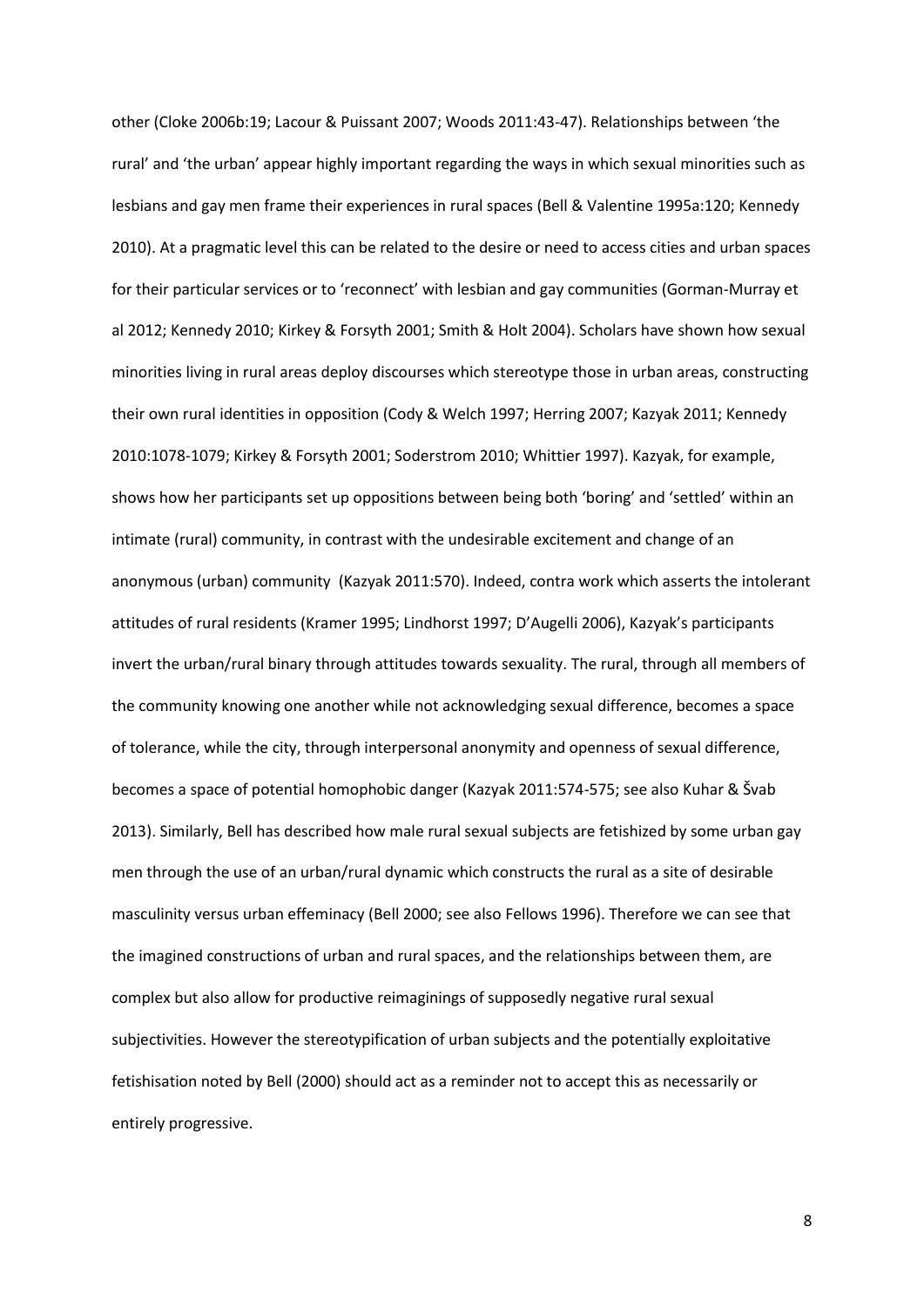other (Cloke 2006b:19; Lacour & Puissant 2007; Woods 2011:43-47). Relationships between 'the rural' and 'the urban' appear highly important regarding the ways in which sexual minorities such as lesbians and gay men frame their experiences in rural spaces (Bell & Valentine 1995a:120; Kennedy 2010). At a pragmatic level this can be related to the desire or need to access cities and urban spaces for their particular services or to 'reconnect' with lesbian and gay communities (Gorman-Murray et al 2012; Kennedy 2010; Kirkey & Forsyth 2001; Smith & Holt 2004). Scholars have shown how sexual minorities living in rural areas deploy discourses which stereotype those in urban areas, constructing their own rural identities in opposition (Cody & Welch 1997; Herring 2007; Kazyak 2011; Kennedy 2010:1078-1079; Kirkey & Forsyth 2001; Soderstrom 2010; Whittier 1997). Kazyak, for example, shows how her participants set up oppositions between being both 'boring' and 'settled' within an intimate (rural) community, in contrast with the undesirable excitement and change of an anonymous (urban) community (Kazyak 2011:570). Indeed, contra work which asserts the intolerant attitudes of rural residents (Kramer 1995; Lindhorst 1997; D'Augelli 2006), Kazyak's participants invert the urban/rural binary through attitudes towards sexuality. The rural, through all members of the community knowing one another while not acknowledging sexual difference, becomes a space of tolerance, while the city, through interpersonal anonymity and openness of sexual difference, becomes a space of potential homophobic danger (Kazyak 2011:574-575; see also Kuhar & Švab 2013). Similarly, Bell has described how male rural sexual subjects are fetishized by some urban gay men through the use of an urban/rural dynamic which constructs the rural as a site of desirable masculinity versus urban effeminacy (Bell 2000; see also Fellows 1996). Therefore we can see that the imagined constructions of urban and rural spaces, and the relationships between them, are complex but also allow for productive reimaginings of supposedly negative rural sexual subjectivities. However the stereotypification of urban subjects and the potentially exploitative fetishisation noted by Bell (2000) should act as a reminder not to accept this as necessarily or entirely progressive.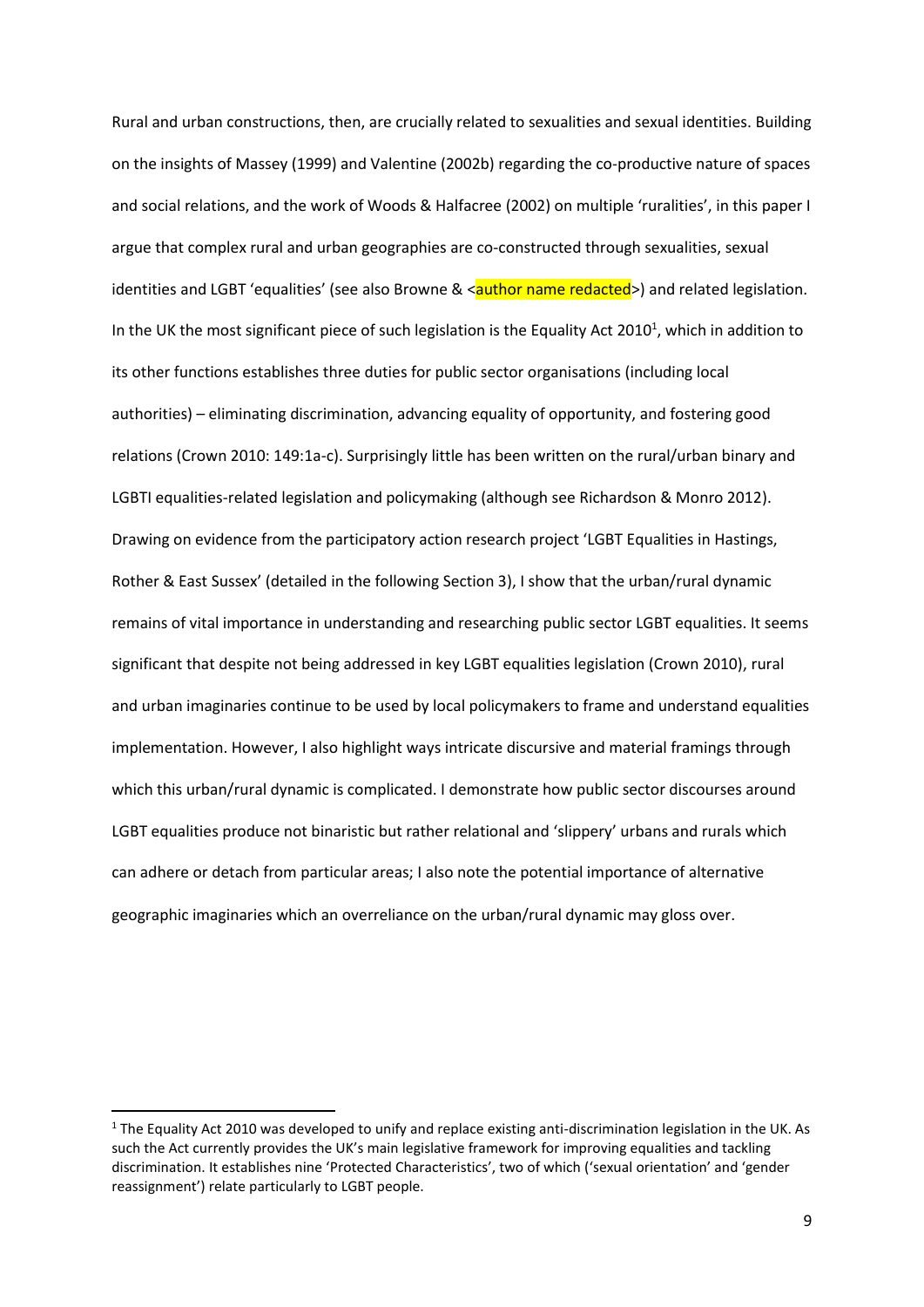Rural and urban constructions, then, are crucially related to sexualities and sexual identities. Building on the insights of Massey (1999) and Valentine (2002b) regarding the co-productive nature of spaces and social relations, and the work of Woods & Halfacree (2002) on multiple 'ruralities', in this paper I argue that complex rural and urban geographies are co-constructed through sexualities, sexual identities and LGBT 'equalities' (see also Browne &  $\langle$ author name redacted>) and related legislation. In the UK the most significant piece of such legislation is the Equality Act 2010<sup>1</sup>, which in addition to its other functions establishes three duties for public sector organisations (including local authorities) – eliminating discrimination, advancing equality of opportunity, and fostering good relations (Crown 2010: 149:1a-c). Surprisingly little has been written on the rural/urban binary and LGBTI equalities-related legislation and policymaking (although see Richardson & Monro 2012). Drawing on evidence from the participatory action research project 'LGBT Equalities in Hastings, Rother & East Sussex' (detailed in the following Section 3), I show that the urban/rural dynamic remains of vital importance in understanding and researching public sector LGBT equalities. It seems significant that despite not being addressed in key LGBT equalities legislation (Crown 2010), rural and urban imaginaries continue to be used by local policymakers to frame and understand equalities implementation. However, I also highlight ways intricate discursive and material framings through which this urban/rural dynamic is complicated. I demonstrate how public sector discourses around LGBT equalities produce not binaristic but rather relational and 'slippery' urbans and rurals which can adhere or detach from particular areas; I also note the potential importance of alternative geographic imaginaries which an overreliance on the urban/rural dynamic may gloss over.

**.** 

 $1$  The Equality Act 2010 was developed to unify and replace existing anti-discrimination legislation in the UK. As such the Act currently provides the UK's main legislative framework for improving equalities and tackling discrimination. It establishes nine 'Protected Characteristics', two of which ('sexual orientation' and 'gender reassignment') relate particularly to LGBT people.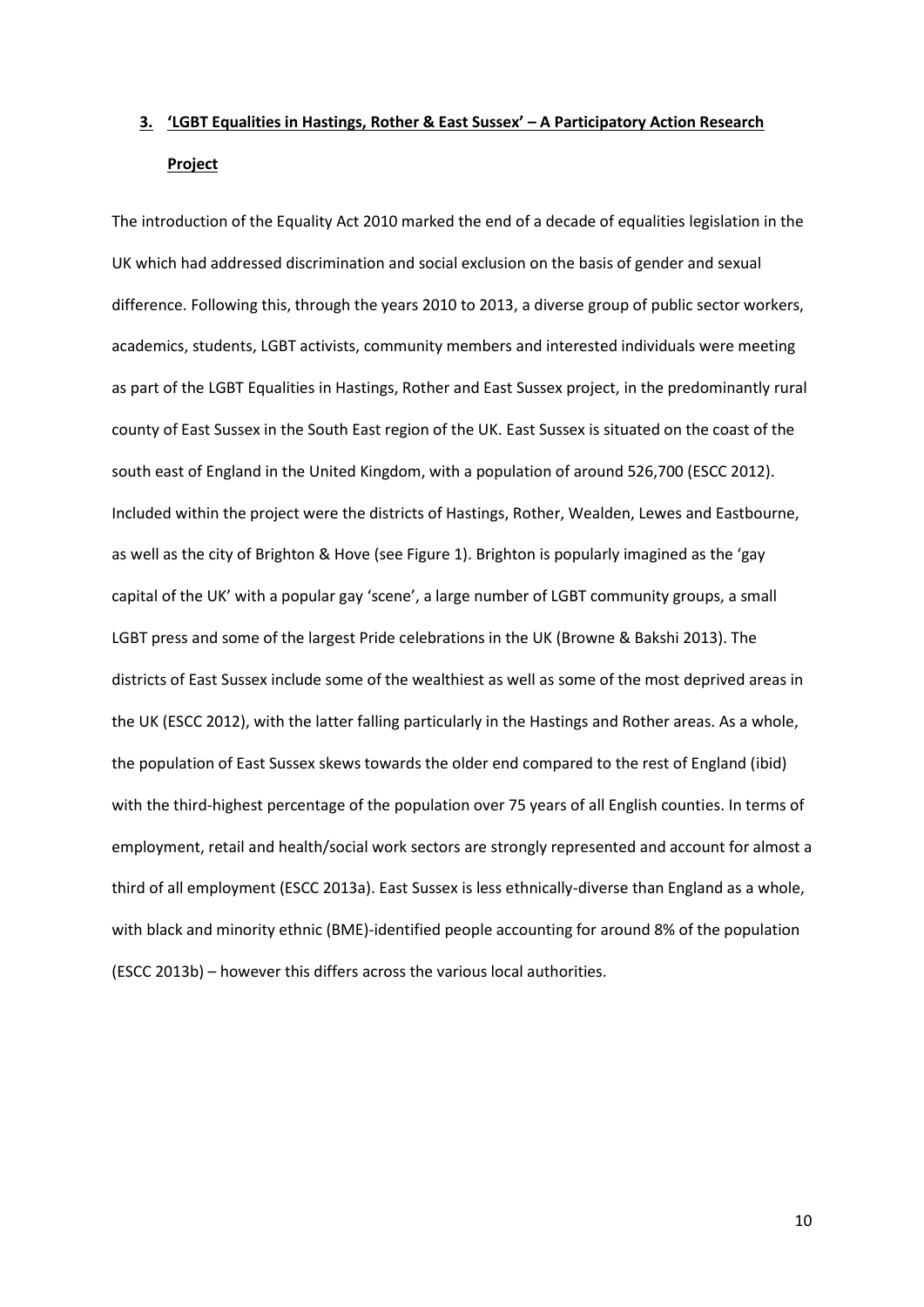# **3. 'LGBT Equalities in Hastings, Rother & East Sussex' – A Participatory Action Research Project**

The introduction of the Equality Act 2010 marked the end of a decade of equalities legislation in the UK which had addressed discrimination and social exclusion on the basis of gender and sexual difference. Following this, through the years 2010 to 2013, a diverse group of public sector workers, academics, students, LGBT activists, community members and interested individuals were meeting as part of the LGBT Equalities in Hastings, Rother and East Sussex project, in the predominantly rural county of East Sussex in the South East region of the UK. East Sussex is situated on the coast of the south east of England in the United Kingdom, with a population of around 526,700 (ESCC 2012). Included within the project were the districts of Hastings, Rother, Wealden, Lewes and Eastbourne, as well as the city of Brighton & Hove (see Figure 1). Brighton is popularly imagined as the 'gay capital of the UK' with a popular gay 'scene', a large number of LGBT community groups, a small LGBT press and some of the largest Pride celebrations in the UK (Browne & Bakshi 2013). The districts of East Sussex include some of the wealthiest as well as some of the most deprived areas in the UK (ESCC 2012), with the latter falling particularly in the Hastings and Rother areas. As a whole, the population of East Sussex skews towards the older end compared to the rest of England (ibid) with the third-highest percentage of the population over 75 years of all English counties. In terms of employment, retail and health/social work sectors are strongly represented and account for almost a third of all employment (ESCC 2013a). East Sussex is less ethnically-diverse than England as a whole, with black and minority ethnic (BME)-identified people accounting for around 8% of the population (ESCC 2013b) – however this differs across the various local authorities.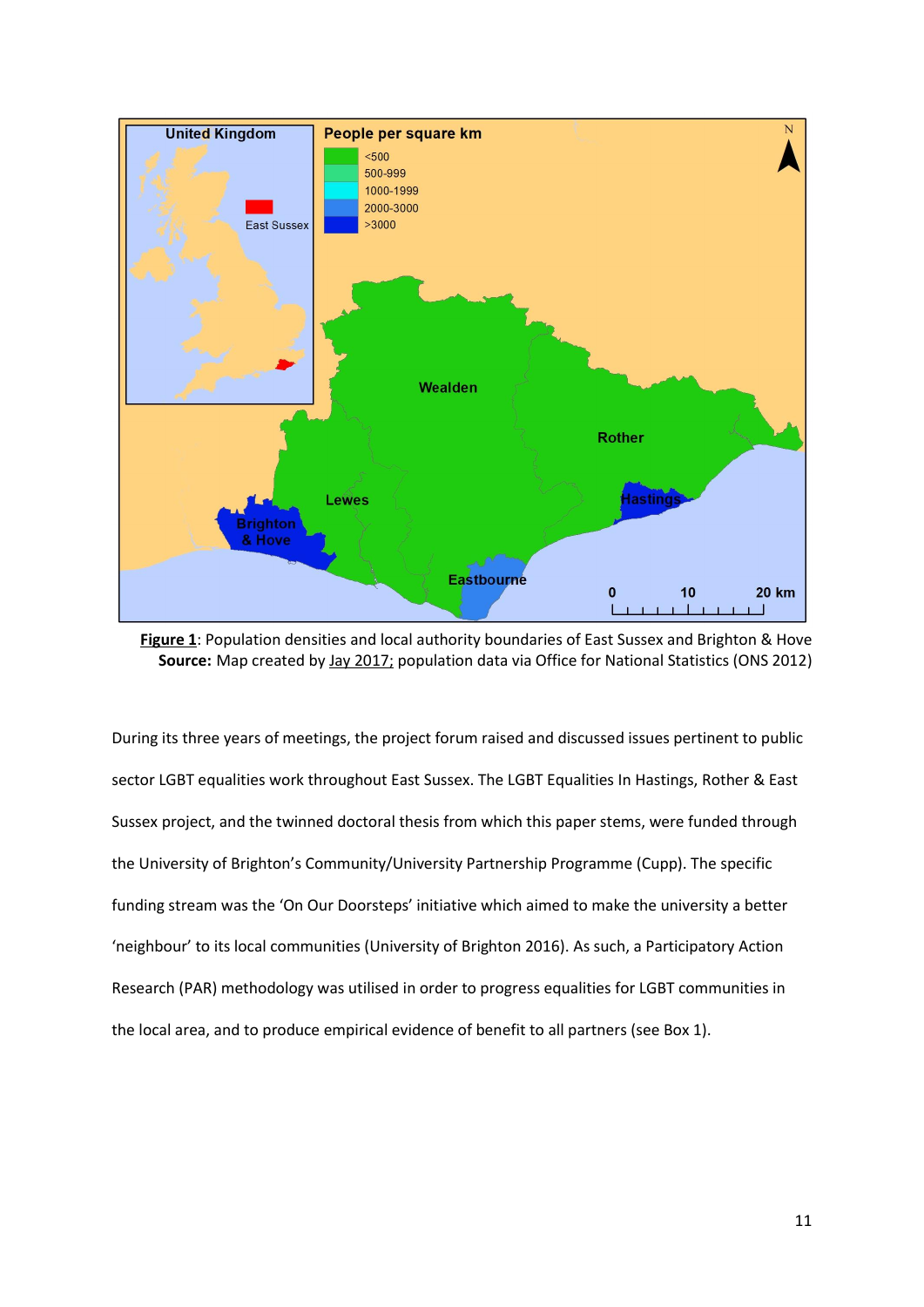

**Figure 1**: Population densities and local authority boundaries of East Sussex and Brighton & Hove **Source:** Map created by Jay 2017; population data via Office for National Statistics (ONS 2012)

During its three years of meetings, the project forum raised and discussed issues pertinent to public sector LGBT equalities work throughout East Sussex. The LGBT Equalities In Hastings, Rother & East Sussex project, and the twinned doctoral thesis from which this paper stems, were funded through the University of Brighton's Community/University Partnership Programme (Cupp). The specific funding stream was the 'On Our Doorsteps' initiative which aimed to make the university a better 'neighbour' to its local communities (University of Brighton 2016). As such, a Participatory Action Research (PAR) methodology was utilised in order to progress equalities for LGBT communities in the local area, and to produce empirical evidence of benefit to all partners (see Box 1).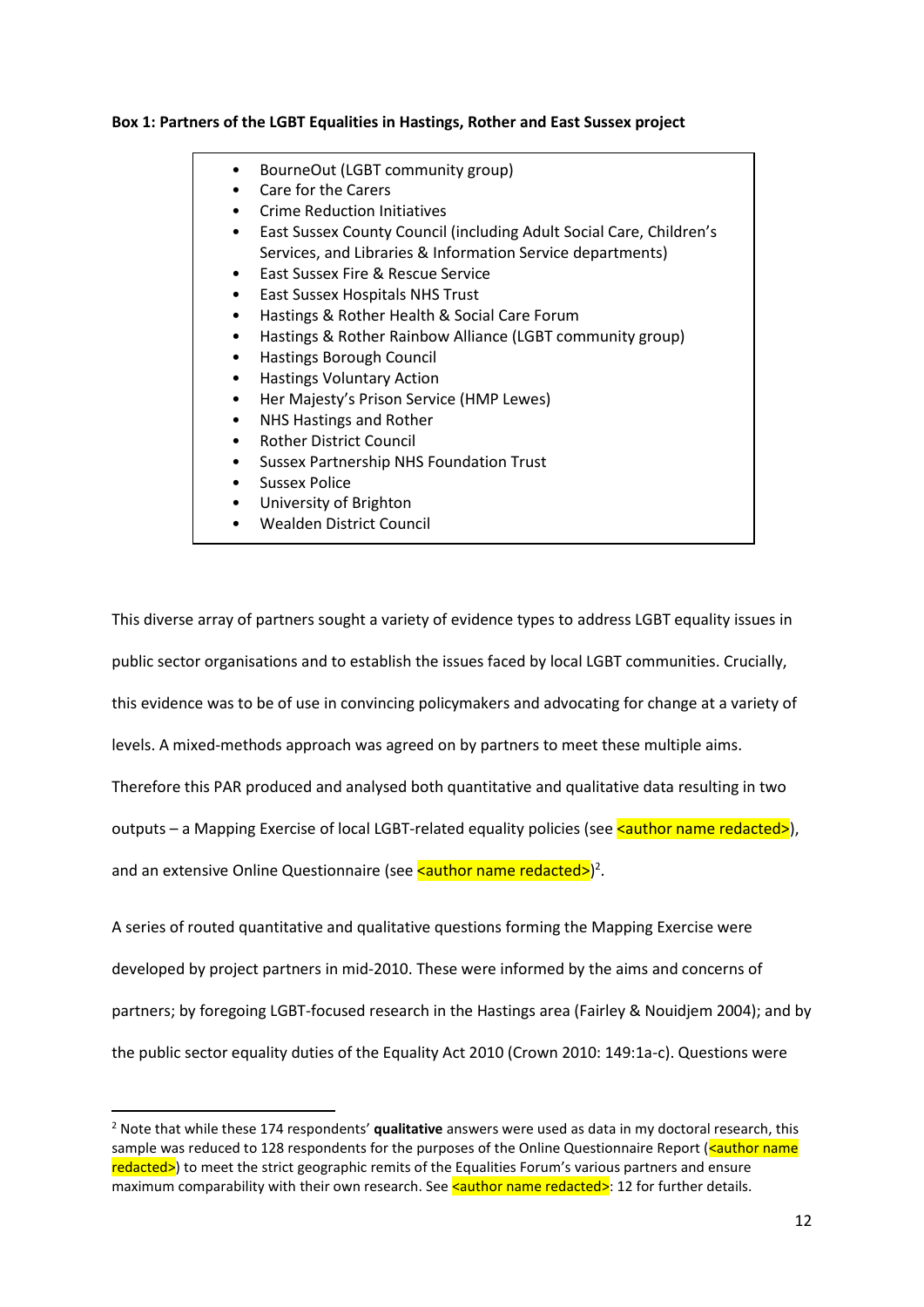## **Box 1: Partners of the LGBT Equalities in Hastings, Rother and East Sussex project**

- BourneOut (LGBT community group)
- Care for the Carers
- Crime Reduction Initiatives
- East Sussex County Council (including Adult Social Care, Children's Services, and Libraries & Information Service departments)
- East Sussex Fire & Rescue Service
- East Sussex Hospitals NHS Trust
- Hastings & Rother Health & Social Care Forum
- Hastings & Rother Rainbow Alliance (LGBT community group)
- Hastings Borough Council
- Hastings Voluntary Action
- Her Majesty's Prison Service (HMP Lewes)
- NHS Hastings and Rother
- Rother District Council
- Sussex Partnership NHS Foundation Trust
- Sussex Police
- University of Brighton
- Wealden District Council

This diverse array of partners sought a variety of evidence types to address LGBT equality issues in

public sector organisations and to establish the issues faced by local LGBT communities. Crucially,

this evidence was to be of use in convincing policymakers and advocating for change at a variety of

levels. A mixed-methods approach was agreed on by partners to meet these multiple aims.

Therefore this PAR produced and analysed both quantitative and qualitative data resulting in two

outputs – a Mapping Exercise of local LGBT-related equality policies (see  $\leq$ author name redacted>),

and an extensive Online Questionnaire (see <mark><author name redacted></mark>)<sup>2</sup>.

**.** 

A series of routed quantitative and qualitative questions forming the Mapping Exercise were developed by project partners in mid-2010. These were informed by the aims and concerns of partners; by foregoing LGBT-focused research in the Hastings area (Fairley & Nouidjem 2004); and by the public sector equality duties of the Equality Act 2010 (Crown 2010: 149:1a-c). Questions were

<sup>2</sup> Note that while these 174 respondents' **qualitative** answers were used as data in my doctoral research, this sample was reduced to 128 respondents for the purposes of the Online Questionnaire Report ( $\overline{\mathsf{k}}$ author name  $redz$ ) to meet the strict geographic remits of the Equalities Forum's various partners and ensure maximum comparability with their own research. See **cauthor name redacted>**: 12 for further details.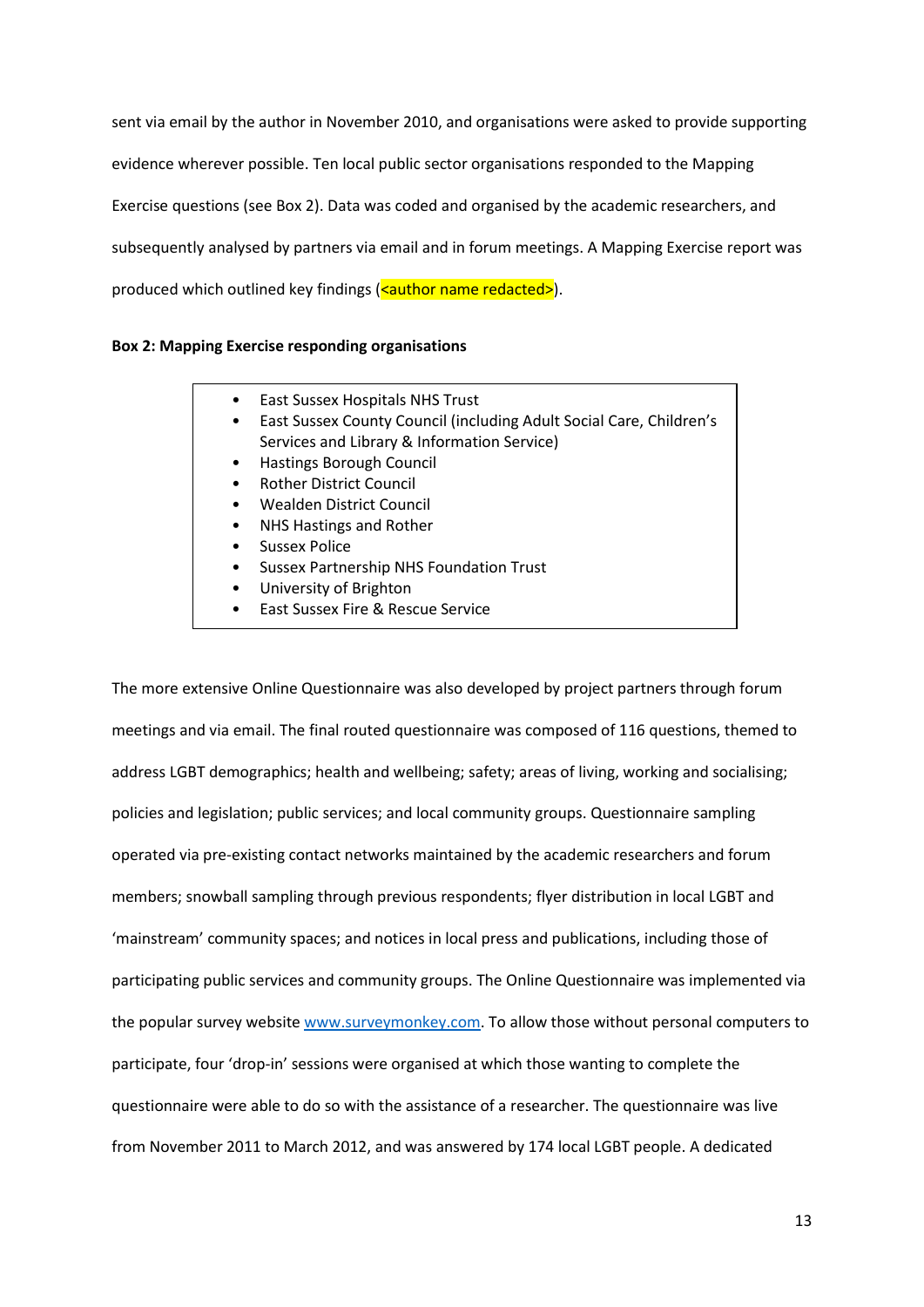sent via email by the author in November 2010, and organisations were asked to provide supporting evidence wherever possible. Ten local public sector organisations responded to the Mapping Exercise questions (see Box 2). Data was coded and organised by the academic researchers, and subsequently analysed by partners via email and in forum meetings. A Mapping Exercise report was produced which outlined key findings ( $\leq$ author name redacted>).

### **Box 2: Mapping Exercise responding organisations**

- East Sussex Hospitals NHS Trust
	- East Sussex County Council (including Adult Social Care, Children's Services and Library & Information Service)
	- Hastings Borough Council
	- Rother District Council
	- Wealden District Council
	- NHS Hastings and Rother
	- Sussex Police
	- Sussex Partnership NHS Foundation Trust
	- University of Brighton
- East Sussex Fire & Rescue Service

The more extensive Online Questionnaire was also developed by project partners through forum meetings and via email. The final routed questionnaire was composed of 116 questions, themed to address LGBT demographics; health and wellbeing; safety; areas of living, working and socialising; policies and legislation; public services; and local community groups. Questionnaire sampling operated via pre-existing contact networks maintained by the academic researchers and forum members; snowball sampling through previous respondents; flyer distribution in local LGBT and 'mainstream' community spaces; and notices in local press and publications, including those of participating public services and community groups. The Online Questionnaire was implemented via the popular survey website [www.surveymonkey.com.](http://www.surveymonkey.com/) To allow those without personal computers to participate, four 'drop-in' sessions were organised at which those wanting to complete the questionnaire were able to do so with the assistance of a researcher. The questionnaire was live from November 2011 to March 2012, and was answered by 174 local LGBT people. A dedicated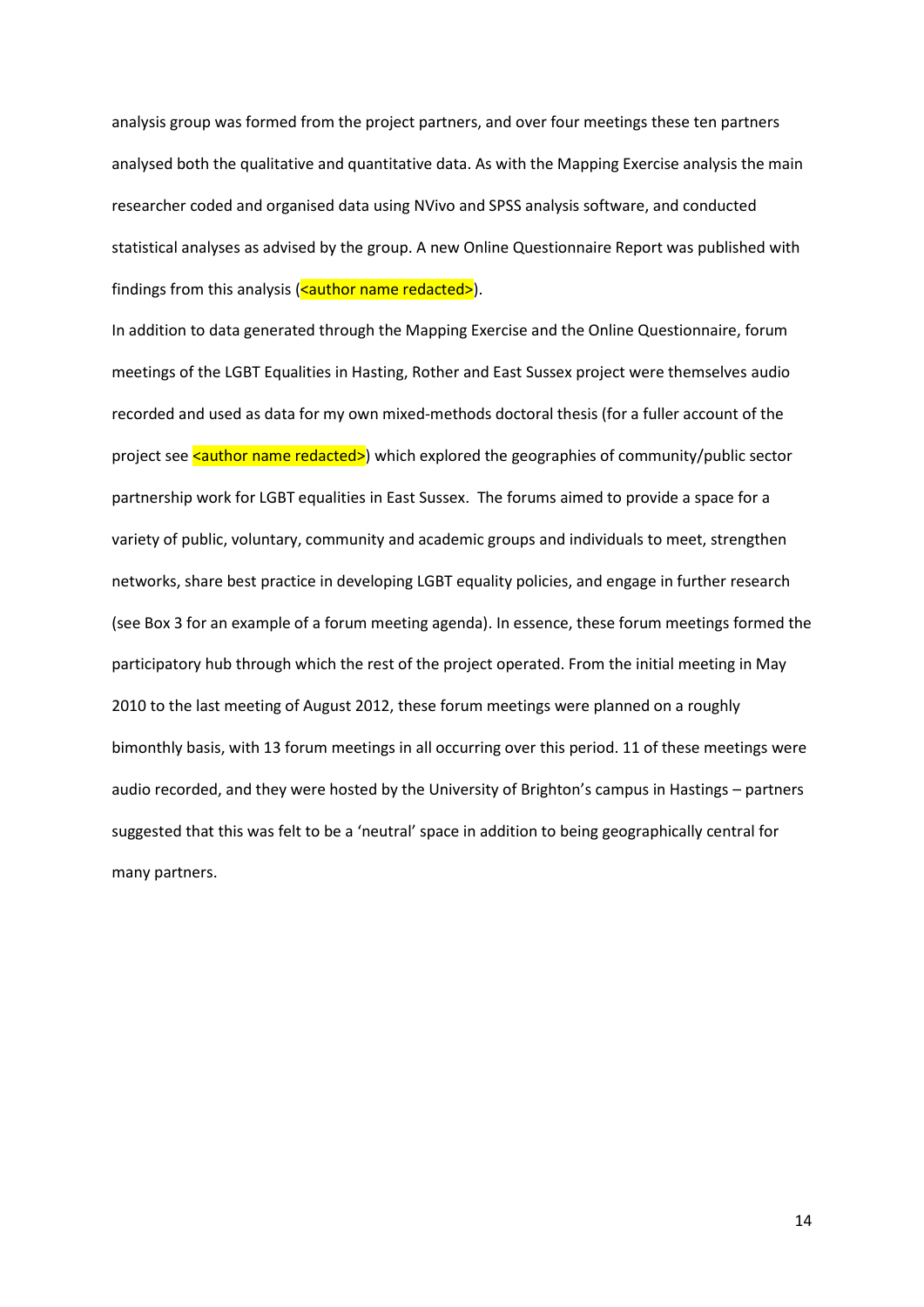analysis group was formed from the project partners, and over four meetings these ten partners analysed both the qualitative and quantitative data. As with the Mapping Exercise analysis the main researcher coded and organised data using NVivo and SPSS analysis software, and conducted statistical analyses as advised by the group. A new Online Questionnaire Report was published with findings from this analysis ( $\leq$ author name redacted>).

In addition to data generated through the Mapping Exercise and the Online Questionnaire, forum meetings of the LGBT Equalities in Hasting, Rother and East Sussex project were themselves audio recorded and used as data for my own mixed-methods doctoral thesis (for a fuller account of the project see  $\frac{2}{\sqrt{2}}$  author name redacted>) which explored the geographies of community/public sector partnership work for LGBT equalities in East Sussex. The forums aimed to provide a space for a variety of public, voluntary, community and academic groups and individuals to meet, strengthen networks, share best practice in developing LGBT equality policies, and engage in further research (see Box 3 for an example of a forum meeting agenda). In essence, these forum meetings formed the participatory hub through which the rest of the project operated. From the initial meeting in May 2010 to the last meeting of August 2012, these forum meetings were planned on a roughly bimonthly basis, with 13 forum meetings in all occurring over this period. 11 of these meetings were audio recorded, and they were hosted by the University of Brighton's campus in Hastings – partners suggested that this was felt to be a 'neutral' space in addition to being geographically central for many partners.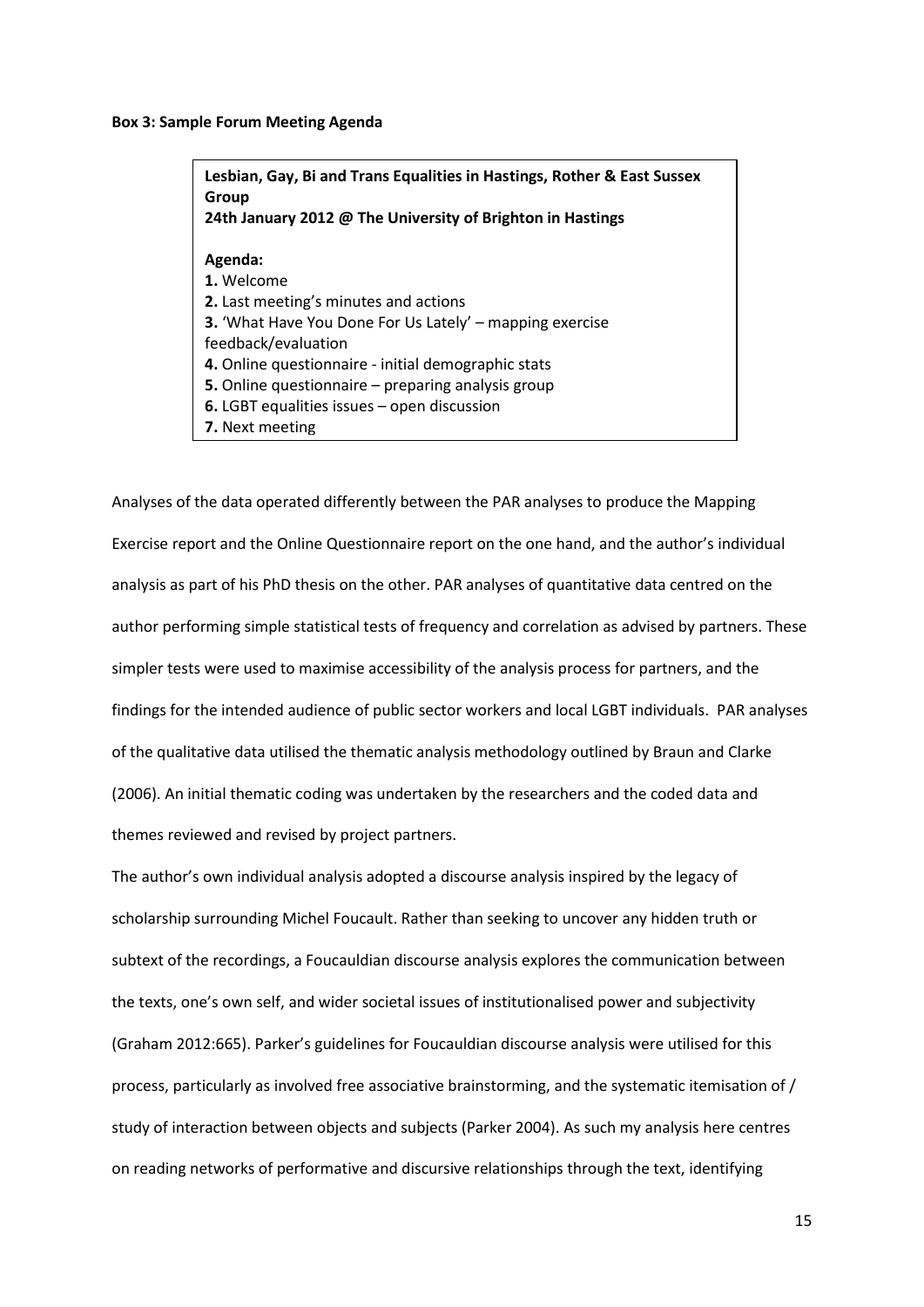## **Box 3: Sample Forum Meeting Agenda**

**Lesbian, Gay, Bi and Trans Equalities in Hastings, Rother & East Sussex Group 24th January 2012 @ The University of Brighton in Hastings Agenda: 1.** Welcome **2.** Last meeting's minutes and actions **3.** 'What Have You Done For Us Lately' – mapping exercise feedback/evaluation **4.** Online questionnaire - initial demographic stats **5.** Online questionnaire – preparing analysis group **6.** LGBT equalities issues – open discussion **7.** Next meeting

Analyses of the data operated differently between the PAR analyses to produce the Mapping Exercise report and the Online Questionnaire report on the one hand, and the author's individual analysis as part of his PhD thesis on the other. PAR analyses of quantitative data centred on the author performing simple statistical tests of frequency and correlation as advised by partners. These simpler tests were used to maximise accessibility of the analysis process for partners, and the findings for the intended audience of public sector workers and local LGBT individuals. PAR analyses of the qualitative data utilised the thematic analysis methodology outlined by Braun and Clarke (2006). An initial thematic coding was undertaken by the researchers and the coded data and themes reviewed and revised by project partners.

The author's own individual analysis adopted a discourse analysis inspired by the legacy of scholarship surrounding Michel Foucault. Rather than seeking to uncover any hidden truth or subtext of the recordings, a Foucauldian discourse analysis explores the communication between the texts, one's own self, and wider societal issues of institutionalised power and subjectivity (Graham 2012:665). Parker's guidelines for Foucauldian discourse analysis were utilised for this process, particularly as involved free associative brainstorming, and the systematic itemisation of / study of interaction between objects and subjects (Parker 2004). As such my analysis here centres on reading networks of performative and discursive relationships through the text, identifying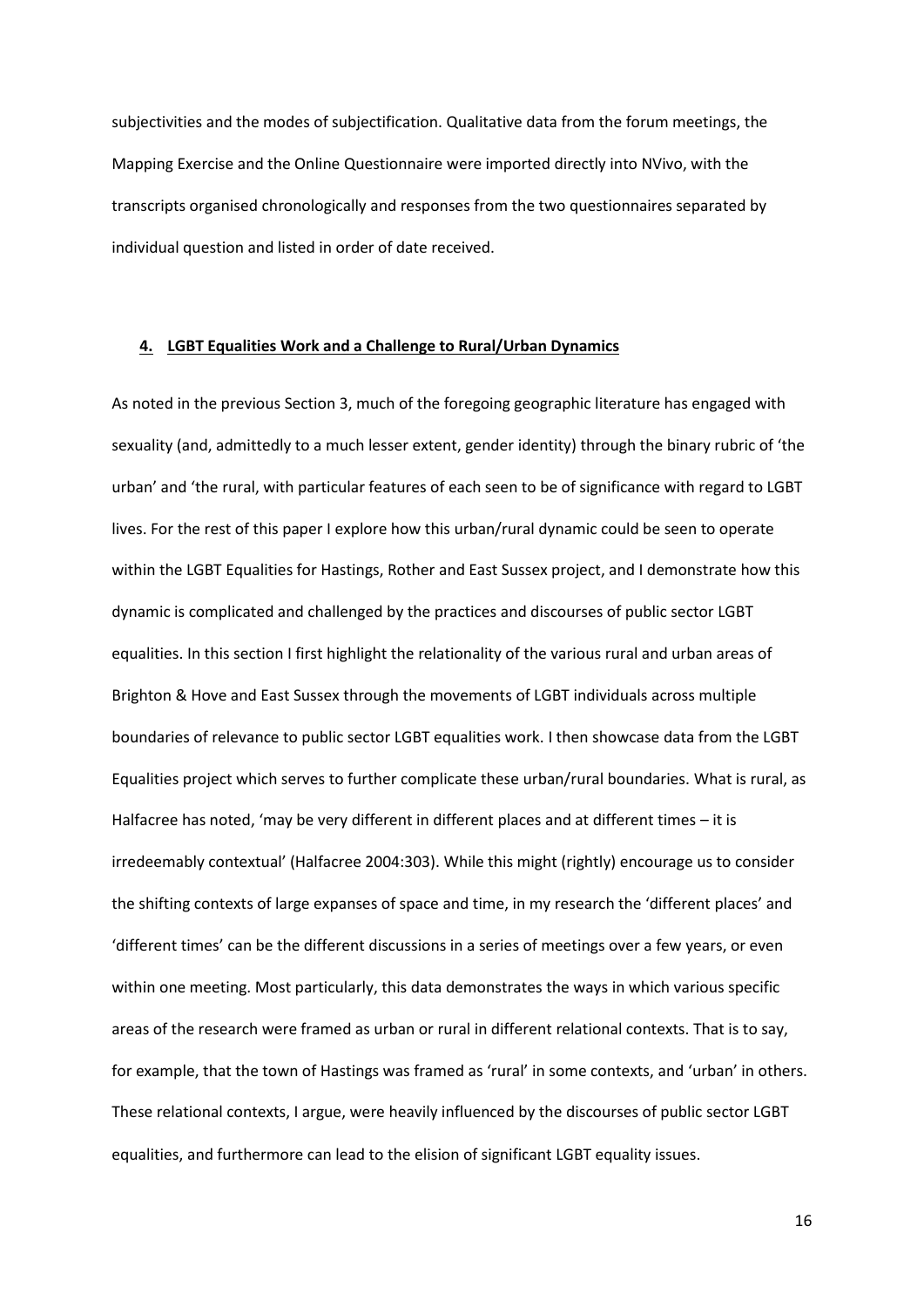subjectivities and the modes of subjectification. Qualitative data from the forum meetings, the Mapping Exercise and the Online Questionnaire were imported directly into NVivo, with the transcripts organised chronologically and responses from the two questionnaires separated by individual question and listed in order of date received.

#### **4. LGBT Equalities Work and a Challenge to Rural/Urban Dynamics**

As noted in the previous Section 3, much of the foregoing geographic literature has engaged with sexuality (and, admittedly to a much lesser extent, gender identity) through the binary rubric of 'the urban' and 'the rural, with particular features of each seen to be of significance with regard to LGBT lives. For the rest of this paper I explore how this urban/rural dynamic could be seen to operate within the LGBT Equalities for Hastings, Rother and East Sussex project, and I demonstrate how this dynamic is complicated and challenged by the practices and discourses of public sector LGBT equalities. In this section I first highlight the relationality of the various rural and urban areas of Brighton & Hove and East Sussex through the movements of LGBT individuals across multiple boundaries of relevance to public sector LGBT equalities work. I then showcase data from the LGBT Equalities project which serves to further complicate these urban/rural boundaries. What is rural, as Halfacree has noted, 'may be very different in different places and at different times – it is irredeemably contextual' (Halfacree 2004:303). While this might (rightly) encourage us to consider the shifting contexts of large expanses of space and time, in my research the 'different places' and 'different times' can be the different discussions in a series of meetings over a few years, or even within one meeting. Most particularly, this data demonstrates the ways in which various specific areas of the research were framed as urban or rural in different relational contexts. That is to say, for example, that the town of Hastings was framed as 'rural' in some contexts, and 'urban' in others. These relational contexts, I argue, were heavily influenced by the discourses of public sector LGBT equalities, and furthermore can lead to the elision of significant LGBT equality issues.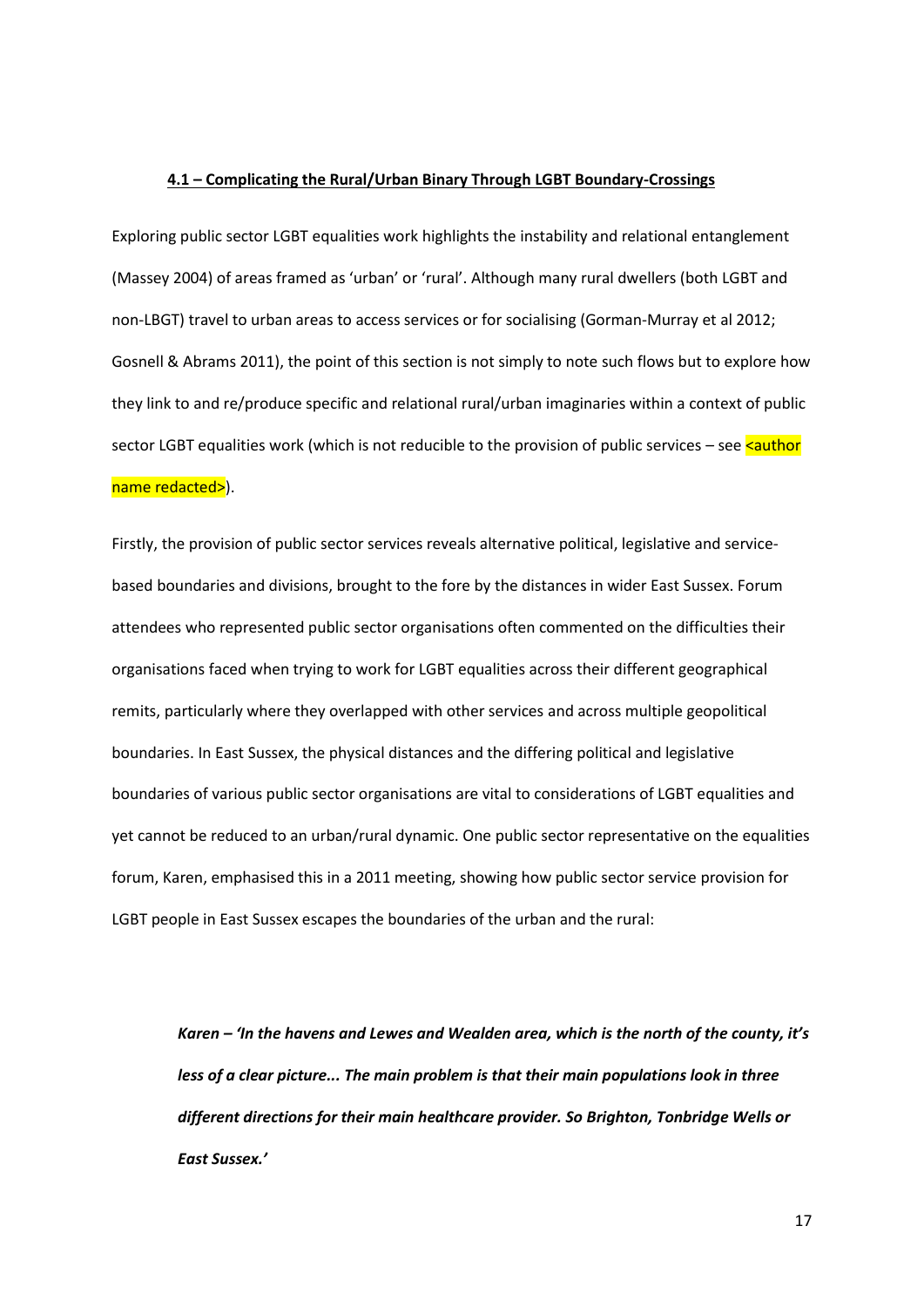#### **4.1 – Complicating the Rural/Urban Binary Through LGBT Boundary-Crossings**

Exploring public sector LGBT equalities work highlights the instability and relational entanglement (Massey 2004) of areas framed as 'urban' or 'rural'. Although many rural dwellers (both LGBT and non-LBGT) travel to urban areas to access services or for socialising (Gorman-Murray et al 2012; Gosnell & Abrams 2011), the point of this section is not simply to note such flows but to explore how they link to and re/produce specific and relational rural/urban imaginaries within a context of public sector LGBT equalities work (which is not reducible to the provision of public services – see  $\epsilon$  author name redacted>).

Firstly, the provision of public sector services reveals alternative political, legislative and servicebased boundaries and divisions, brought to the fore by the distances in wider East Sussex. Forum attendees who represented public sector organisations often commented on the difficulties their organisations faced when trying to work for LGBT equalities across their different geographical remits, particularly where they overlapped with other services and across multiple geopolitical boundaries. In East Sussex, the physical distances and the differing political and legislative boundaries of various public sector organisations are vital to considerations of LGBT equalities and yet cannot be reduced to an urban/rural dynamic. One public sector representative on the equalities forum, Karen, emphasised this in a 2011 meeting, showing how public sector service provision for LGBT people in East Sussex escapes the boundaries of the urban and the rural:

*Karen – 'In the havens and Lewes and Wealden area, which is the north of the county, it's less of a clear picture... The main problem is that their main populations look in three different directions for their main healthcare provider. So Brighton, Tonbridge Wells or East Sussex.'*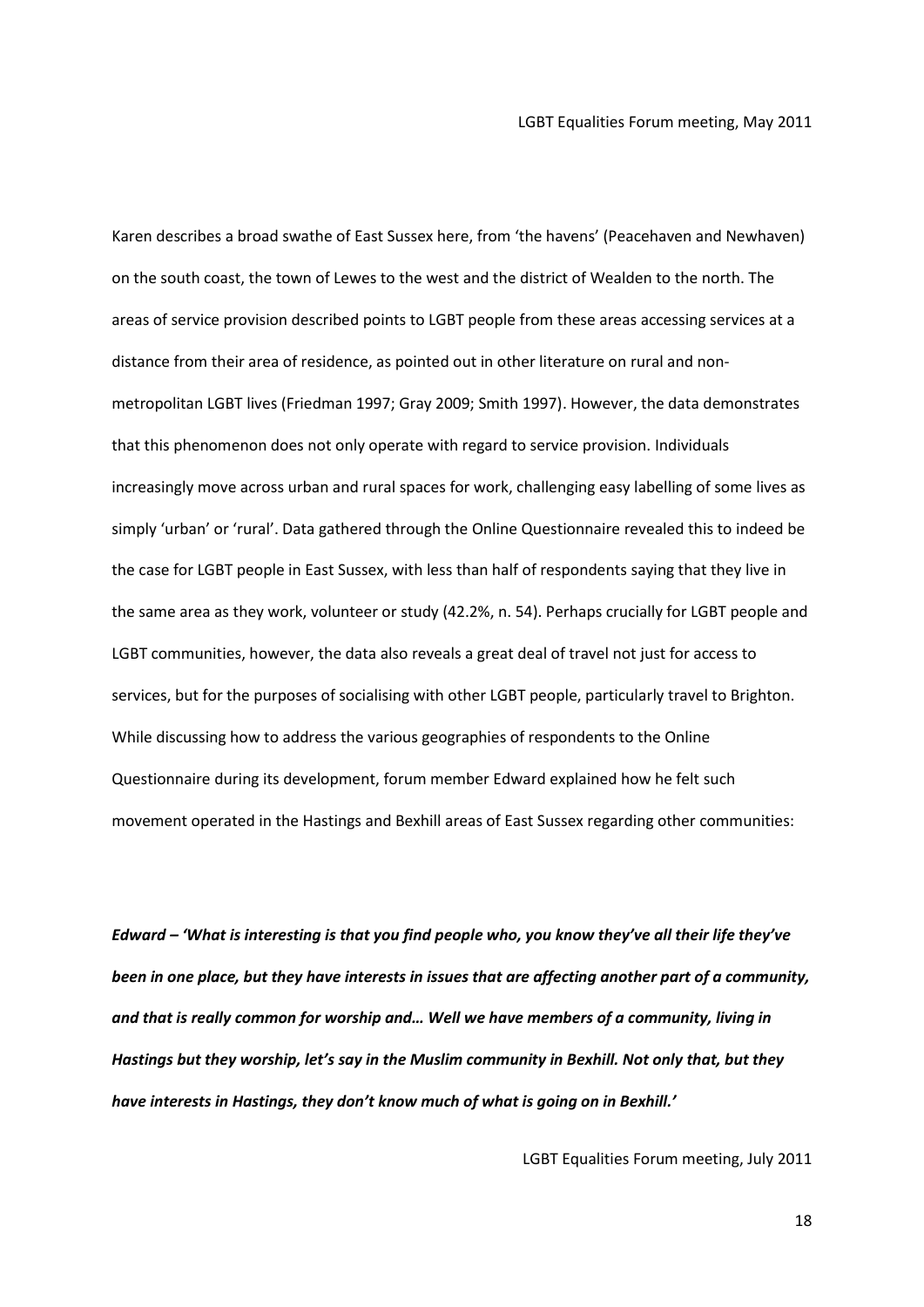Karen describes a broad swathe of East Sussex here, from 'the havens' (Peacehaven and Newhaven) on the south coast, the town of Lewes to the west and the district of Wealden to the north. The areas of service provision described points to LGBT people from these areas accessing services at a distance from their area of residence, as pointed out in other literature on rural and nonmetropolitan LGBT lives (Friedman 1997; Gray 2009; Smith 1997). However, the data demonstrates that this phenomenon does not only operate with regard to service provision. Individuals increasingly move across urban and rural spaces for work, challenging easy labelling of some lives as simply 'urban' or 'rural'. Data gathered through the Online Questionnaire revealed this to indeed be the case for LGBT people in East Sussex, with less than half of respondents saying that they live in the same area as they work, volunteer or study (42.2%, n. 54). Perhaps crucially for LGBT people and LGBT communities, however, the data also reveals a great deal of travel not just for access to services, but for the purposes of socialising with other LGBT people, particularly travel to Brighton. While discussing how to address the various geographies of respondents to the Online Questionnaire during its development, forum member Edward explained how he felt such movement operated in the Hastings and Bexhill areas of East Sussex regarding other communities:

*Edward – 'What is interesting is that you find people who, you know they've all their life they've been in one place, but they have interests in issues that are affecting another part of a community, and that is really common for worship and… Well we have members of a community, living in Hastings but they worship, let's say in the Muslim community in Bexhill. Not only that, but they have interests in Hastings, they don't know much of what is going on in Bexhill.'*

LGBT Equalities Forum meeting, July 2011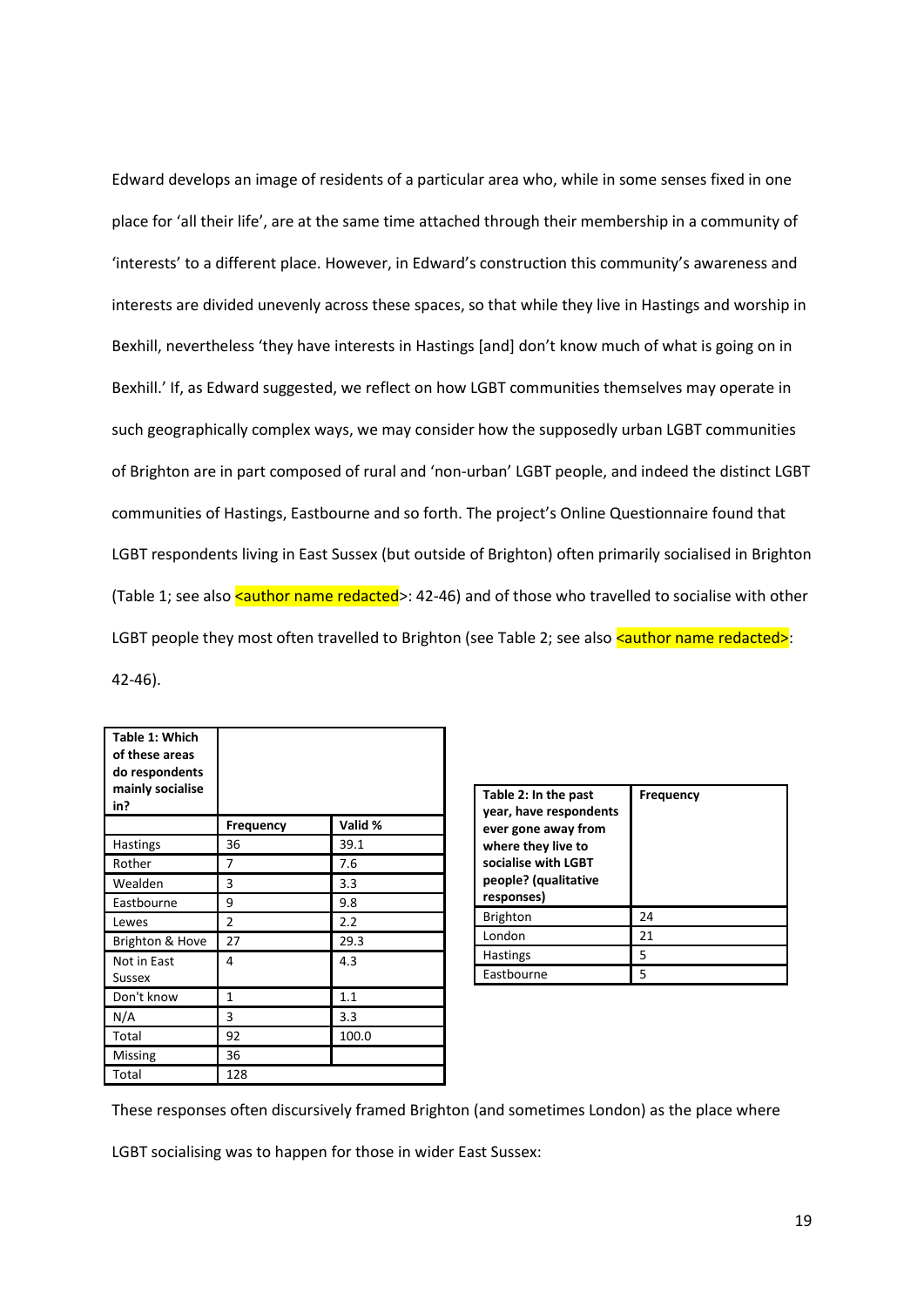Edward develops an image of residents of a particular area who, while in some senses fixed in one place for 'all their life', are at the same time attached through their membership in a community of 'interests' to a different place. However, in Edward's construction this community's awareness and interests are divided unevenly across these spaces, so that while they live in Hastings and worship in Bexhill, nevertheless 'they have interests in Hastings [and] don't know much of what is going on in Bexhill.' If, as Edward suggested, we reflect on how LGBT communities themselves may operate in such geographically complex ways, we may consider how the supposedly urban LGBT communities of Brighton are in part composed of rural and 'non-urban' LGBT people, and indeed the distinct LGBT communities of Hastings, Eastbourne and so forth. The project's Online Questionnaire found that LGBT respondents living in East Sussex (but outside of Brighton) often primarily socialised in Brighton (Table 1; see also **<author name redacted**>: 42-46) and of those who travelled to socialise with other LGBT people they most often travelled to Brighton (see Table 2; see also  $\frac{1}{x}$  author name redacted>: 42-46).

| Table 1: Which<br>of these areas<br>do respondents<br>mainly socialise<br>in? |                |         |
|-------------------------------------------------------------------------------|----------------|---------|
|                                                                               | Frequency      | Valid % |
| <b>Hastings</b>                                                               | 36             | 39.1    |
| Rother                                                                        | 7              | 7.6     |
| Wealden                                                                       | 3              | 3.3     |
| Eastbourne                                                                    | 9              | 9.8     |
| Lewes                                                                         | $\overline{2}$ | 2.2     |
| Brighton & Hove                                                               | 27             | 29.3    |
| Not in East                                                                   | 4              | 4.3     |
| <b>Sussex</b>                                                                 |                |         |
| Don't know                                                                    | 1              | 1.1     |
| N/A                                                                           | 3              | 3.3     |
| Total                                                                         | 92             | 100.0   |
| <b>Missing</b>                                                                | 36             |         |
| Total                                                                         | 128            |         |

| Table 2: In the past<br>year, have respondents<br>ever gone away from<br>where they live to<br>socialise with LGBT<br>people? (qualitative<br>responses) | <b>Frequency</b> |
|----------------------------------------------------------------------------------------------------------------------------------------------------------|------------------|
| <b>Brighton</b>                                                                                                                                          | 24               |
| London                                                                                                                                                   | 21               |
| <b>Hastings</b>                                                                                                                                          | 5                |
| Eastbourne                                                                                                                                               | 5                |

These responses often discursively framed Brighton (and sometimes London) as the place where

LGBT socialising was to happen for those in wider East Sussex: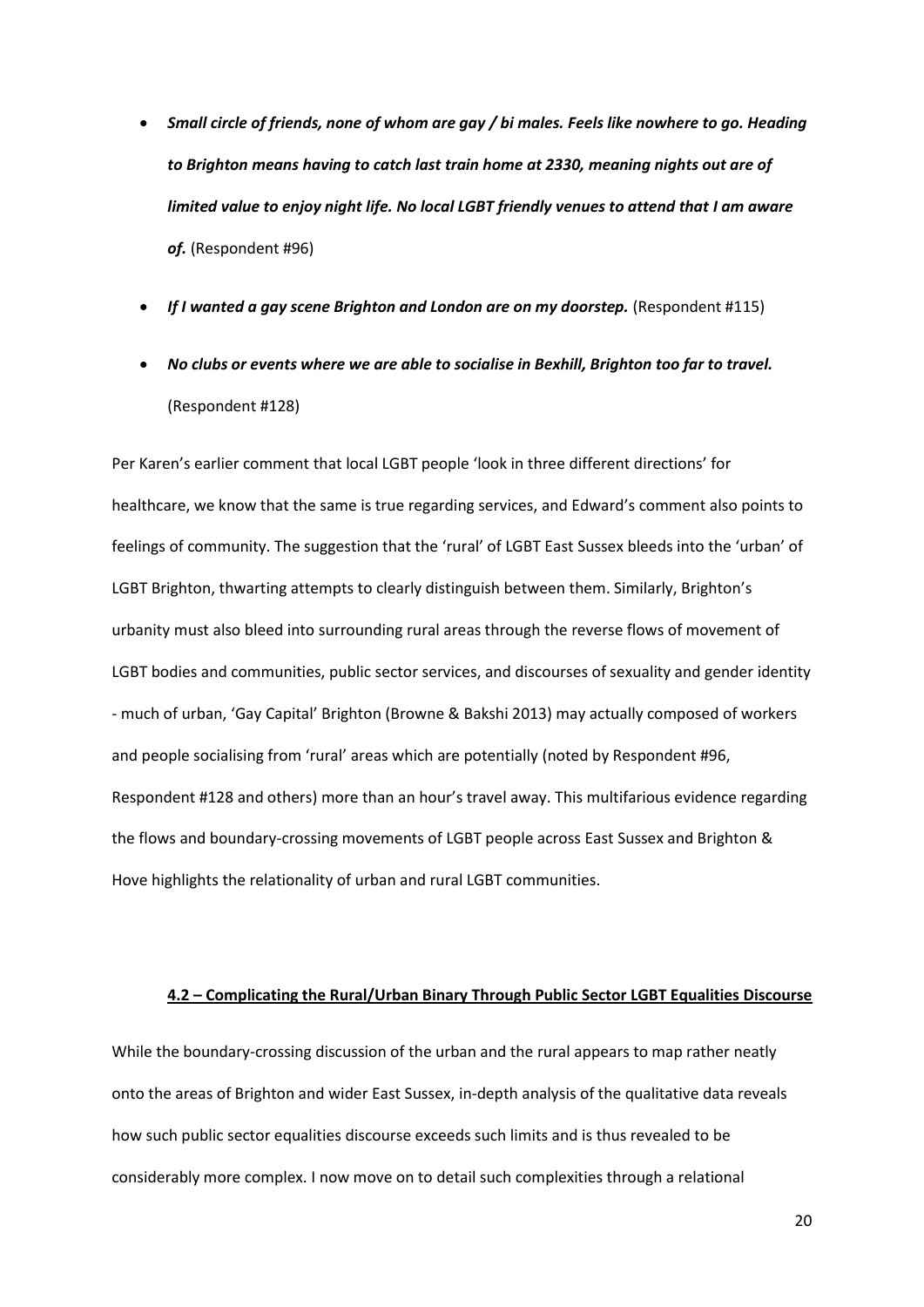- *Small circle of friends, none of whom are gay / bi males. Feels like nowhere to go. Heading to Brighton means having to catch last train home at 2330, meaning nights out are of limited value to enjoy night life. No local LGBT friendly venues to attend that I am aware of.* (Respondent #96)
- *If I wanted a gay scene Brighton and London are on my doorstep.* (Respondent #115)
- *No clubs or events where we are able to socialise in Bexhill, Brighton too far to travel.* (Respondent #128)

Per Karen's earlier comment that local LGBT people 'look in three different directions' for healthcare, we know that the same is true regarding services, and Edward's comment also points to feelings of community. The suggestion that the 'rural' of LGBT East Sussex bleeds into the 'urban' of LGBT Brighton, thwarting attempts to clearly distinguish between them. Similarly, Brighton's urbanity must also bleed into surrounding rural areas through the reverse flows of movement of LGBT bodies and communities, public sector services, and discourses of sexuality and gender identity - much of urban, 'Gay Capital' Brighton (Browne & Bakshi 2013) may actually composed of workers and people socialising from 'rural' areas which are potentially (noted by Respondent #96, Respondent #128 and others) more than an hour's travel away. This multifarious evidence regarding the flows and boundary-crossing movements of LGBT people across East Sussex and Brighton & Hove highlights the relationality of urban and rural LGBT communities.

#### **4.2 – Complicating the Rural/Urban Binary Through Public Sector LGBT Equalities Discourse**

While the boundary-crossing discussion of the urban and the rural appears to map rather neatly onto the areas of Brighton and wider East Sussex, in-depth analysis of the qualitative data reveals how such public sector equalities discourse exceeds such limits and is thus revealed to be considerably more complex. I now move on to detail such complexities through a relational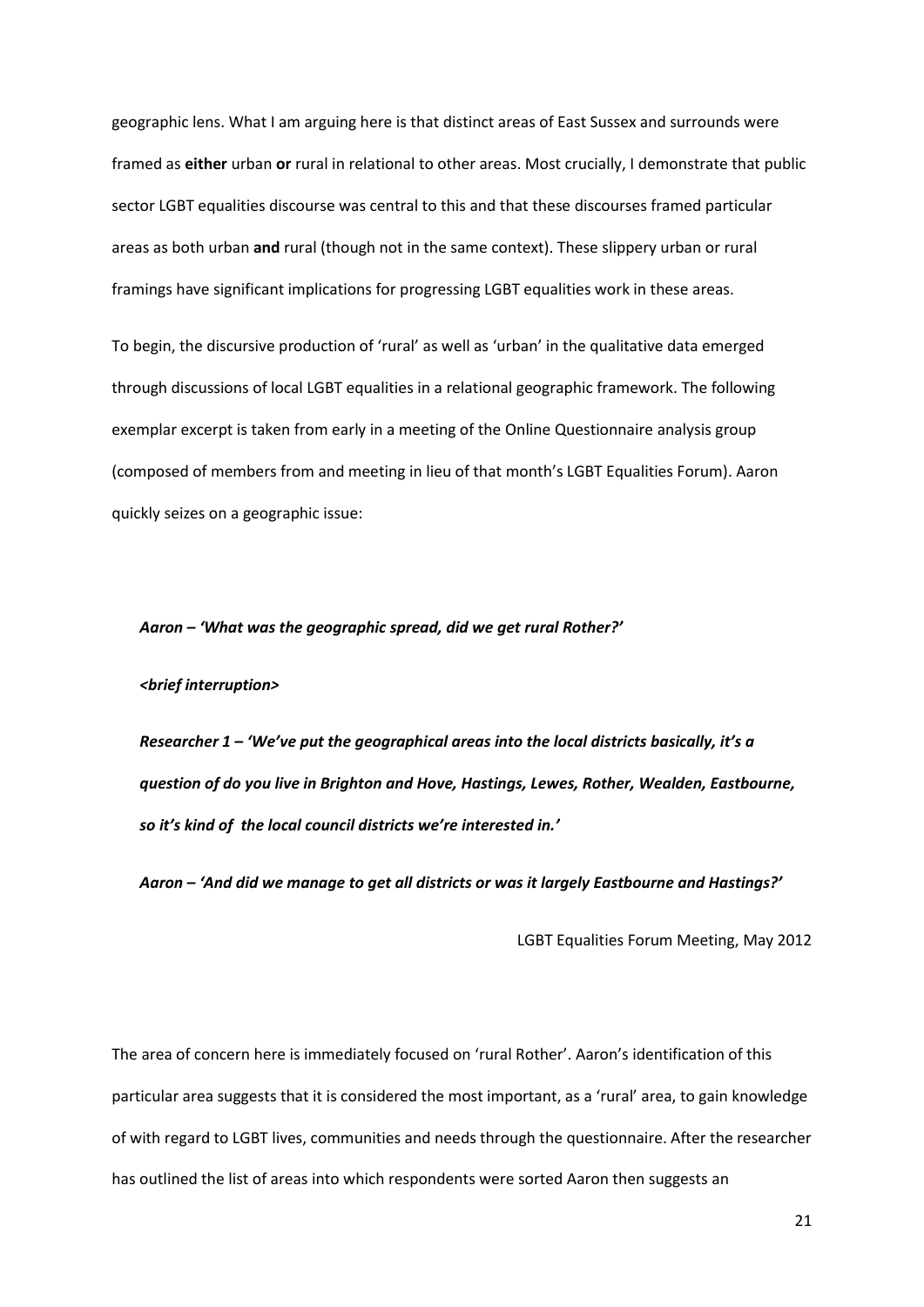geographic lens. What I am arguing here is that distinct areas of East Sussex and surrounds were framed as **either** urban **or** rural in relational to other areas. Most crucially, I demonstrate that public sector LGBT equalities discourse was central to this and that these discourses framed particular areas as both urban **and** rural (though not in the same context). These slippery urban or rural framings have significant implications for progressing LGBT equalities work in these areas.

To begin, the discursive production of 'rural' as well as 'urban' in the qualitative data emerged through discussions of local LGBT equalities in a relational geographic framework. The following exemplar excerpt is taken from early in a meeting of the Online Questionnaire analysis group (composed of members from and meeting in lieu of that month's LGBT Equalities Forum). Aaron quickly seizes on a geographic issue:

*Aaron – 'What was the geographic spread, did we get rural Rother?'*

#### *<brief interruption>*

*Researcher 1 – 'We've put the geographical areas into the local districts basically, it's a question of do you live in Brighton and Hove, Hastings, Lewes, Rother, Wealden, Eastbourne, so it's kind of the local council districts we're interested in.'*

*Aaron – 'And did we manage to get all districts or was it largely Eastbourne and Hastings?'*

LGBT Equalities Forum Meeting, May 2012

The area of concern here is immediately focused on 'rural Rother'. Aaron's identification of this particular area suggests that it is considered the most important, as a 'rural' area, to gain knowledge of with regard to LGBT lives, communities and needs through the questionnaire. After the researcher has outlined the list of areas into which respondents were sorted Aaron then suggests an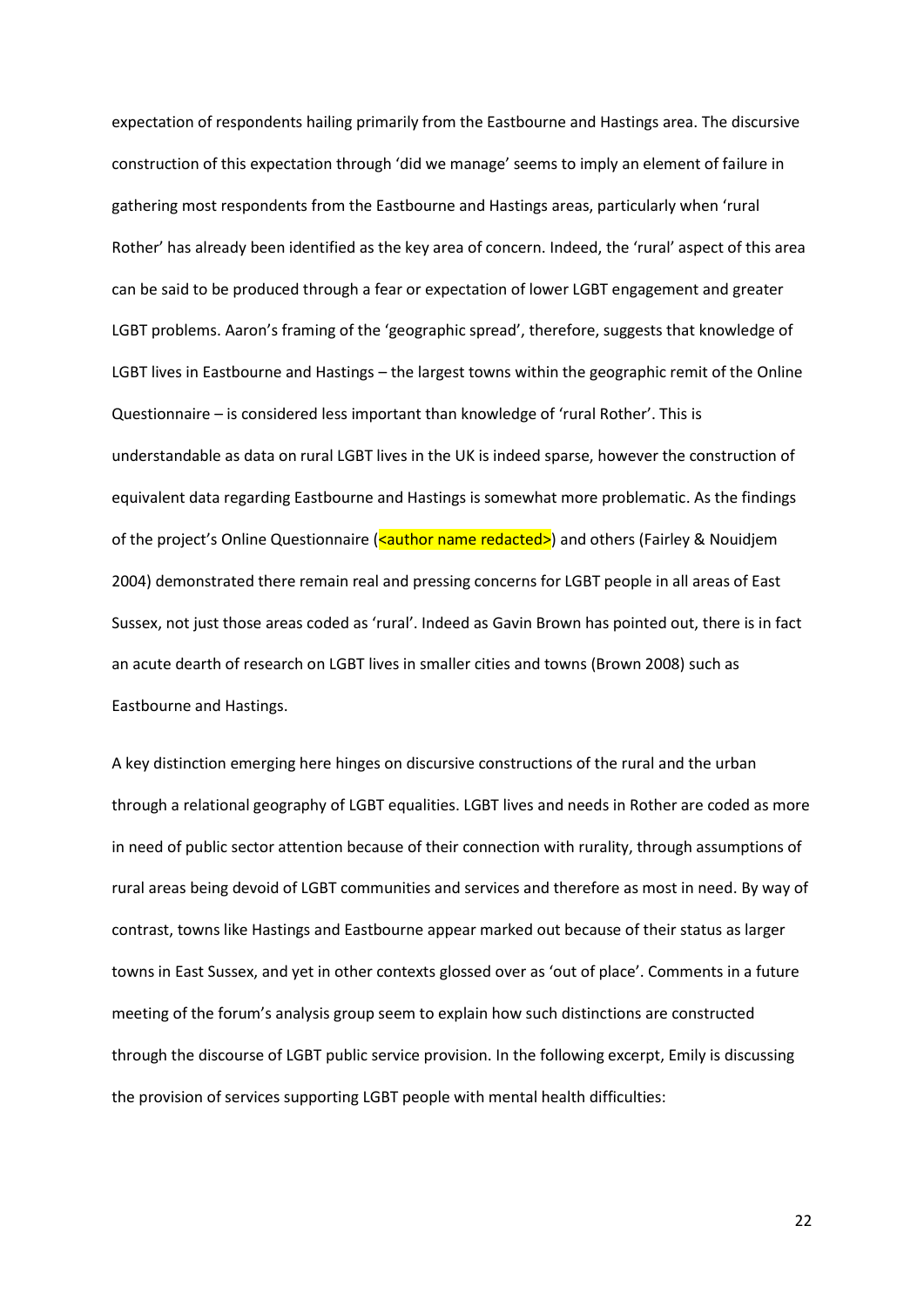expectation of respondents hailing primarily from the Eastbourne and Hastings area. The discursive construction of this expectation through 'did we manage' seems to imply an element of failure in gathering most respondents from the Eastbourne and Hastings areas, particularly when 'rural Rother' has already been identified as the key area of concern. Indeed, the 'rural' aspect of this area can be said to be produced through a fear or expectation of lower LGBT engagement and greater LGBT problems. Aaron's framing of the 'geographic spread', therefore, suggests that knowledge of LGBT lives in Eastbourne and Hastings – the largest towns within the geographic remit of the Online Questionnaire – is considered less important than knowledge of 'rural Rother'. This is understandable as data on rural LGBT lives in the UK is indeed sparse, however the construction of equivalent data regarding Eastbourne and Hastings is somewhat more problematic. As the findings of the project's Online Questionnaire (**<author name redacted>**) and others (Fairley & Nouidjem 2004) demonstrated there remain real and pressing concerns for LGBT people in all areas of East Sussex, not just those areas coded as 'rural'. Indeed as Gavin Brown has pointed out, there is in fact an acute dearth of research on LGBT lives in smaller cities and towns (Brown 2008) such as Eastbourne and Hastings.

A key distinction emerging here hinges on discursive constructions of the rural and the urban through a relational geography of LGBT equalities. LGBT lives and needs in Rother are coded as more in need of public sector attention because of their connection with rurality, through assumptions of rural areas being devoid of LGBT communities and services and therefore as most in need. By way of contrast, towns like Hastings and Eastbourne appear marked out because of their status as larger towns in East Sussex, and yet in other contexts glossed over as 'out of place'. Comments in a future meeting of the forum's analysis group seem to explain how such distinctions are constructed through the discourse of LGBT public service provision. In the following excerpt, Emily is discussing the provision of services supporting LGBT people with mental health difficulties: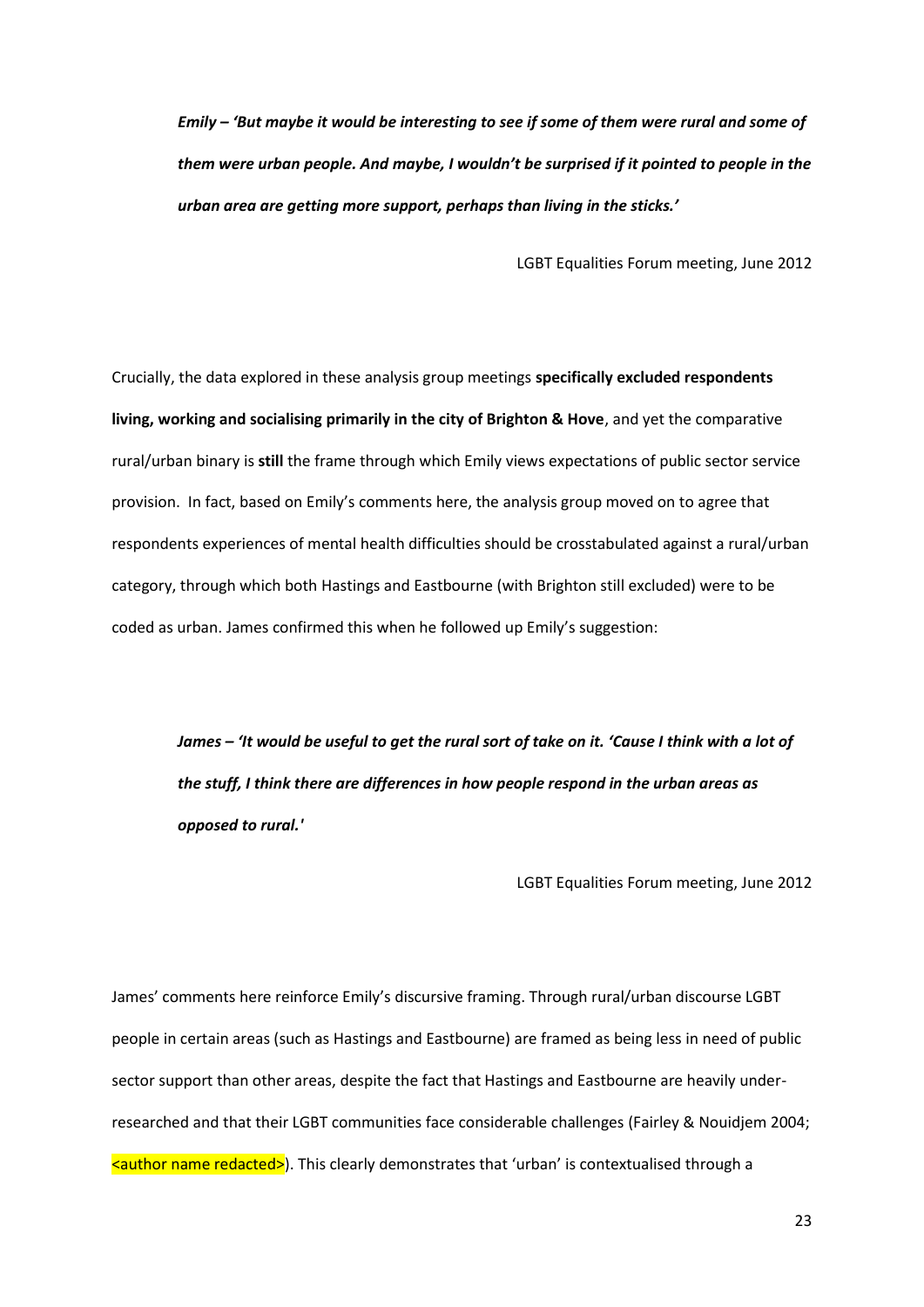*Emily – 'But maybe it would be interesting to see if some of them were rural and some of them were urban people. And maybe, I wouldn't be surprised if it pointed to people in the urban area are getting more support, perhaps than living in the sticks.'*

LGBT Equalities Forum meeting, June 2012

Crucially, the data explored in these analysis group meetings **specifically excluded respondents living, working and socialising primarily in the city of Brighton & Hove**, and yet the comparative rural/urban binary is **still** the frame through which Emily views expectations of public sector service provision. In fact, based on Emily's comments here, the analysis group moved on to agree that respondents experiences of mental health difficulties should be crosstabulated against a rural/urban category, through which both Hastings and Eastbourne (with Brighton still excluded) were to be coded as urban. James confirmed this when he followed up Emily's suggestion:

*James – 'It would be useful to get the rural sort of take on it. 'Cause I think with a lot of the stuff, I think there are differences in how people respond in the urban areas as opposed to rural.'*

LGBT Equalities Forum meeting, June 2012

James' comments here reinforce Emily's discursive framing. Through rural/urban discourse LGBT people in certain areas (such as Hastings and Eastbourne) are framed as being less in need of public sector support than other areas, despite the fact that Hastings and Eastbourne are heavily underresearched and that their LGBT communities face considerable challenges (Fairley & Nouidjem 2004; **<author name redacted>**). This clearly demonstrates that 'urban' is contextualised through a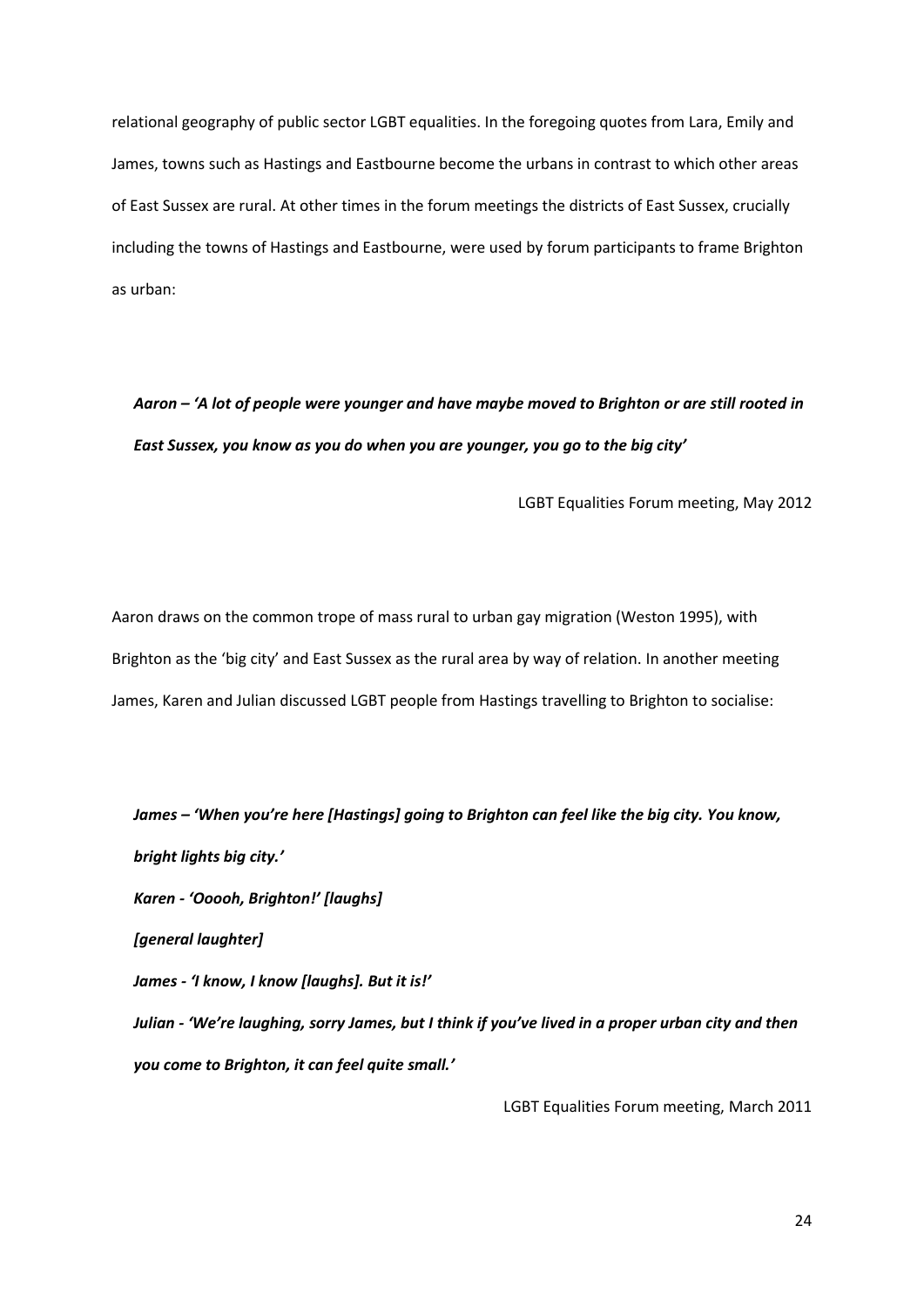relational geography of public sector LGBT equalities. In the foregoing quotes from Lara, Emily and James, towns such as Hastings and Eastbourne become the urbans in contrast to which other areas of East Sussex are rural. At other times in the forum meetings the districts of East Sussex, crucially including the towns of Hastings and Eastbourne, were used by forum participants to frame Brighton as urban:

## *Aaron – 'A lot of people were younger and have maybe moved to Brighton or are still rooted in East Sussex, you know as you do when you are younger, you go to the big city'*

LGBT Equalities Forum meeting, May 2012

Aaron draws on the common trope of mass rural to urban gay migration (Weston 1995), with Brighton as the 'big city' and East Sussex as the rural area by way of relation. In another meeting James, Karen and Julian discussed LGBT people from Hastings travelling to Brighton to socialise:

*James – 'When you're here [Hastings] going to Brighton can feel like the big city. You know, bright lights big city.' Karen - 'Ooooh, Brighton!' [laughs] [general laughter] James - 'I know, I know [laughs]. But it is!' Julian - 'We're laughing, sorry James, but I think if you've lived in a proper urban city and then you come to Brighton, it can feel quite small.'*

LGBT Equalities Forum meeting, March 2011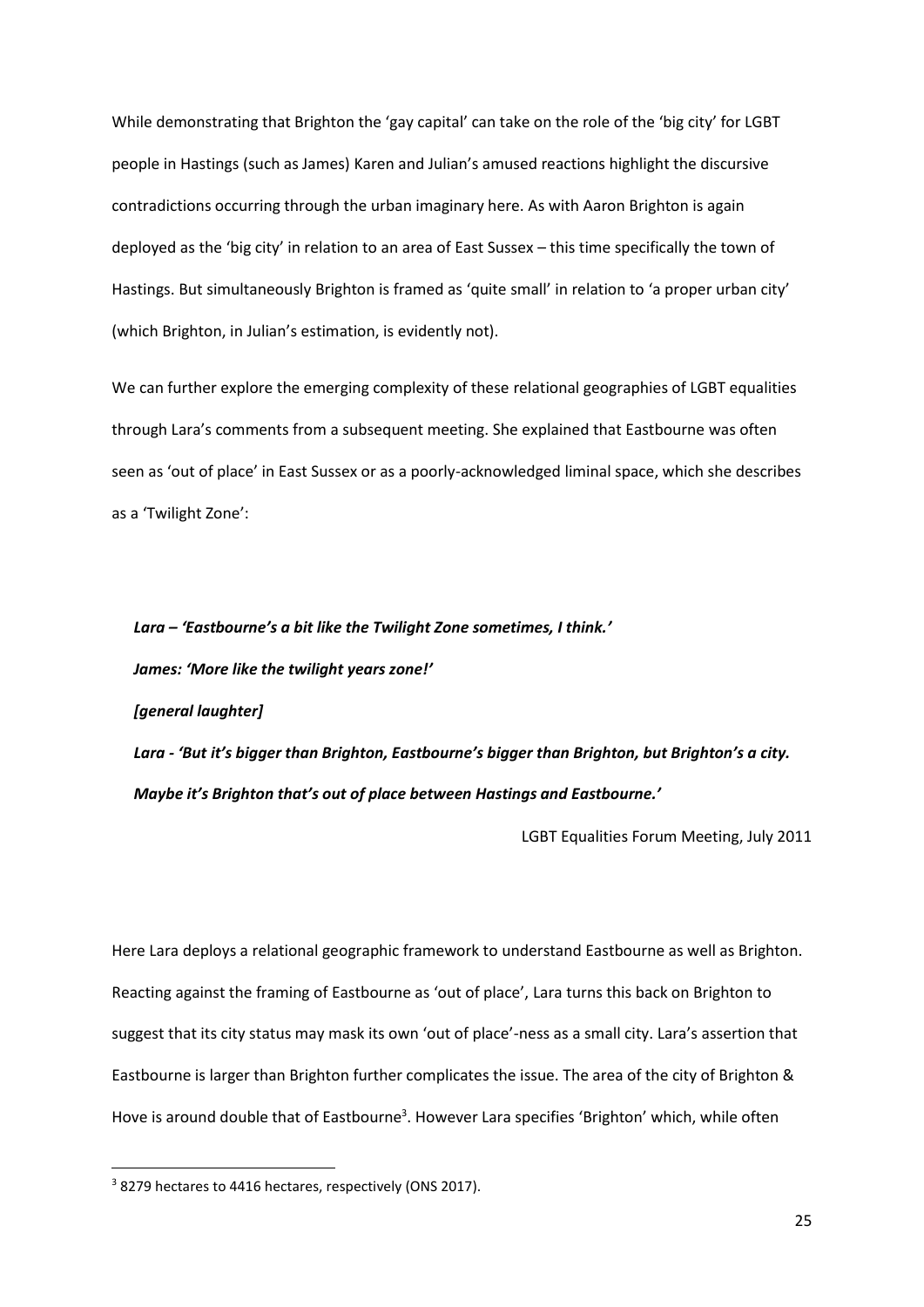While demonstrating that Brighton the 'gay capital' can take on the role of the 'big city' for LGBT people in Hastings (such as James) Karen and Julian's amused reactions highlight the discursive contradictions occurring through the urban imaginary here. As with Aaron Brighton is again deployed as the 'big city' in relation to an area of East Sussex – this time specifically the town of Hastings. But simultaneously Brighton is framed as 'quite small' in relation to 'a proper urban city' (which Brighton, in Julian's estimation, is evidently not).

We can further explore the emerging complexity of these relational geographies of LGBT equalities through Lara's comments from a subsequent meeting. She explained that Eastbourne was often seen as 'out of place' in East Sussex or as a poorly-acknowledged liminal space, which she describes as a 'Twilight Zone':

*Lara – 'Eastbourne's a bit like the Twilight Zone sometimes, I think.' James: 'More like the twilight years zone!' [general laughter] Lara - 'But it's bigger than Brighton, Eastbourne's bigger than Brighton, but Brighton's a city. Maybe it's Brighton that's out of place between Hastings and Eastbourne.'*

LGBT Equalities Forum Meeting, July 2011

Here Lara deploys a relational geographic framework to understand Eastbourne as well as Brighton. Reacting against the framing of Eastbourne as 'out of place', Lara turns this back on Brighton to suggest that its city status may mask its own 'out of place'-ness as a small city. Lara's assertion that Eastbourne is larger than Brighton further complicates the issue. The area of the city of Brighton & Hove is around double that of Eastbourne<sup>3</sup>. However Lara specifies 'Brighton' which, while often

**.** 

<sup>&</sup>lt;sup>3</sup> 8279 hectares to 4416 hectares, respectively (ONS 2017).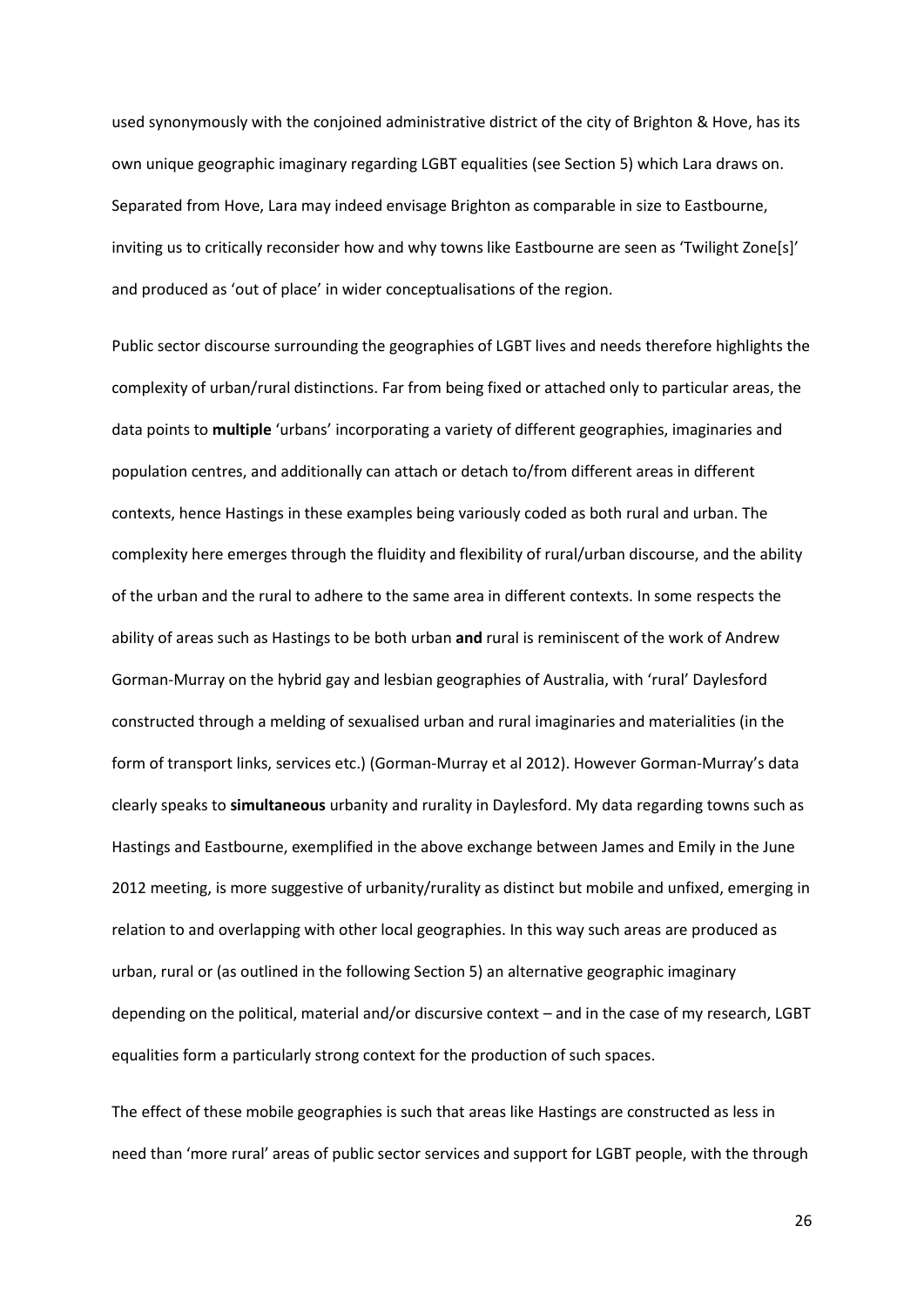used synonymously with the conjoined administrative district of the city of Brighton & Hove, has its own unique geographic imaginary regarding LGBT equalities (see Section 5) which Lara draws on. Separated from Hove, Lara may indeed envisage Brighton as comparable in size to Eastbourne, inviting us to critically reconsider how and why towns like Eastbourne are seen as 'Twilight Zone[s]' and produced as 'out of place' in wider conceptualisations of the region.

Public sector discourse surrounding the geographies of LGBT lives and needs therefore highlights the complexity of urban/rural distinctions. Far from being fixed or attached only to particular areas, the data points to **multiple** 'urbans' incorporating a variety of different geographies, imaginaries and population centres, and additionally can attach or detach to/from different areas in different contexts, hence Hastings in these examples being variously coded as both rural and urban. The complexity here emerges through the fluidity and flexibility of rural/urban discourse, and the ability of the urban and the rural to adhere to the same area in different contexts. In some respects the ability of areas such as Hastings to be both urban **and** rural is reminiscent of the work of Andrew Gorman-Murray on the hybrid gay and lesbian geographies of Australia, with 'rural' Daylesford constructed through a melding of sexualised urban and rural imaginaries and materialities (in the form of transport links, services etc.) (Gorman-Murray et al 2012). However Gorman-Murray's data clearly speaks to **simultaneous** urbanity and rurality in Daylesford. My data regarding towns such as Hastings and Eastbourne, exemplified in the above exchange between James and Emily in the June 2012 meeting, is more suggestive of urbanity/rurality as distinct but mobile and unfixed, emerging in relation to and overlapping with other local geographies. In this way such areas are produced as urban, rural or (as outlined in the following Section 5) an alternative geographic imaginary depending on the political, material and/or discursive context – and in the case of my research, LGBT equalities form a particularly strong context for the production of such spaces.

The effect of these mobile geographies is such that areas like Hastings are constructed as less in need than 'more rural' areas of public sector services and support for LGBT people, with the through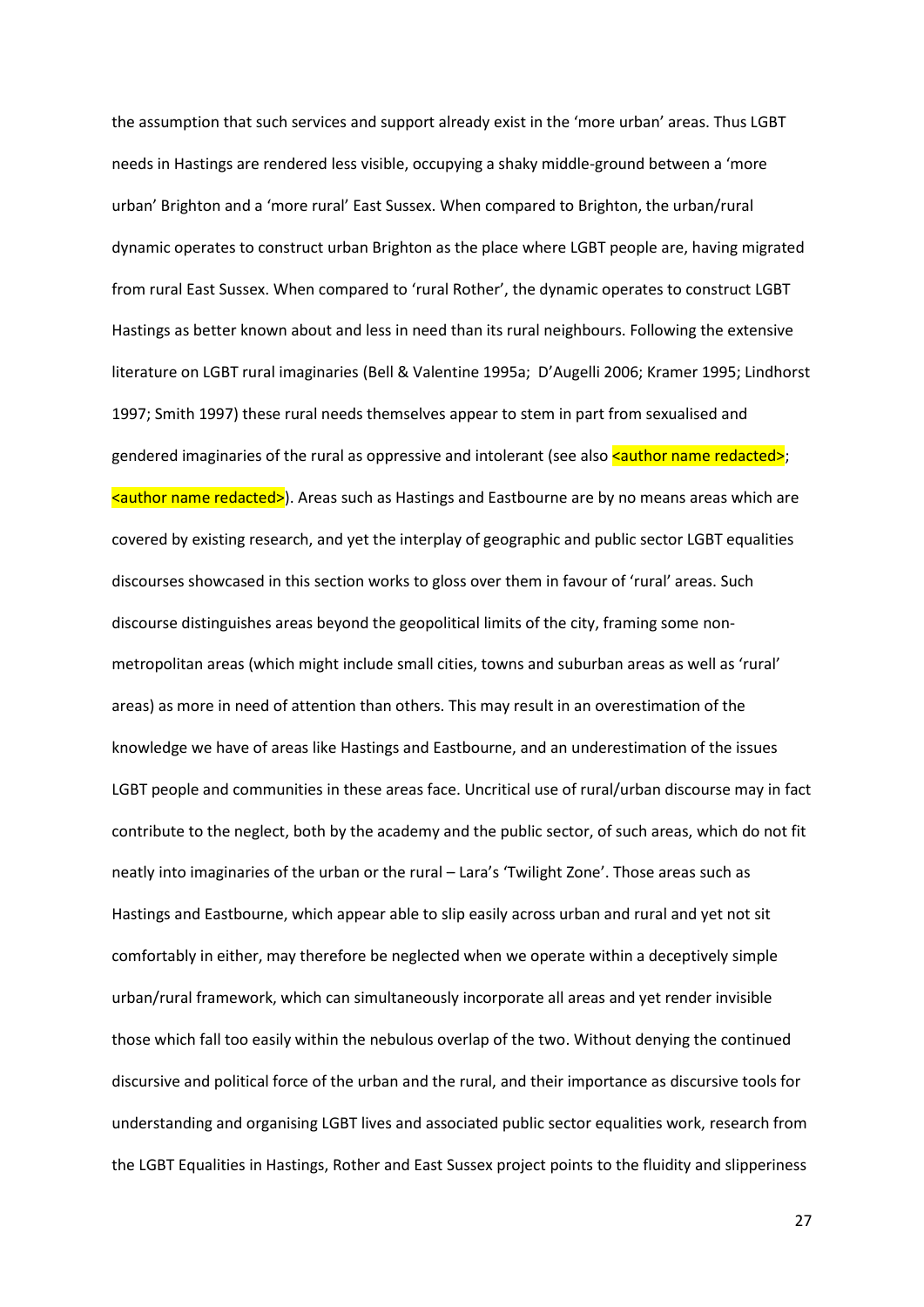the assumption that such services and support already exist in the 'more urban' areas. Thus LGBT needs in Hastings are rendered less visible, occupying a shaky middle-ground between a 'more urban' Brighton and a 'more rural' East Sussex. When compared to Brighton, the urban/rural dynamic operates to construct urban Brighton as the place where LGBT people are, having migrated from rural East Sussex. When compared to 'rural Rother', the dynamic operates to construct LGBT Hastings as better known about and less in need than its rural neighbours. Following the extensive literature on LGBT rural imaginaries (Bell & Valentine 1995a; D'Augelli 2006; Kramer 1995; Lindhorst 1997; Smith 1997) these rural needs themselves appear to stem in part from sexualised and gendered imaginaries of the rural as oppressive and intolerant (see also  $\leq$ author name redacted>; **<author name redacted>**). Areas such as Hastings and Eastbourne are by no means areas which are covered by existing research, and yet the interplay of geographic and public sector LGBT equalities discourses showcased in this section works to gloss over them in favour of 'rural' areas. Such discourse distinguishes areas beyond the geopolitical limits of the city, framing some nonmetropolitan areas (which might include small cities, towns and suburban areas as well as 'rural' areas) as more in need of attention than others. This may result in an overestimation of the knowledge we have of areas like Hastings and Eastbourne, and an underestimation of the issues LGBT people and communities in these areas face. Uncritical use of rural/urban discourse may in fact contribute to the neglect, both by the academy and the public sector, of such areas, which do not fit neatly into imaginaries of the urban or the rural – Lara's 'Twilight Zone'. Those areas such as Hastings and Eastbourne, which appear able to slip easily across urban and rural and yet not sit comfortably in either, may therefore be neglected when we operate within a deceptively simple urban/rural framework, which can simultaneously incorporate all areas and yet render invisible those which fall too easily within the nebulous overlap of the two. Without denying the continued discursive and political force of the urban and the rural, and their importance as discursive tools for understanding and organising LGBT lives and associated public sector equalities work, research from the LGBT Equalities in Hastings, Rother and East Sussex project points to the fluidity and slipperiness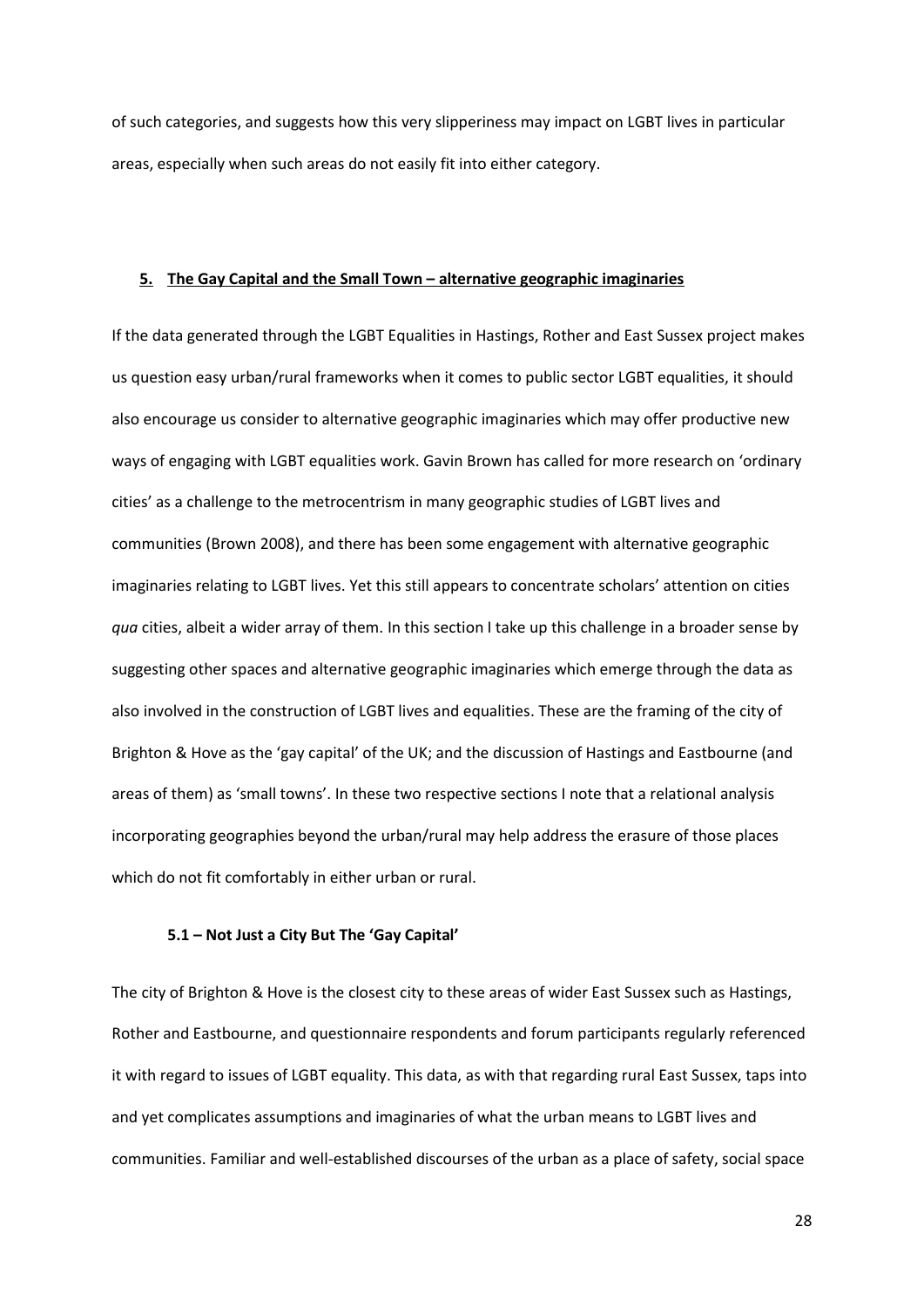of such categories, and suggests how this very slipperiness may impact on LGBT lives in particular areas, especially when such areas do not easily fit into either category.

### **5. The Gay Capital and the Small Town – alternative geographic imaginaries**

If the data generated through the LGBT Equalities in Hastings, Rother and East Sussex project makes us question easy urban/rural frameworks when it comes to public sector LGBT equalities, it should also encourage us consider to alternative geographic imaginaries which may offer productive new ways of engaging with LGBT equalities work. Gavin Brown has called for more research on 'ordinary cities' as a challenge to the metrocentrism in many geographic studies of LGBT lives and communities (Brown 2008), and there has been some engagement with alternative geographic imaginaries relating to LGBT lives. Yet this still appears to concentrate scholars' attention on cities *qua* cities, albeit a wider array of them. In this section I take up this challenge in a broader sense by suggesting other spaces and alternative geographic imaginaries which emerge through the data as also involved in the construction of LGBT lives and equalities. These are the framing of the city of Brighton & Hove as the 'gay capital' of the UK; and the discussion of Hastings and Eastbourne (and areas of them) as 'small towns'. In these two respective sections I note that a relational analysis incorporating geographies beyond the urban/rural may help address the erasure of those places which do not fit comfortably in either urban or rural.

#### **5.1 – Not Just a City But The 'Gay Capital'**

The city of Brighton & Hove is the closest city to these areas of wider East Sussex such as Hastings, Rother and Eastbourne, and questionnaire respondents and forum participants regularly referenced it with regard to issues of LGBT equality. This data, as with that regarding rural East Sussex, taps into and yet complicates assumptions and imaginaries of what the urban means to LGBT lives and communities. Familiar and well-established discourses of the urban as a place of safety, social space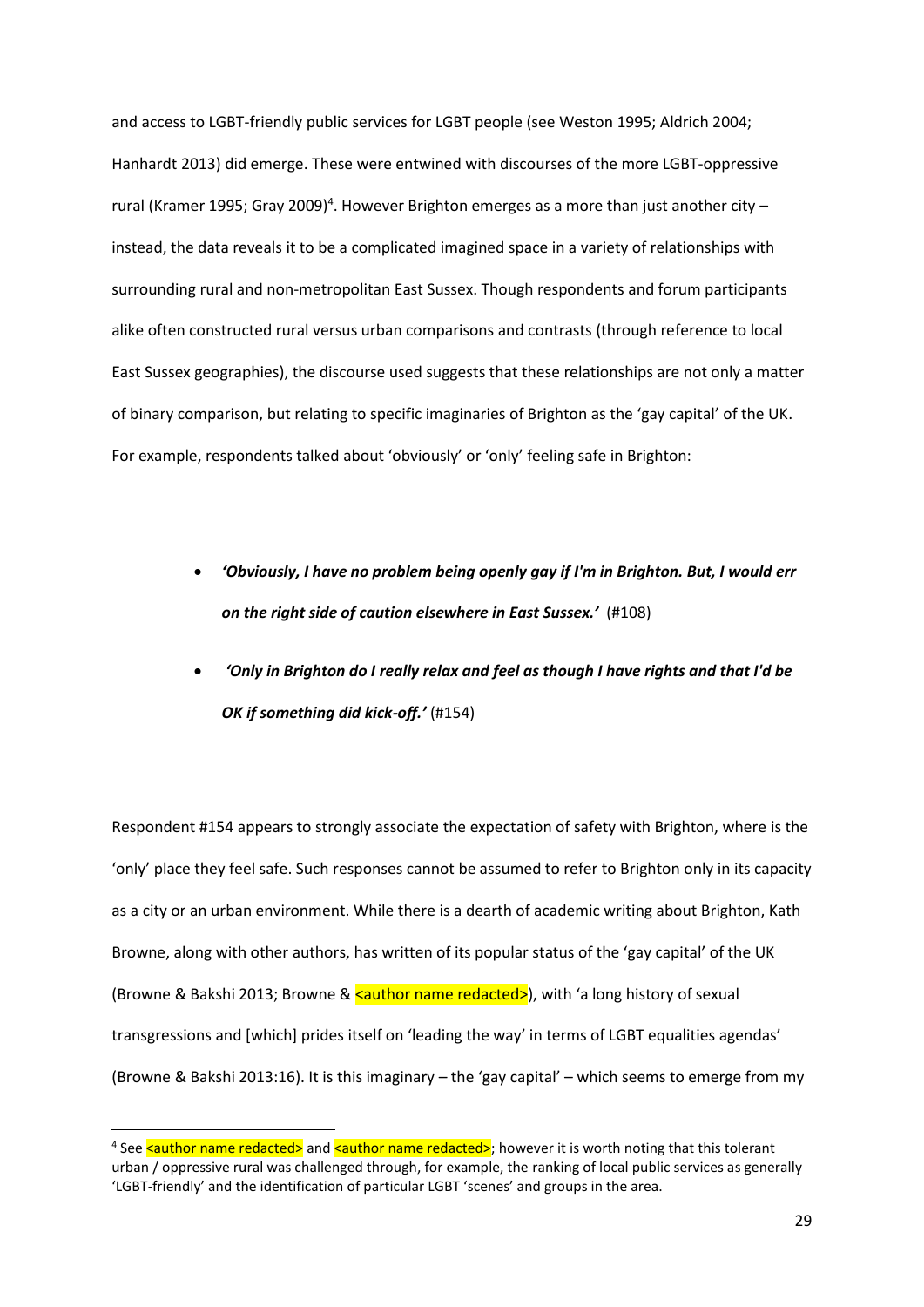and access to LGBT-friendly public services for LGBT people (see Weston 1995; Aldrich 2004; Hanhardt 2013) did emerge. These were entwined with discourses of the more LGBT-oppressive rural (Kramer 1995; Gray 2009)<sup>4</sup>. However Brighton emerges as a more than just another city instead, the data reveals it to be a complicated imagined space in a variety of relationships with surrounding rural and non-metropolitan East Sussex. Though respondents and forum participants alike often constructed rural versus urban comparisons and contrasts (through reference to local East Sussex geographies), the discourse used suggests that these relationships are not only a matter of binary comparison, but relating to specific imaginaries of Brighton as the 'gay capital' of the UK. For example, respondents talked about 'obviously' or 'only' feeling safe in Brighton:

- *'Obviously, I have no problem being openly gay if I'm in Brighton. But, I would err on the right side of caution elsewhere in East Sussex.'* (#108)
- *'Only in Brighton do I really relax and feel as though I have rights and that I'd be OK if something did kick-off.'* (#154)

Respondent #154 appears to strongly associate the expectation of safety with Brighton, where is the 'only' place they feel safe. Such responses cannot be assumed to refer to Brighton only in its capacity as a city or an urban environment. While there is a dearth of academic writing about Brighton, Kath Browne, along with other authors, has written of its popular status of the 'gay capital' of the UK (Browne & Bakshi 2013; Browne &  $\leq$ author name redacted>), with 'a long history of sexual transgressions and [which] prides itself on 'leading the way' in terms of LGBT equalities agendas' (Browne & Bakshi 2013:16). It is this imaginary – the 'gay capital' – which seems to emerge from my

**.** 

<sup>&</sup>lt;sup>4</sup> See <mark><author name redacted></mark> and <mark><author name redacted></mark>; however it is worth noting that this tolerant urban / oppressive rural was challenged through, for example, the ranking of local public services as generally 'LGBT-friendly' and the identification of particular LGBT 'scenes' and groups in the area.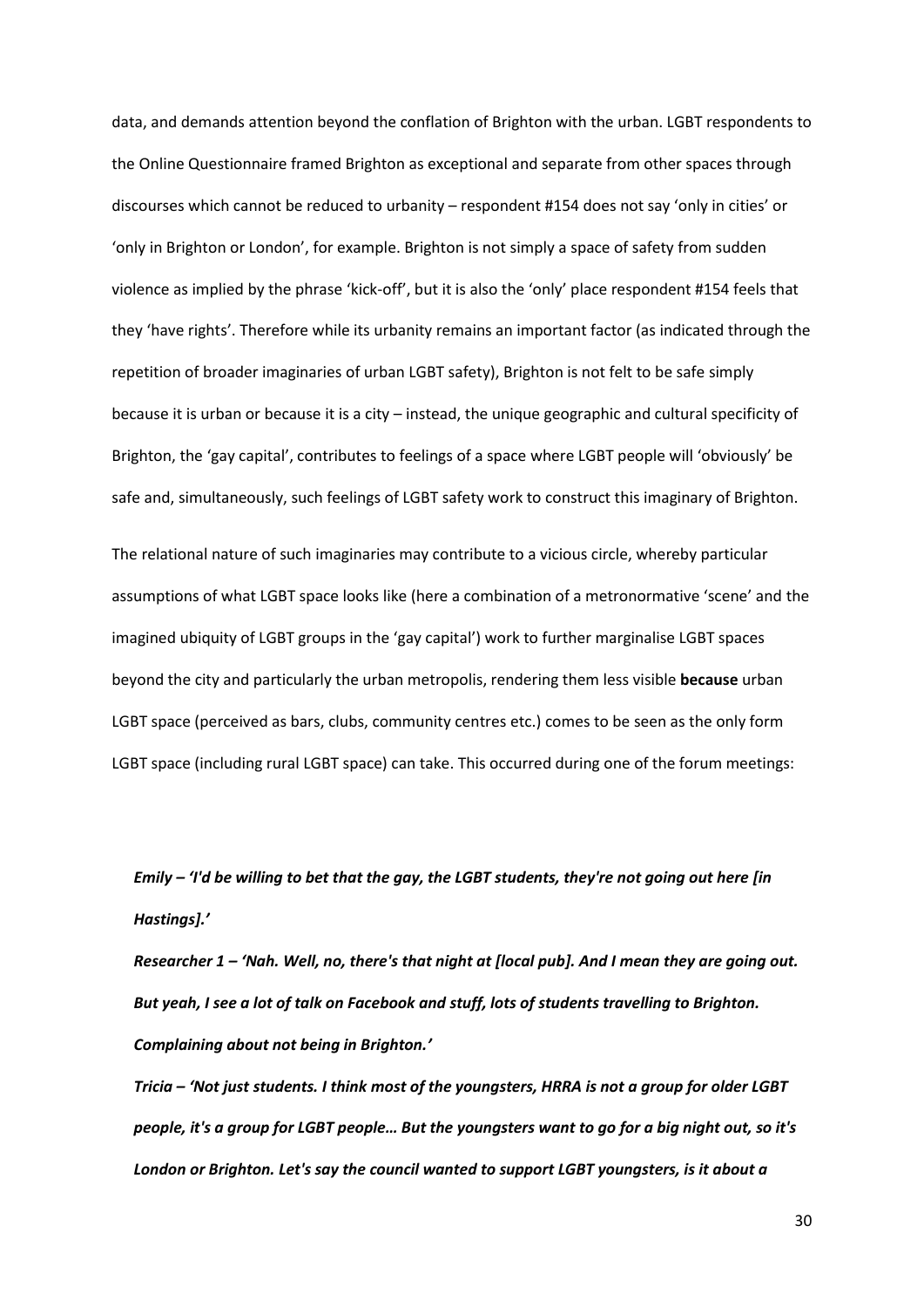data, and demands attention beyond the conflation of Brighton with the urban. LGBT respondents to the Online Questionnaire framed Brighton as exceptional and separate from other spaces through discourses which cannot be reduced to urbanity – respondent #154 does not say 'only in cities' or 'only in Brighton or London', for example. Brighton is not simply a space of safety from sudden violence as implied by the phrase 'kick-off', but it is also the 'only' place respondent #154 feels that they 'have rights'. Therefore while its urbanity remains an important factor (as indicated through the repetition of broader imaginaries of urban LGBT safety), Brighton is not felt to be safe simply because it is urban or because it is a city – instead, the unique geographic and cultural specificity of Brighton, the 'gay capital', contributes to feelings of a space where LGBT people will 'obviously' be safe and, simultaneously, such feelings of LGBT safety work to construct this imaginary of Brighton.

The relational nature of such imaginaries may contribute to a vicious circle, whereby particular assumptions of what LGBT space looks like (here a combination of a metronormative 'scene' and the imagined ubiquity of LGBT groups in the 'gay capital') work to further marginalise LGBT spaces beyond the city and particularly the urban metropolis, rendering them less visible **because** urban LGBT space (perceived as bars, clubs, community centres etc.) comes to be seen as the only form LGBT space (including rural LGBT space) can take. This occurred during one of the forum meetings:

*Emily – 'I'd be willing to bet that the gay, the LGBT students, they're not going out here [in Hastings].'*

*Researcher 1 – 'Nah. Well, no, there's that night at [local pub]. And I mean they are going out. But yeah, I see a lot of talk on Facebook and stuff, lots of students travelling to Brighton. Complaining about not being in Brighton.'*

*Tricia – 'Not just students. I think most of the youngsters, HRRA is not a group for older LGBT people, it's a group for LGBT people… But the youngsters want to go for a big night out, so it's London or Brighton. Let's say the council wanted to support LGBT youngsters, is it about a*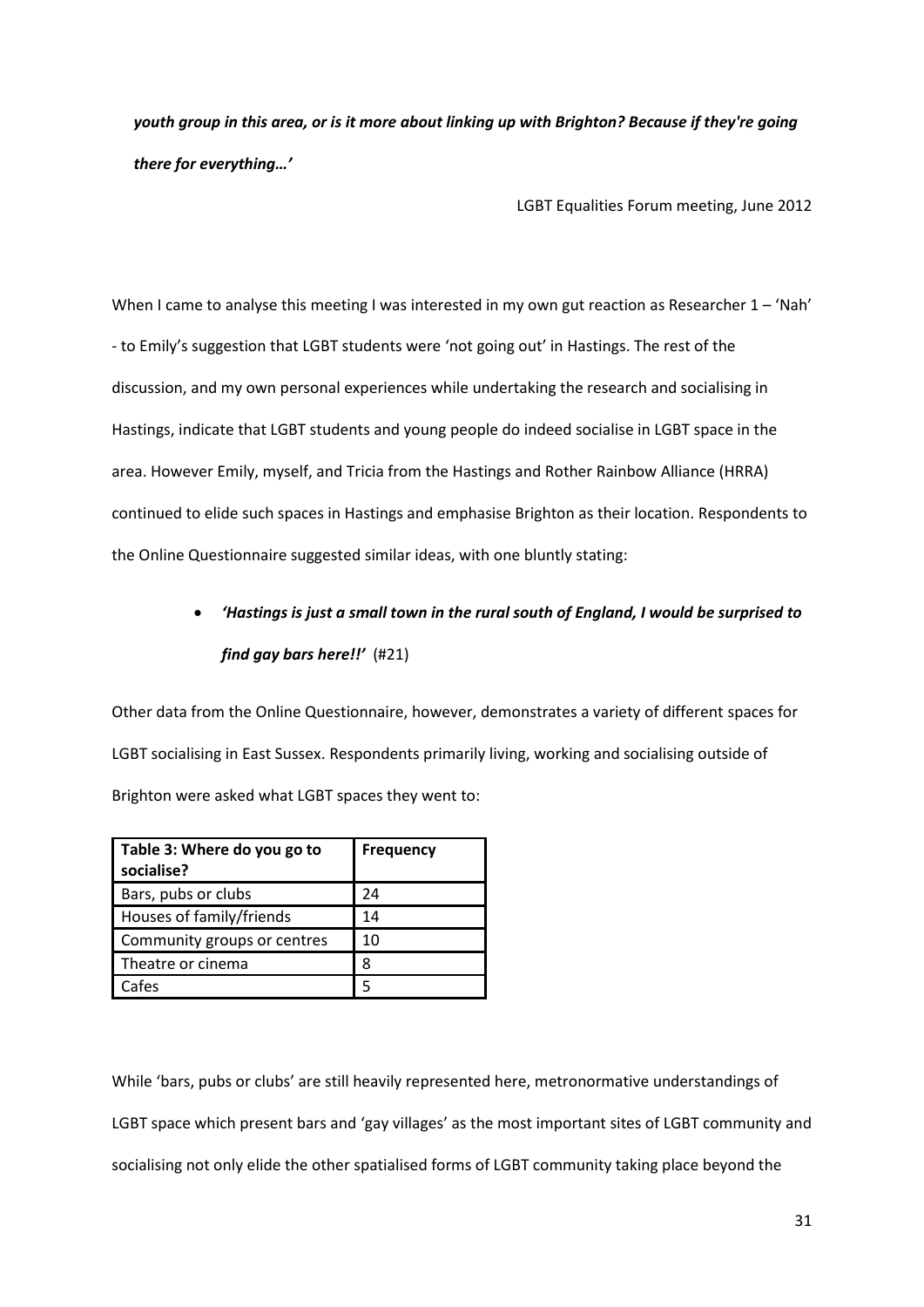*youth group in this area, or is it more about linking up with Brighton? Because if they're going there for everything…'*

LGBT Equalities Forum meeting, June 2012

When I came to analyse this meeting I was interested in my own gut reaction as Researcher 1 – 'Nah' - to Emily's suggestion that LGBT students were 'not going out' in Hastings. The rest of the discussion, and my own personal experiences while undertaking the research and socialising in Hastings, indicate that LGBT students and young people do indeed socialise in LGBT space in the area. However Emily, myself, and Tricia from the Hastings and Rother Rainbow Alliance (HRRA) continued to elide such spaces in Hastings and emphasise Brighton as their location. Respondents to the Online Questionnaire suggested similar ideas, with one bluntly stating:

## *'Hastings is just a small town in the rural south of England, I would be surprised to find gay bars here!!'* (#21)

Other data from the Online Questionnaire, however, demonstrates a variety of different spaces for LGBT socialising in East Sussex. Respondents primarily living, working and socialising outside of Brighton were asked what LGBT spaces they went to:

| Table 3: Where do you go to<br>socialise? | <b>Frequency</b> |
|-------------------------------------------|------------------|
| Bars, pubs or clubs                       | 24               |
| Houses of family/friends                  | 14               |
| Community groups or centres               | 10               |
| Theatre or cinema                         | 8                |
| Cafes                                     | 5                |

While 'bars, pubs or clubs' are still heavily represented here, metronormative understandings of LGBT space which present bars and 'gay villages' as the most important sites of LGBT community and socialising not only elide the other spatialised forms of LGBT community taking place beyond the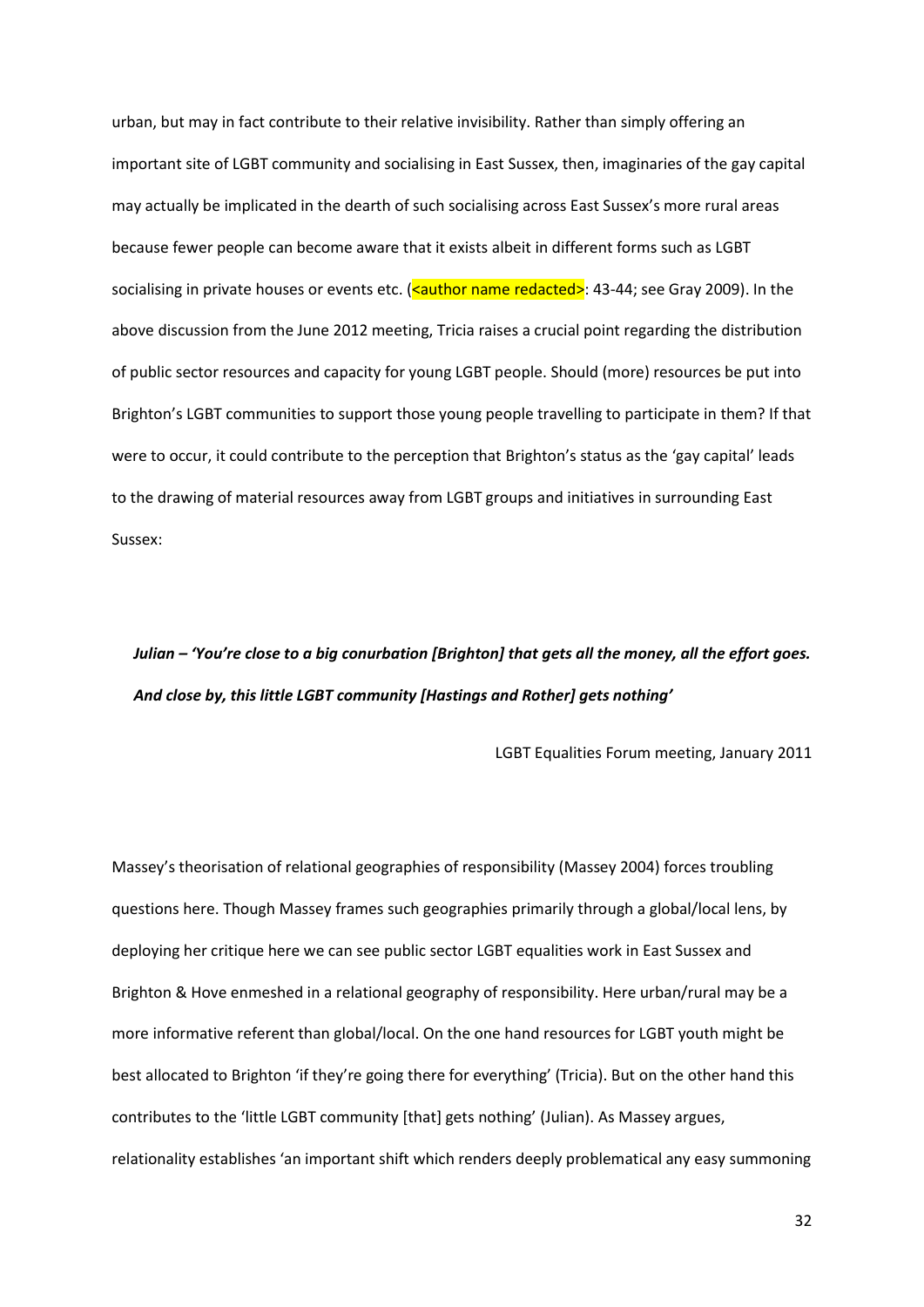urban, but may in fact contribute to their relative invisibility. Rather than simply offering an important site of LGBT community and socialising in East Sussex, then, imaginaries of the gay capital may actually be implicated in the dearth of such socialising across East Sussex's more rural areas because fewer people can become aware that it exists albeit in different forms such as LGBT socialising in private houses or events etc. (<author name redacted>: 43-44; see Gray 2009). In the above discussion from the June 2012 meeting, Tricia raises a crucial point regarding the distribution of public sector resources and capacity for young LGBT people. Should (more) resources be put into Brighton's LGBT communities to support those young people travelling to participate in them? If that were to occur, it could contribute to the perception that Brighton's status as the 'gay capital' leads to the drawing of material resources away from LGBT groups and initiatives in surrounding East Sussex:

# *Julian – 'You're close to a big conurbation [Brighton] that gets all the money, all the effort goes. And close by, this little LGBT community [Hastings and Rother] gets nothing'*

LGBT Equalities Forum meeting, January 2011

Massey's theorisation of relational geographies of responsibility (Massey 2004) forces troubling questions here. Though Massey frames such geographies primarily through a global/local lens, by deploying her critique here we can see public sector LGBT equalities work in East Sussex and Brighton & Hove enmeshed in a relational geography of responsibility. Here urban/rural may be a more informative referent than global/local. On the one hand resources for LGBT youth might be best allocated to Brighton 'if they're going there for everything' (Tricia). But on the other hand this contributes to the 'little LGBT community [that] gets nothing' (Julian). As Massey argues, relationality establishes 'an important shift which renders deeply problematical any easy summoning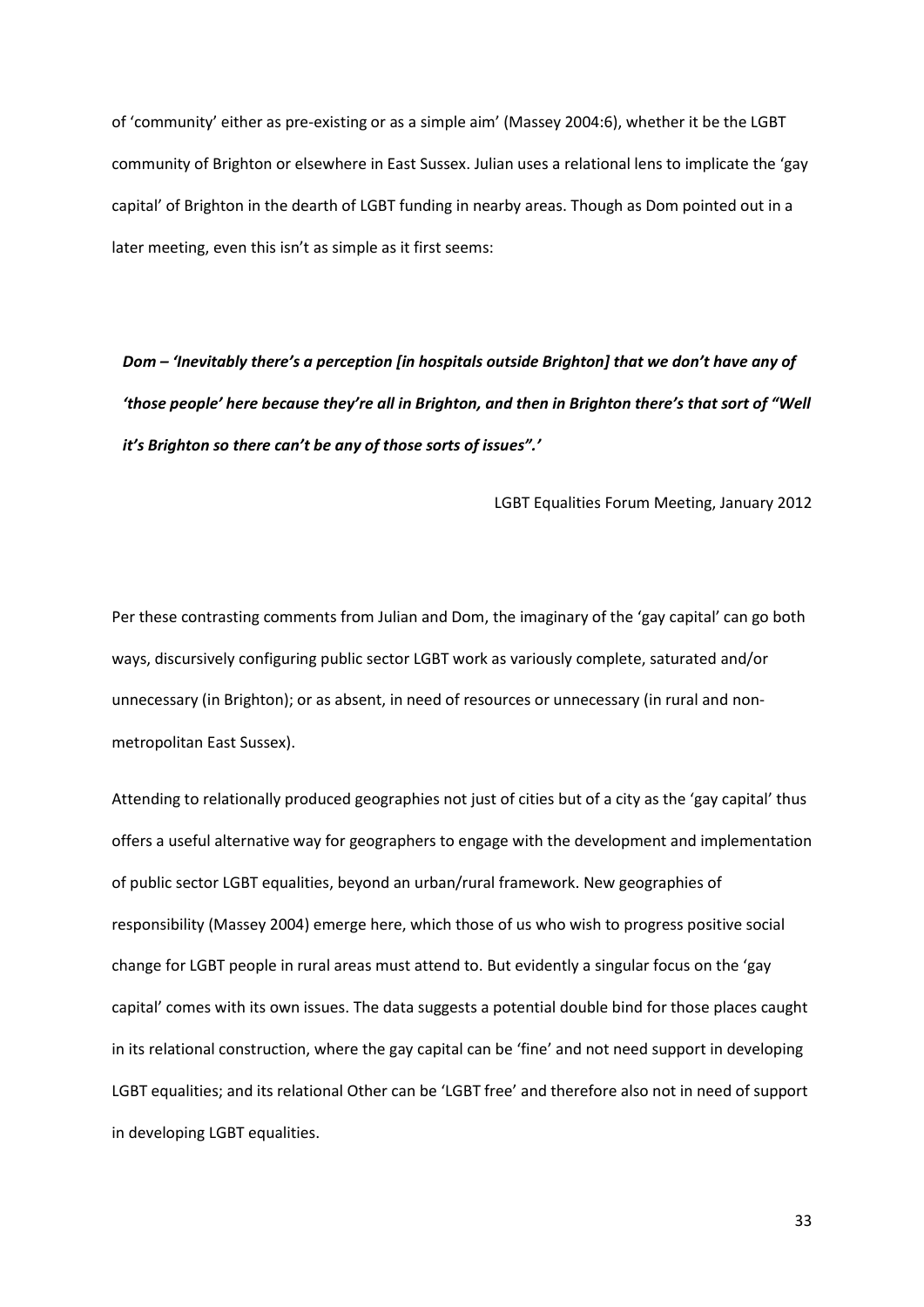of 'community' either as pre-existing or as a simple aim' (Massey 2004:6), whether it be the LGBT community of Brighton or elsewhere in East Sussex. Julian uses a relational lens to implicate the 'gay capital' of Brighton in the dearth of LGBT funding in nearby areas. Though as Dom pointed out in a later meeting, even this isn't as simple as it first seems:

*Dom – 'Inevitably there's a perception [in hospitals outside Brighton] that we don't have any of 'those people' here because they're all in Brighton, and then in Brighton there's that sort of "Well it's Brighton so there can't be any of those sorts of issues".'* 

LGBT Equalities Forum Meeting, January 2012

Per these contrasting comments from Julian and Dom, the imaginary of the 'gay capital' can go both ways, discursively configuring public sector LGBT work as variously complete, saturated and/or unnecessary (in Brighton); or as absent, in need of resources or unnecessary (in rural and nonmetropolitan East Sussex).

Attending to relationally produced geographies not just of cities but of a city as the 'gay capital' thus offers a useful alternative way for geographers to engage with the development and implementation of public sector LGBT equalities, beyond an urban/rural framework. New geographies of responsibility (Massey 2004) emerge here, which those of us who wish to progress positive social change for LGBT people in rural areas must attend to. But evidently a singular focus on the 'gay capital' comes with its own issues. The data suggests a potential double bind for those places caught in its relational construction, where the gay capital can be 'fine' and not need support in developing LGBT equalities; and its relational Other can be 'LGBT free' and therefore also not in need of support in developing LGBT equalities.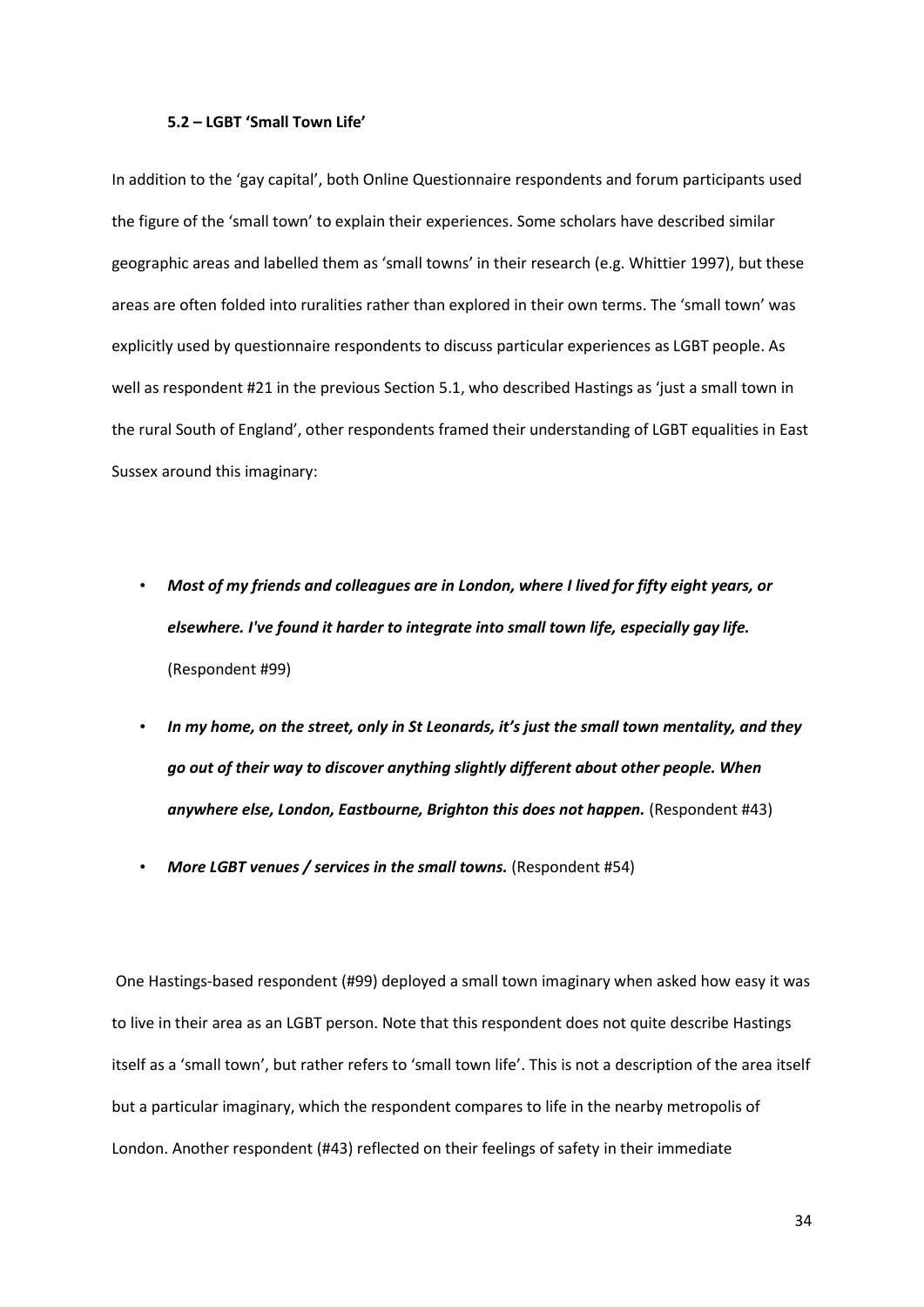#### **5.2 – LGBT 'Small Town Life'**

In addition to the 'gay capital', both Online Questionnaire respondents and forum participants used the figure of the 'small town' to explain their experiences. Some scholars have described similar geographic areas and labelled them as 'small towns' in their research (e.g. Whittier 1997), but these areas are often folded into ruralities rather than explored in their own terms. The 'small town' was explicitly used by questionnaire respondents to discuss particular experiences as LGBT people. As well as respondent #21 in the previous Section 5.1, who described Hastings as 'just a small town in the rural South of England', other respondents framed their understanding of LGBT equalities in East Sussex around this imaginary:

- *Most of my friends and colleagues are in London, where I lived for fifty eight years, or elsewhere. I've found it harder to integrate into small town life, especially gay life.*  (Respondent #99)
- *In my home, on the street, only in St Leonards, it's just the small town mentality, and they go out of their way to discover anything slightly different about other people. When anywhere else, London, Eastbourne, Brighton this does not happen.* (Respondent #43)
- More LGBT venues / services in the small towns. (Respondent #54)

One Hastings-based respondent (#99) deployed a small town imaginary when asked how easy it was to live in their area as an LGBT person. Note that this respondent does not quite describe Hastings itself as a 'small town', but rather refers to 'small town life'. This is not a description of the area itself but a particular imaginary, which the respondent compares to life in the nearby metropolis of London. Another respondent (#43) reflected on their feelings of safety in their immediate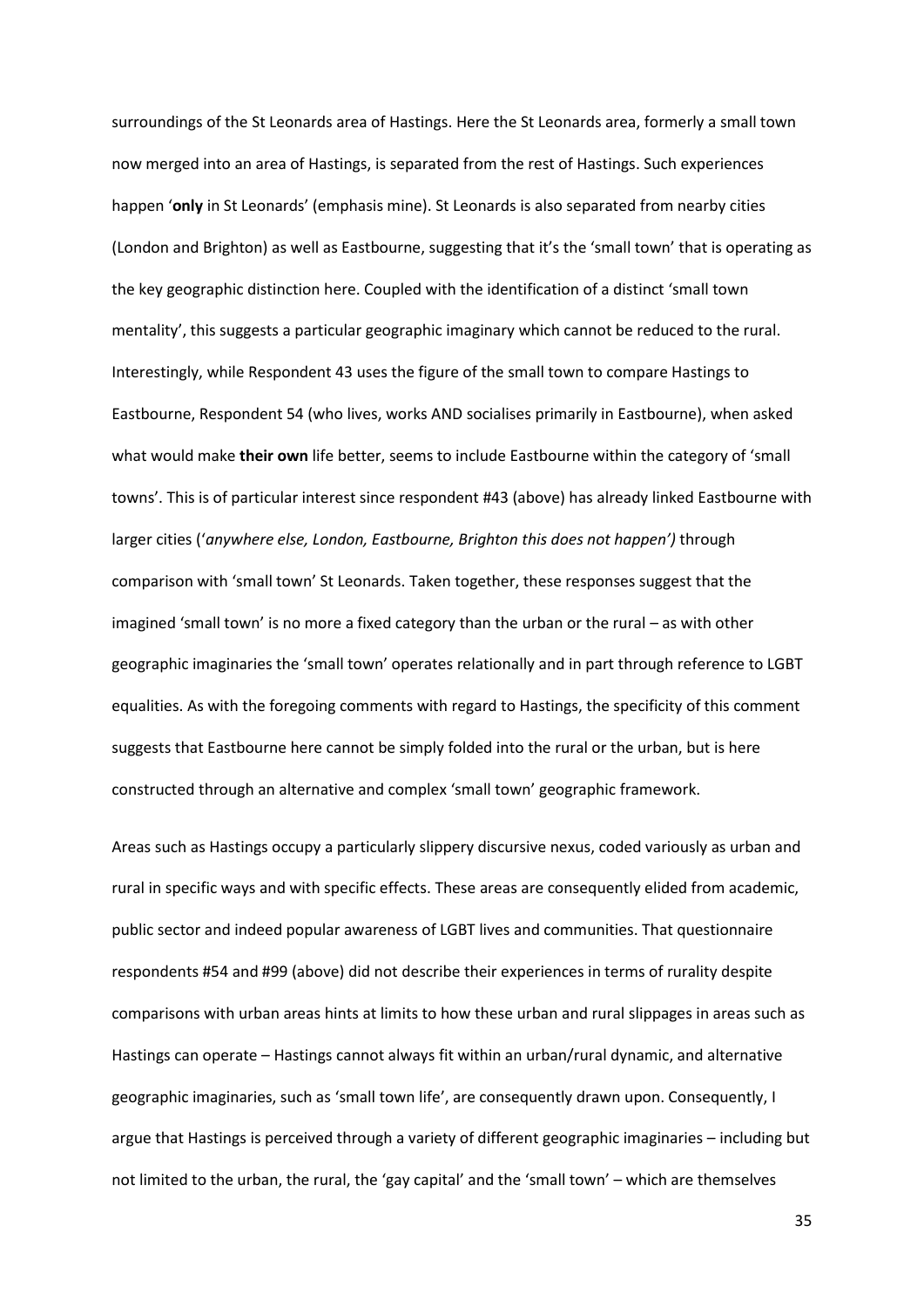surroundings of the St Leonards area of Hastings. Here the St Leonards area, formerly a small town now merged into an area of Hastings, is separated from the rest of Hastings. Such experiences happen '**only** in St Leonards' (emphasis mine). St Leonards is also separated from nearby cities (London and Brighton) as well as Eastbourne, suggesting that it's the 'small town' that is operating as the key geographic distinction here. Coupled with the identification of a distinct 'small town mentality', this suggests a particular geographic imaginary which cannot be reduced to the rural. Interestingly, while Respondent 43 uses the figure of the small town to compare Hastings to Eastbourne, Respondent 54 (who lives, works AND socialises primarily in Eastbourne), when asked what would make **their own** life better, seems to include Eastbourne within the category of 'small towns'. This is of particular interest since respondent #43 (above) has already linked Eastbourne with larger cities ('*anywhere else, London, Eastbourne, Brighton this does not happen')* through comparison with 'small town' St Leonards. Taken together, these responses suggest that the imagined 'small town' is no more a fixed category than the urban or the rural – as with other geographic imaginaries the 'small town' operates relationally and in part through reference to LGBT equalities. As with the foregoing comments with regard to Hastings, the specificity of this comment suggests that Eastbourne here cannot be simply folded into the rural or the urban, but is here constructed through an alternative and complex 'small town' geographic framework.

Areas such as Hastings occupy a particularly slippery discursive nexus, coded variously as urban and rural in specific ways and with specific effects. These areas are consequently elided from academic, public sector and indeed popular awareness of LGBT lives and communities. That questionnaire respondents #54 and #99 (above) did not describe their experiences in terms of rurality despite comparisons with urban areas hints at limits to how these urban and rural slippages in areas such as Hastings can operate – Hastings cannot always fit within an urban/rural dynamic, and alternative geographic imaginaries, such as 'small town life', are consequently drawn upon. Consequently, I argue that Hastings is perceived through a variety of different geographic imaginaries – including but not limited to the urban, the rural, the 'gay capital' and the 'small town' – which are themselves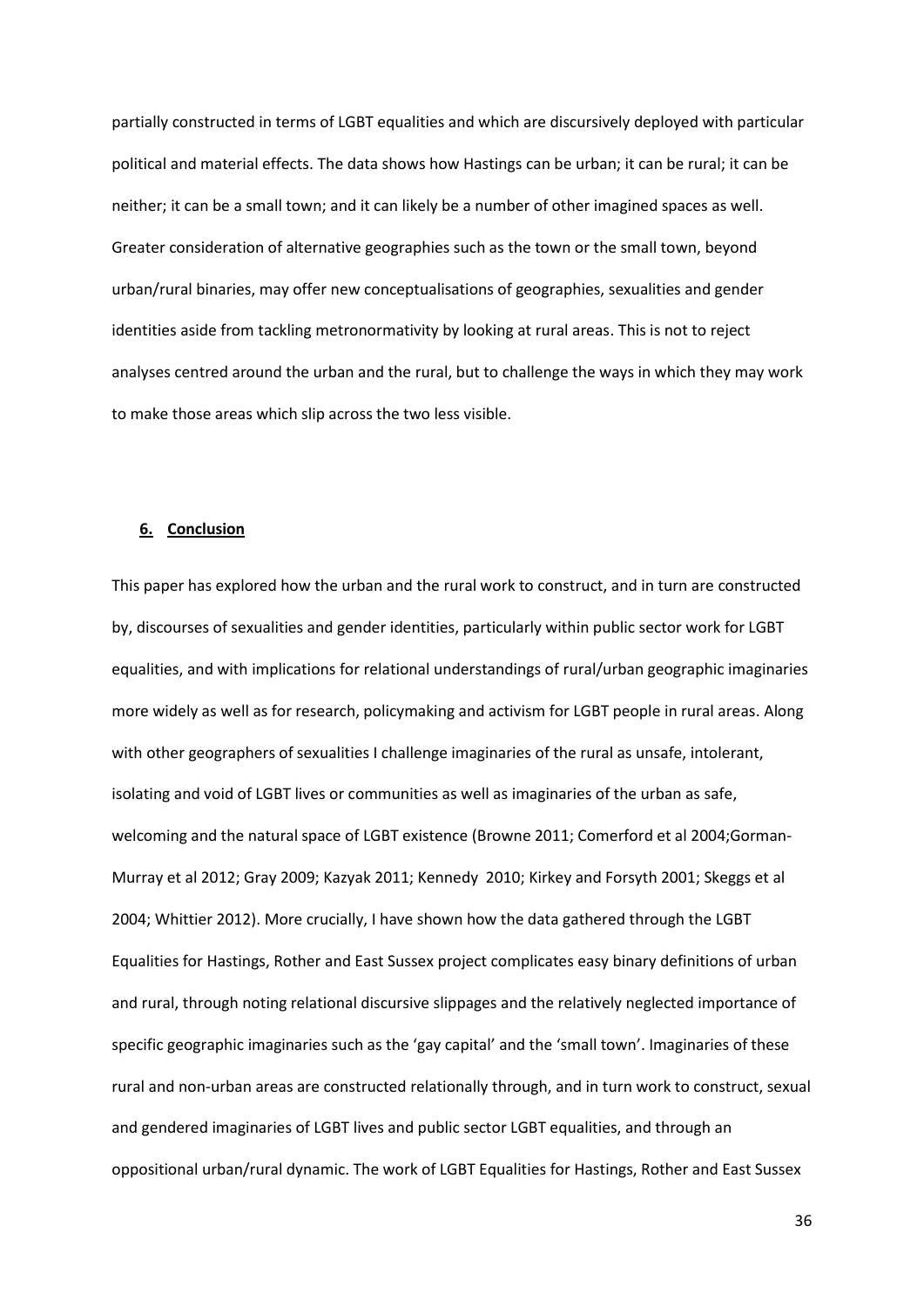partially constructed in terms of LGBT equalities and which are discursively deployed with particular political and material effects. The data shows how Hastings can be urban; it can be rural; it can be neither; it can be a small town; and it can likely be a number of other imagined spaces as well. Greater consideration of alternative geographies such as the town or the small town, beyond urban/rural binaries, may offer new conceptualisations of geographies, sexualities and gender identities aside from tackling metronormativity by looking at rural areas. This is not to reject analyses centred around the urban and the rural, but to challenge the ways in which they may work to make those areas which slip across the two less visible.

#### **6. Conclusion**

This paper has explored how the urban and the rural work to construct, and in turn are constructed by, discourses of sexualities and gender identities, particularly within public sector work for LGBT equalities, and with implications for relational understandings of rural/urban geographic imaginaries more widely as well as for research, policymaking and activism for LGBT people in rural areas. Along with other geographers of sexualities I challenge imaginaries of the rural as unsafe, intolerant, isolating and void of LGBT lives or communities as well as imaginaries of the urban as safe, welcoming and the natural space of LGBT existence (Browne 2011; Comerford et al 2004;Gorman-Murray et al 2012; Gray 2009; Kazyak 2011; Kennedy 2010; Kirkey and Forsyth 2001; Skeggs et al 2004; Whittier 2012). More crucially, I have shown how the data gathered through the LGBT Equalities for Hastings, Rother and East Sussex project complicates easy binary definitions of urban and rural, through noting relational discursive slippages and the relatively neglected importance of specific geographic imaginaries such as the 'gay capital' and the 'small town'. Imaginaries of these rural and non-urban areas are constructed relationally through, and in turn work to construct, sexual and gendered imaginaries of LGBT lives and public sector LGBT equalities, and through an oppositional urban/rural dynamic. The work of LGBT Equalities for Hastings, Rother and East Sussex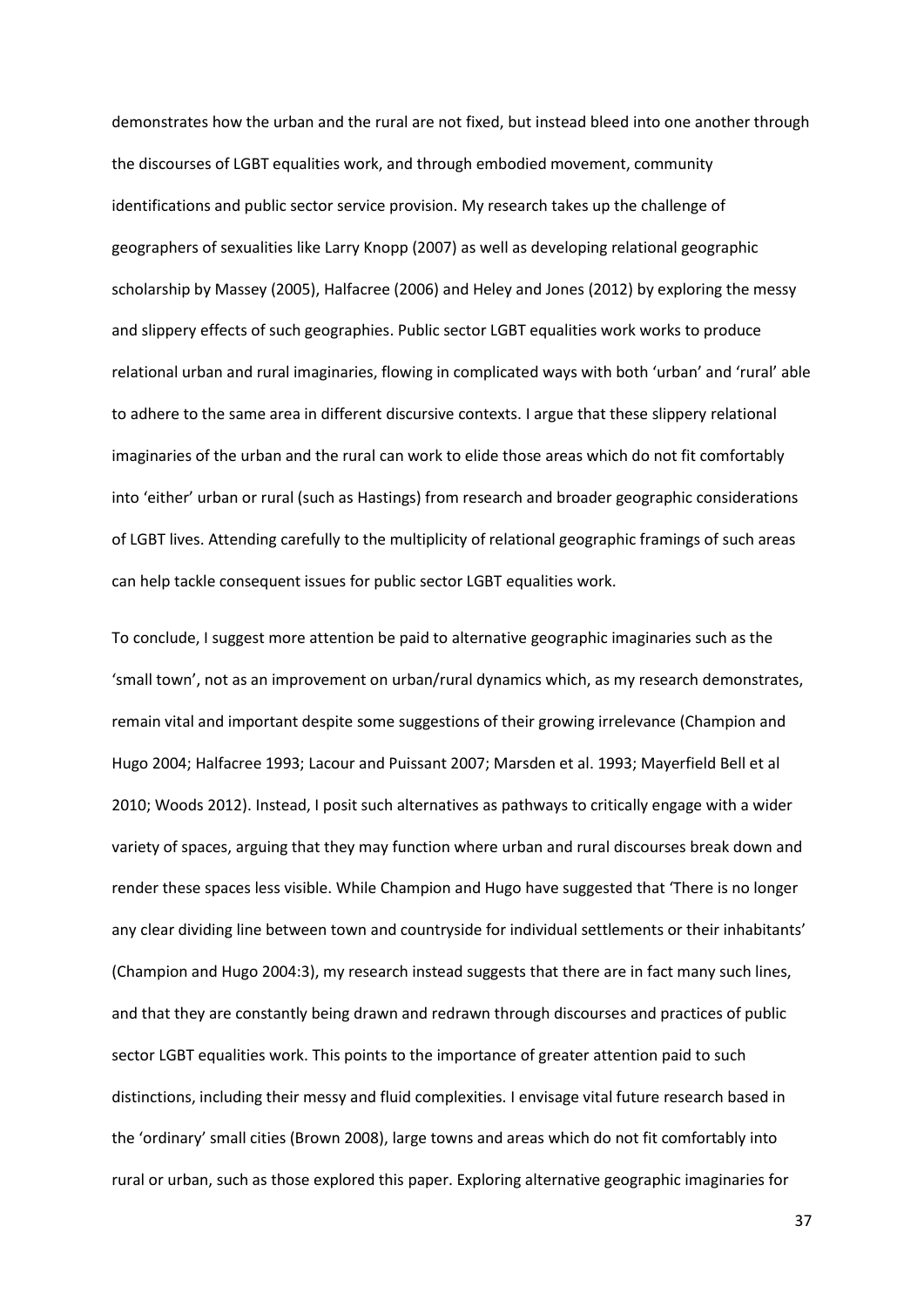demonstrates how the urban and the rural are not fixed, but instead bleed into one another through the discourses of LGBT equalities work, and through embodied movement, community identifications and public sector service provision. My research takes up the challenge of geographers of sexualities like Larry Knopp (2007) as well as developing relational geographic scholarship by Massey (2005), Halfacree (2006) and Heley and Jones (2012) by exploring the messy and slippery effects of such geographies. Public sector LGBT equalities work works to produce relational urban and rural imaginaries, flowing in complicated ways with both 'urban' and 'rural' able to adhere to the same area in different discursive contexts. I argue that these slippery relational imaginaries of the urban and the rural can work to elide those areas which do not fit comfortably into 'either' urban or rural (such as Hastings) from research and broader geographic considerations of LGBT lives. Attending carefully to the multiplicity of relational geographic framings of such areas can help tackle consequent issues for public sector LGBT equalities work.

To conclude, I suggest more attention be paid to alternative geographic imaginaries such as the 'small town', not as an improvement on urban/rural dynamics which, as my research demonstrates, remain vital and important despite some suggestions of their growing irrelevance (Champion and Hugo 2004; Halfacree 1993; Lacour and Puissant 2007; Marsden et al. 1993; Mayerfield Bell et al 2010; Woods 2012). Instead, I posit such alternatives as pathways to critically engage with a wider variety of spaces, arguing that they may function where urban and rural discourses break down and render these spaces less visible. While Champion and Hugo have suggested that 'There is no longer any clear dividing line between town and countryside for individual settlements or their inhabitants' (Champion and Hugo 2004:3), my research instead suggests that there are in fact many such lines, and that they are constantly being drawn and redrawn through discourses and practices of public sector LGBT equalities work. This points to the importance of greater attention paid to such distinctions, including their messy and fluid complexities. I envisage vital future research based in the 'ordinary' small cities (Brown 2008), large towns and areas which do not fit comfortably into rural or urban, such as those explored this paper. Exploring alternative geographic imaginaries for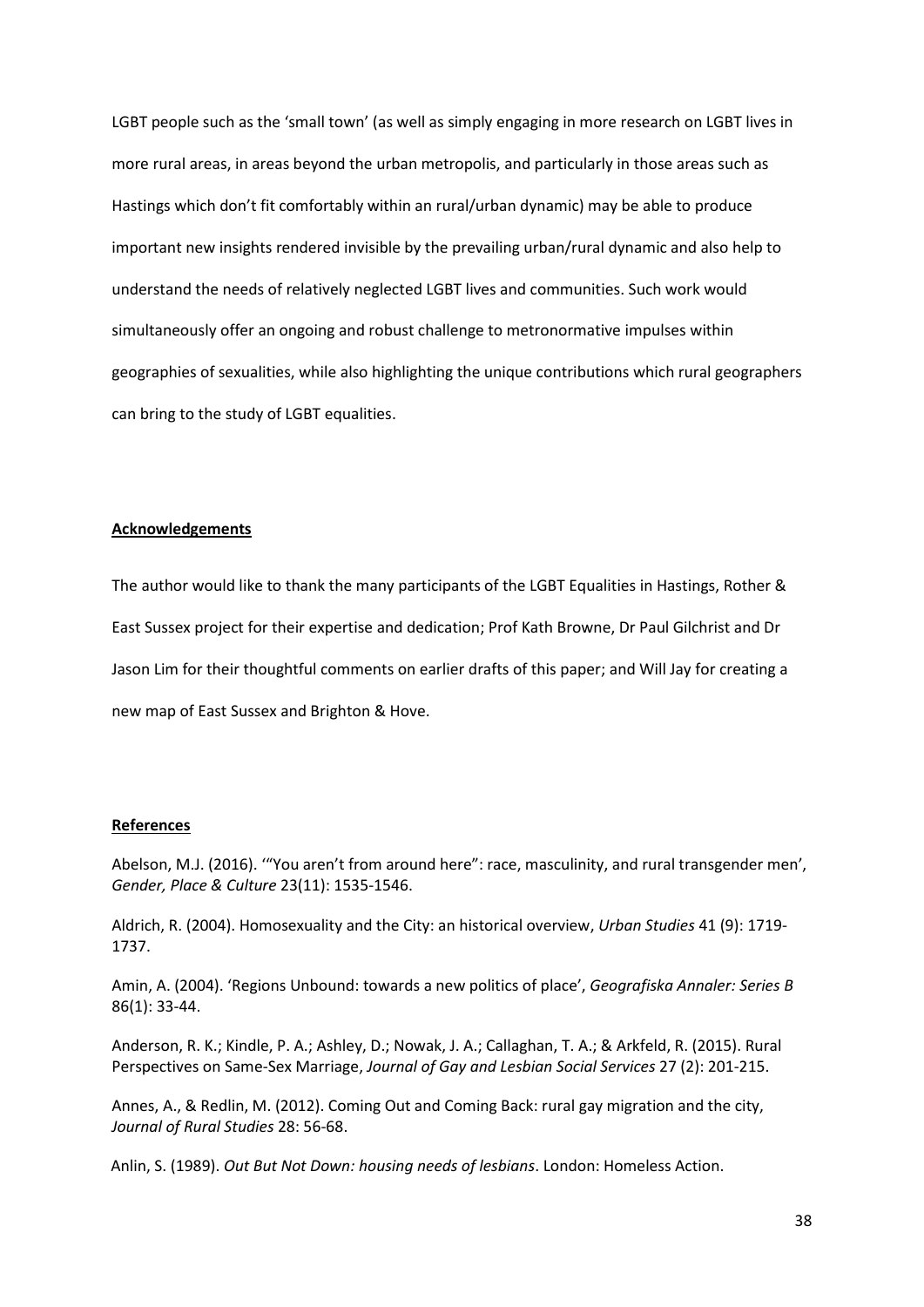LGBT people such as the 'small town' (as well as simply engaging in more research on LGBT lives in more rural areas, in areas beyond the urban metropolis, and particularly in those areas such as Hastings which don't fit comfortably within an rural/urban dynamic) may be able to produce important new insights rendered invisible by the prevailing urban/rural dynamic and also help to understand the needs of relatively neglected LGBT lives and communities. Such work would simultaneously offer an ongoing and robust challenge to metronormative impulses within geographies of sexualities, while also highlighting the unique contributions which rural geographers can bring to the study of LGBT equalities.

#### **Acknowledgements**

The author would like to thank the many participants of the LGBT Equalities in Hastings, Rother & East Sussex project for their expertise and dedication; Prof Kath Browne, Dr Paul Gilchrist and Dr Jason Lim for their thoughtful comments on earlier drafts of this paper; and Will Jay for creating a new map of East Sussex and Brighton & Hove.

#### **References**

Abelson, M.J. (2016). '"You aren't from around here": race, masculinity, and rural transgender men', *Gender, Place & Culture* 23(11): 1535-1546.

Aldrich, R. (2004). Homosexuality and the City: an historical overview, *Urban Studies* 41 (9): 1719- 1737.

Amin, A. (2004). 'Regions Unbound: towards a new politics of place', *Geografiska Annaler: Series B*  86(1): 33-44.

Anderson, R. K.; Kindle, P. A.; Ashley, D.; Nowak, J. A.; Callaghan, T. A.; & Arkfeld, R. (2015). Rural Perspectives on Same-Sex Marriage, *Journal of Gay and Lesbian Social Services* 27 (2): 201-215.

Annes, A., & Redlin, M. (2012). Coming Out and Coming Back: rural gay migration and the city, *Journal of Rural Studies* 28: 56-68.

Anlin, S. (1989). *Out But Not Down: housing needs of lesbians*. London: Homeless Action.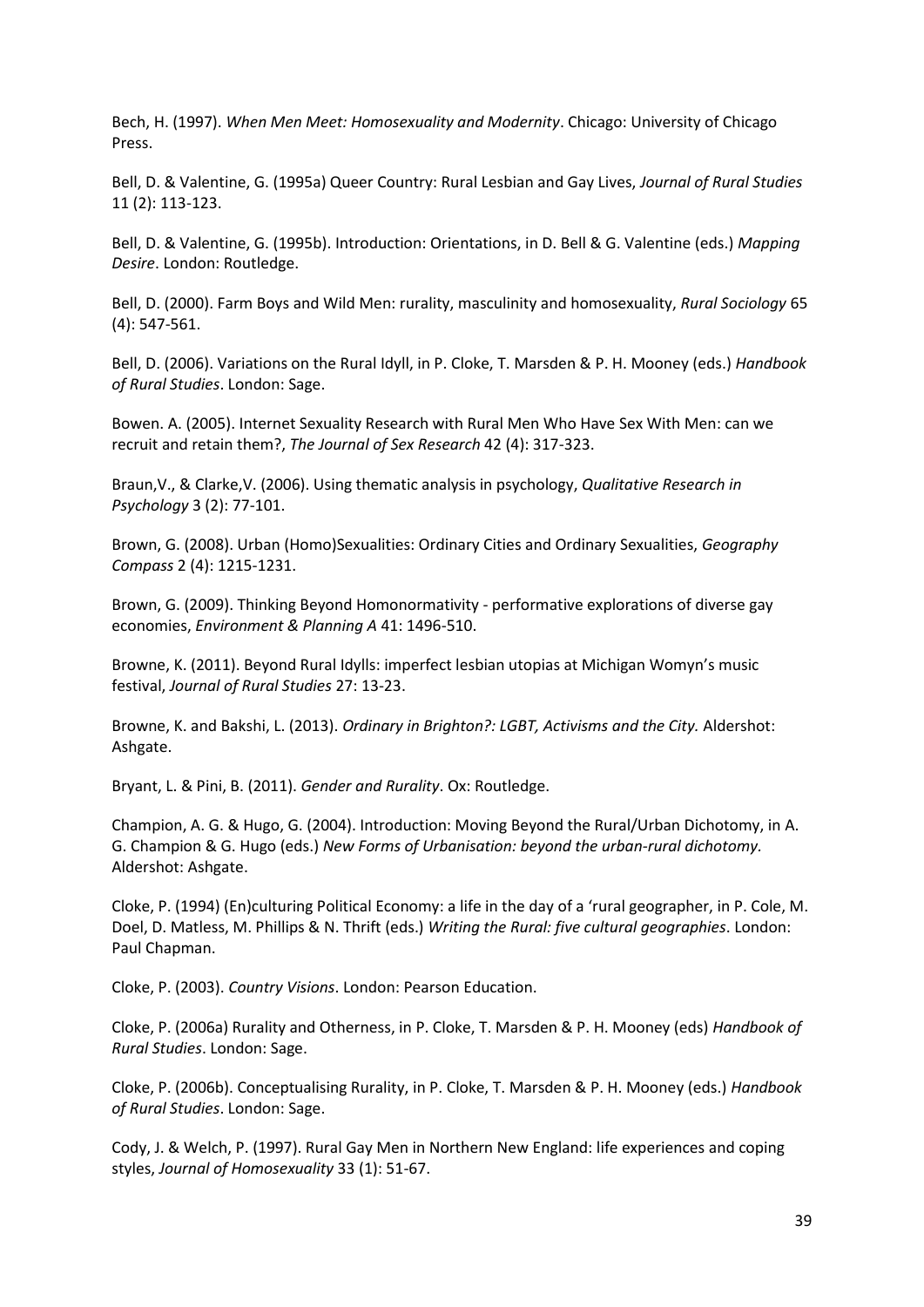Bech, H. (1997). *When Men Meet: Homosexuality and Modernity*. Chicago: University of Chicago Press.

Bell, D. & Valentine, G. (1995a) Queer Country: Rural Lesbian and Gay Lives, *Journal of Rural Studies* 11 (2): 113-123.

Bell, D. & Valentine, G. (1995b). Introduction: Orientations, in D. Bell & G. Valentine (eds.) *Mapping Desire*. London: Routledge.

Bell, D. (2000). Farm Boys and Wild Men: rurality, masculinity and homosexuality, *Rural Sociology* 65 (4): 547-561.

Bell, D. (2006). Variations on the Rural Idyll, in P. Cloke, T. Marsden & P. H. Mooney (eds.) *Handbook of Rural Studies*. London: Sage.

Bowen. A. (2005). Internet Sexuality Research with Rural Men Who Have Sex With Men: can we recruit and retain them?, *The Journal of Sex Research* 42 (4): 317-323.

Braun,V., & Clarke,V. (2006). Using thematic analysis in psychology, *Qualitative Research in Psychology* 3 (2): 77-101.

Brown, G. (2008). Urban (Homo)Sexualities: Ordinary Cities and Ordinary Sexualities, *Geography Compass* 2 (4): 1215-1231.

Brown, G. (2009). Thinking Beyond Homonormativity - performative explorations of diverse gay economies, *Environment & Planning A* 41: 1496-510.

Browne, K. (2011). Beyond Rural Idylls: imperfect lesbian utopias at Michigan Womyn's music festival, *Journal of Rural Studies* 27: 13-23.

Browne, K. and Bakshi, L. (2013). *Ordinary in Brighton?: LGBT, Activisms and the City.* Aldershot: Ashgate.

Bryant, L. & Pini, B. (2011). *Gender and Rurality*. Ox: Routledge.

Champion, A. G. & Hugo, G. (2004). Introduction: Moving Beyond the Rural/Urban Dichotomy, in A. G. Champion & G. Hugo (eds.) *New Forms of Urbanisation: beyond the urban-rural dichotomy.* Aldershot: Ashgate.

Cloke, P. (1994) (En)culturing Political Economy: a life in the day of a 'rural geographer, in P. Cole, M. Doel, D. Matless, M. Phillips & N. Thrift (eds.) *Writing the Rural: five cultural geographies*. London: Paul Chapman.

Cloke, P. (2003). *Country Visions*. London: Pearson Education.

Cloke, P. (2006a) Rurality and Otherness, in P. Cloke, T. Marsden & P. H. Mooney (eds) *Handbook of Rural Studies*. London: Sage.

Cloke, P. (2006b). Conceptualising Rurality, in P. Cloke, T. Marsden & P. H. Mooney (eds.) *Handbook of Rural Studies*. London: Sage.

Cody, J. & Welch, P. (1997). Rural Gay Men in Northern New England: life experiences and coping styles, *Journal of Homosexuality* 33 (1): 51-67.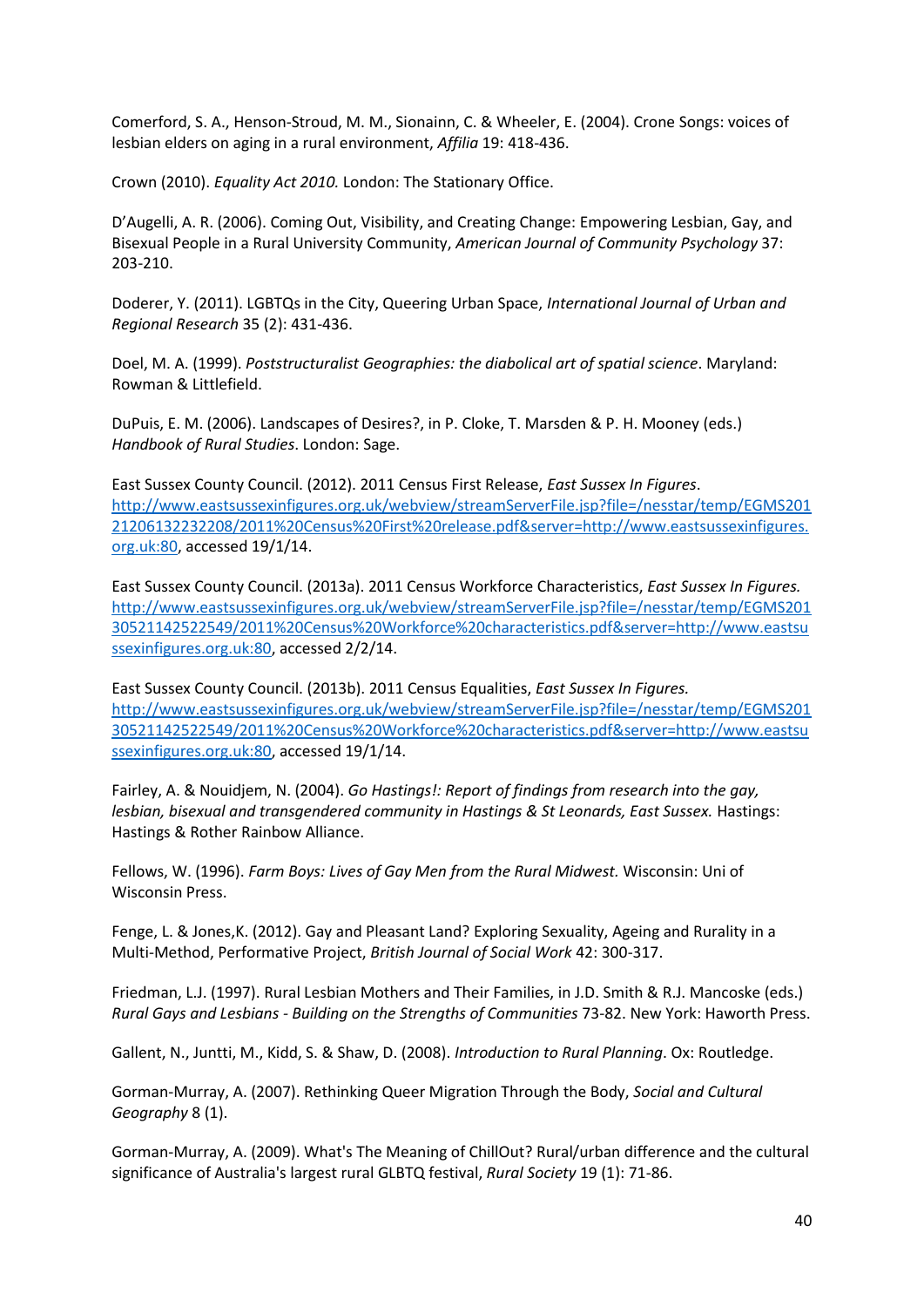Comerford, S. A., Henson-Stroud, M. M., Sionainn, C. & Wheeler, E. (2004). Crone Songs: voices of lesbian elders on aging in a rural environment, *Affilia* 19: 418-436.

Crown (2010). *Equality Act 2010.* London: The Stationary Office.

D'Augelli, A. R. (2006). Coming Out, Visibility, and Creating Change: Empowering Lesbian, Gay, and Bisexual People in a Rural University Community, *American Journal of Community Psychology* 37: 203-210.

Doderer, Y. (2011). LGBTQs in the City, Queering Urban Space, *International Journal of Urban and Regional Research* 35 (2): 431-436.

Doel, M. A. (1999). *Poststructuralist Geographies: the diabolical art of spatial science*. Maryland: Rowman & Littlefield.

DuPuis, E. M. (2006). Landscapes of Desires?, in P. Cloke, T. Marsden & P. H. Mooney (eds.) *Handbook of Rural Studies*. London: Sage.

East Sussex County Council. (2012). 2011 Census First Release, *East Sussex In Figures*. [http://www.eastsussexinfigures.org.uk/webview/streamServerFile.jsp?file=/nesstar/temp/EGMS201](http://www.eastsussexinfigures.org.uk/webview/streamServerFile.jsp?file=/nesstar/temp/EGMS20121206132232208/2011%20Census%20First%20release.pdf&server=http://www.eastsussexinfigures.org.uk:80) [21206132232208/2011%20Census%20First%20release.pdf&server=http://www.eastsussexinfigures.](http://www.eastsussexinfigures.org.uk/webview/streamServerFile.jsp?file=/nesstar/temp/EGMS20121206132232208/2011%20Census%20First%20release.pdf&server=http://www.eastsussexinfigures.org.uk:80) [org.uk:80,](http://www.eastsussexinfigures.org.uk/webview/streamServerFile.jsp?file=/nesstar/temp/EGMS20121206132232208/2011%20Census%20First%20release.pdf&server=http://www.eastsussexinfigures.org.uk:80) accessed 19/1/14.

East Sussex County Council. (2013a). 2011 Census Workforce Characteristics, *East Sussex In Figures.*  [http://www.eastsussexinfigures.org.uk/webview/streamServerFile.jsp?file=/nesstar/temp/EGMS201](http://www.eastsussexinfigures.org.uk/webview/streamServerFile.jsp?file=/nesstar/temp/EGMS20130521142522549/2011%20Census%20Workforce%20characteristics.pdf&server=http://www.eastsussexinfigures.org.uk:80) [30521142522549/2011%20Census%20Workforce%20characteristics.pdf&server=http://www.eastsu](http://www.eastsussexinfigures.org.uk/webview/streamServerFile.jsp?file=/nesstar/temp/EGMS20130521142522549/2011%20Census%20Workforce%20characteristics.pdf&server=http://www.eastsussexinfigures.org.uk:80) [ssexinfigures.org.uk:80,](http://www.eastsussexinfigures.org.uk/webview/streamServerFile.jsp?file=/nesstar/temp/EGMS20130521142522549/2011%20Census%20Workforce%20characteristics.pdf&server=http://www.eastsussexinfigures.org.uk:80) accessed 2/2/14.

East Sussex County Council. (2013b). 2011 Census Equalities, *East Sussex In Figures.*  [http://www.eastsussexinfigures.org.uk/webview/streamServerFile.jsp?file=/nesstar/temp/EGMS201](http://www.eastsussexinfigures.org.uk/webview/streamServerFile.jsp?file=/nesstar/temp/EGMS20130521142522549/2011%20Census%20Workforce%20characteristics.pdf&server=http://www.eastsussexinfigures.org.uk:80) [30521142522549/2011%20Census%20Workforce%20characteristics.pdf&server=http://www.eastsu](http://www.eastsussexinfigures.org.uk/webview/streamServerFile.jsp?file=/nesstar/temp/EGMS20130521142522549/2011%20Census%20Workforce%20characteristics.pdf&server=http://www.eastsussexinfigures.org.uk:80) [ssexinfigures.org.uk:80,](http://www.eastsussexinfigures.org.uk/webview/streamServerFile.jsp?file=/nesstar/temp/EGMS20130521142522549/2011%20Census%20Workforce%20characteristics.pdf&server=http://www.eastsussexinfigures.org.uk:80) accessed 19/1/14.

Fairley, A. & Nouidjem, N. (2004). *Go Hastings!: Report of findings from research into the gay, lesbian, bisexual and transgendered community in Hastings & St Leonards, East Sussex.* Hastings: Hastings & Rother Rainbow Alliance.

Fellows, W. (1996). *Farm Boys: Lives of Gay Men from the Rural Midwest.* Wisconsin: Uni of Wisconsin Press.

Fenge, L. & Jones,K. (2012). Gay and Pleasant Land? Exploring Sexuality, Ageing and Rurality in a Multi-Method, Performative Project, *British Journal of Social Work* 42: 300-317.

Friedman, L.J. (1997). Rural Lesbian Mothers and Their Families, in J.D. Smith & R.J. Mancoske (eds.) *Rural Gays and Lesbians - Building on the Strengths of Communities* 73-82. New York: Haworth Press.

Gallent, N., Juntti, M., Kidd, S. & Shaw, D. (2008). *Introduction to Rural Planning*. Ox: Routledge.

Gorman-Murray, A. (2007). Rethinking Queer Migration Through the Body, *Social and Cultural Geography* 8 (1).

Gorman-Murray, A. (2009). What's The Meaning of ChillOut? Rural/urban difference and the cultural significance of Australia's largest rural GLBTQ festival, *Rural Society* 19 (1): 71-86.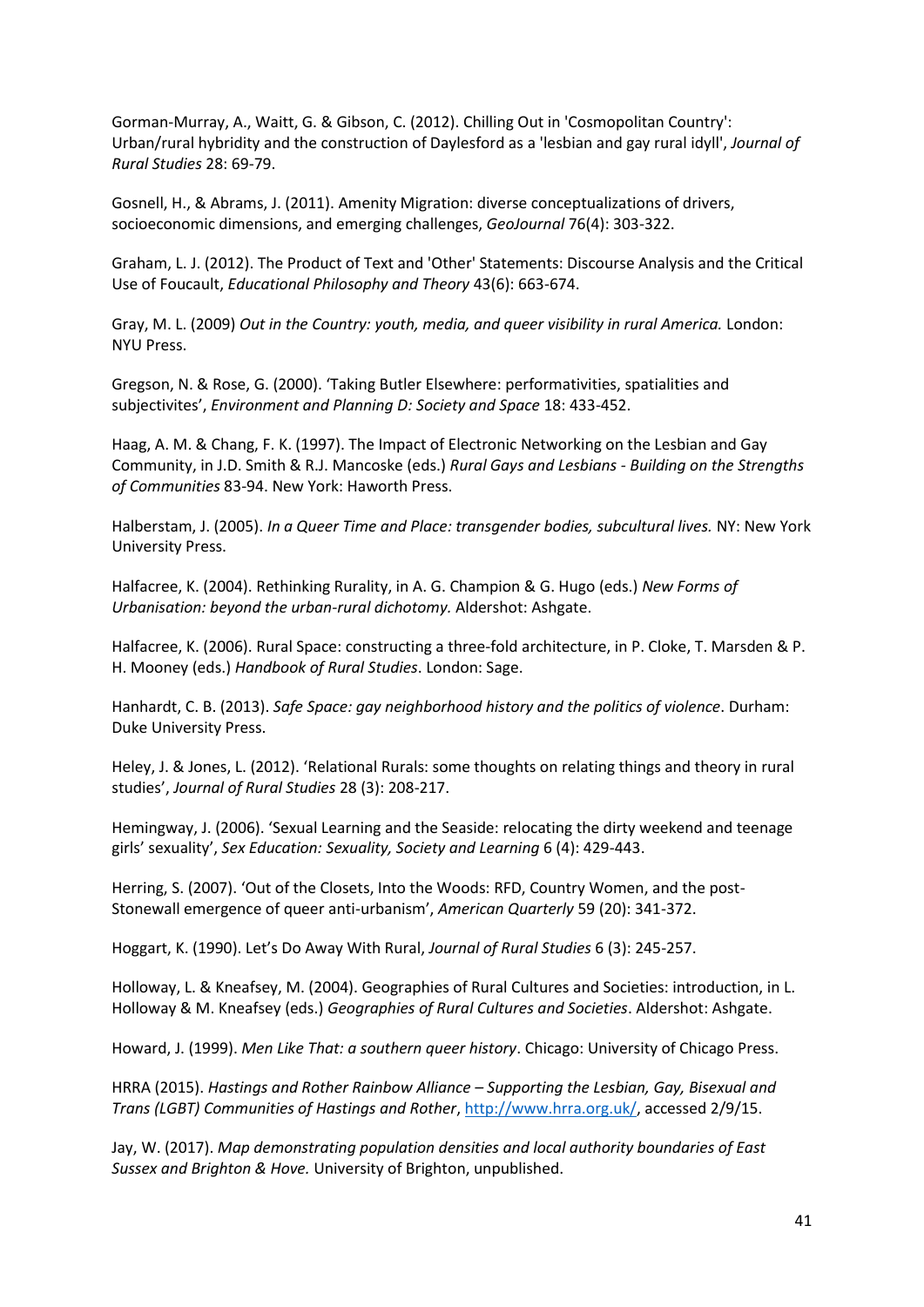Gorman-Murray, A., Waitt, G. & Gibson, C. (2012). Chilling Out in 'Cosmopolitan Country': Urban/rural hybridity and the construction of Daylesford as a 'lesbian and gay rural idyll', *Journal of Rural Studies* 28: 69-79.

Gosnell, H., & Abrams, J. (2011). Amenity Migration: diverse conceptualizations of drivers, socioeconomic dimensions, and emerging challenges, *GeoJournal* 76(4): 303-322.

Graham, L. J. (2012). The Product of Text and 'Other' Statements: Discourse Analysis and the Critical Use of Foucault, *Educational Philosophy and Theory* 43(6): 663-674.

Gray, M. L. (2009) *Out in the Country: youth, media, and queer visibility in rural America.* London: NYU Press.

Gregson, N. & Rose, G. (2000). 'Taking Butler Elsewhere: performativities, spatialities and subjectivites', *Environment and Planning D: Society and Space* 18: 433-452.

Haag, A. M. & Chang, F. K. (1997). The Impact of Electronic Networking on the Lesbian and Gay Community, in J.D. Smith & R.J. Mancoske (eds.) *Rural Gays and Lesbians - Building on the Strengths of Communities* 83-94. New York: Haworth Press.

Halberstam, J. (2005). *In a Queer Time and Place: transgender bodies, subcultural lives.* NY: New York University Press.

Halfacree, K. (2004). Rethinking Rurality, in A. G. Champion & G. Hugo (eds.) *New Forms of Urbanisation: beyond the urban-rural dichotomy.* Aldershot: Ashgate.

Halfacree, K. (2006). Rural Space: constructing a three-fold architecture, in P. Cloke, T. Marsden & P. H. Mooney (eds.) *Handbook of Rural Studies*. London: Sage.

Hanhardt, C. B. (2013). *Safe Space: gay neighborhood history and the politics of violence*. Durham: Duke University Press.

Heley, J. & Jones, L. (2012). 'Relational Rurals: some thoughts on relating things and theory in rural studies', *Journal of Rural Studies* 28 (3): 208-217.

Hemingway, J. (2006). 'Sexual Learning and the Seaside: relocating the dirty weekend and teenage girls' sexuality', *Sex Education: Sexuality, Society and Learning* 6 (4): 429-443.

Herring, S. (2007). 'Out of the Closets, Into the Woods: RFD, Country Women, and the post-Stonewall emergence of queer anti-urbanism', *American Quarterly* 59 (20): 341-372.

Hoggart, K. (1990). Let's Do Away With Rural, *Journal of Rural Studies* 6 (3): 245-257.

Holloway, L. & Kneafsey, M. (2004). Geographies of Rural Cultures and Societies: introduction, in L. Holloway & M. Kneafsey (eds.) *Geographies of Rural Cultures and Societies*. Aldershot: Ashgate.

Howard, J. (1999). *Men Like That: a southern queer history*. Chicago: University of Chicago Press.

HRRA (2015). *Hastings and Rother Rainbow Alliance – Supporting the Lesbian, Gay, Bisexual and Trans (LGBT) Communities of Hastings and Rother*, [http://www.hrra.org.uk/,](http://www.hrra.org.uk/) accessed 2/9/15.

Jay, W. (2017). *Map demonstrating population densities and local authority boundaries of East Sussex and Brighton & Hove.* University of Brighton, unpublished.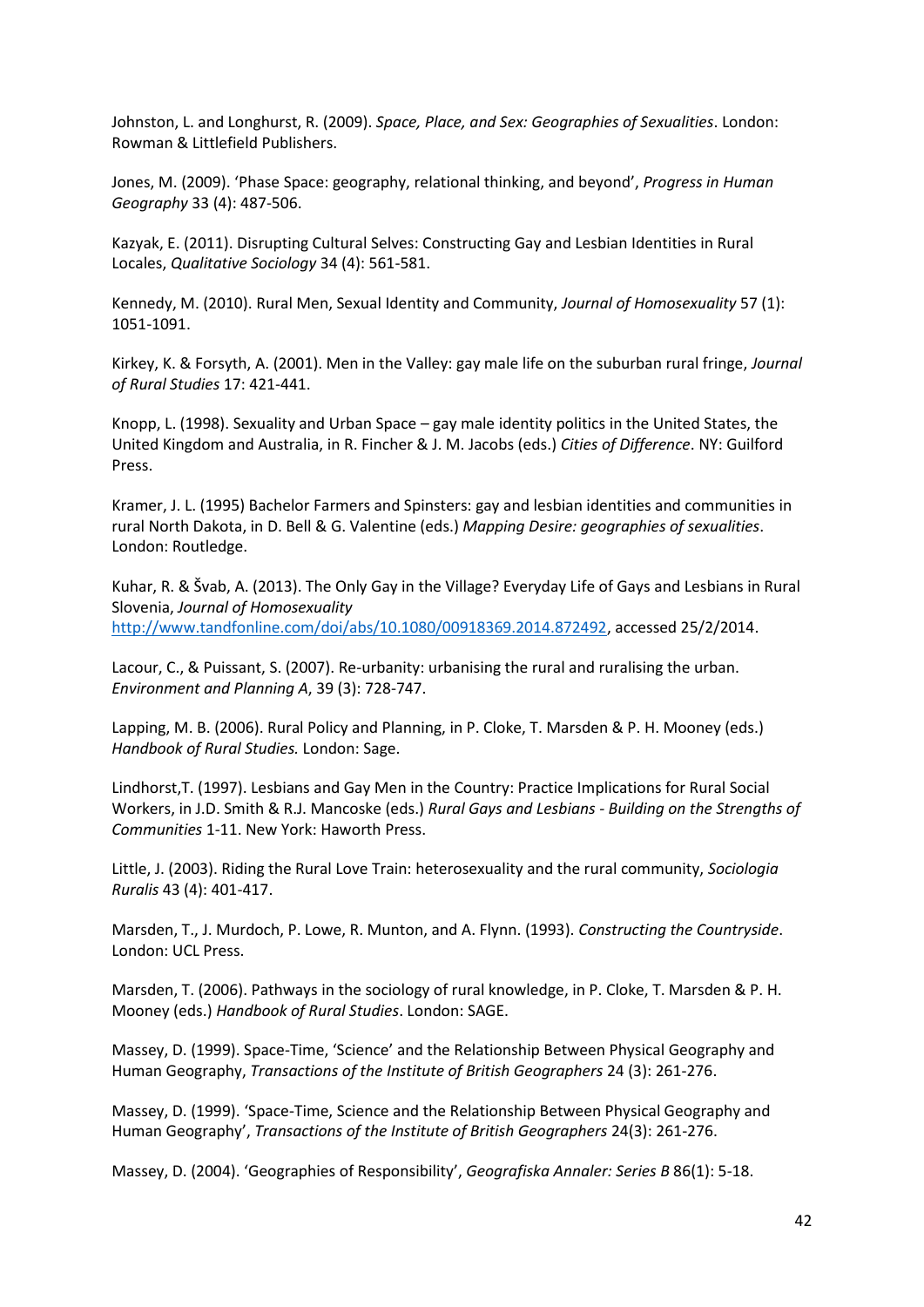Johnston, L. and Longhurst, R. (2009). *Space, Place, and Sex: Geographies of Sexualities*. London: Rowman & Littlefield Publishers.

Jones, M. (2009). 'Phase Space: geography, relational thinking, and beyond', *Progress in Human Geography* 33 (4): 487-506.

Kazyak, E. (2011). Disrupting Cultural Selves: Constructing Gay and Lesbian Identities in Rural Locales, *Qualitative Sociology* 34 (4): 561-581.

Kennedy, M. (2010). Rural Men, Sexual Identity and Community, *Journal of Homosexuality* 57 (1): 1051-1091.

Kirkey, K. & Forsyth, A. (2001). Men in the Valley: gay male life on the suburban rural fringe, *Journal of Rural Studies* 17: 421-441.

Knopp, L. (1998). Sexuality and Urban Space – gay male identity politics in the United States, the United Kingdom and Australia, in R. Fincher & J. M. Jacobs (eds.) *Cities of Difference*. NY: Guilford Press.

Kramer, J. L. (1995) Bachelor Farmers and Spinsters: gay and lesbian identities and communities in rural North Dakota, in D. Bell & G. Valentine (eds.) *Mapping Desire: geographies of sexualities*. London: Routledge.

Kuhar, R. & Švab, A. (2013). The Only Gay in the Village? Everyday Life of Gays and Lesbians in Rural Slovenia, *Journal of Homosexuality*  [http://www.tandfonline.com/doi/abs/10.1080/00918369.2014.872492,](http://www.tandfonline.com/doi/abs/10.1080/00918369.2014.872492) accessed 25/2/2014.

Lacour, C., & Puissant, S. (2007). Re-urbanity: urbanising the rural and ruralising the urban. *Environment and Planning A*, 39 (3): 728-747.

Lapping, M. B. (2006). Rural Policy and Planning, in P. Cloke, T. Marsden & P. H. Mooney (eds.) *Handbook of Rural Studies.* London: Sage.

Lindhorst,T. (1997). Lesbians and Gay Men in the Country: Practice Implications for Rural Social Workers, in J.D. Smith & R.J. Mancoske (eds.) *Rural Gays and Lesbians - Building on the Strengths of Communities* 1-11. New York: Haworth Press.

Little, J. (2003). Riding the Rural Love Train: heterosexuality and the rural community, *Sociologia Ruralis* 43 (4): 401-417.

Marsden, T., J. Murdoch, P. Lowe, R. Munton, and A. Flynn. (1993). *Constructing the Countryside*. London: UCL Press.

Marsden, T. (2006). Pathways in the sociology of rural knowledge, in P. Cloke, T. Marsden & P. H. Mooney (eds.) *Handbook of Rural Studies*. London: SAGE.

Massey, D. (1999). Space-Time, 'Science' and the Relationship Between Physical Geography and Human Geography, *Transactions of the Institute of British Geographers* 24 (3): 261-276.

Massey, D. (1999). 'Space‐Time, Science and the Relationship Between Physical Geography and Human Geography', *Transactions of the Institute of British Geographers* 24(3): 261-276.

Massey, D. (2004). 'Geographies of Responsibility', *Geografiska Annaler: Series B* 86(1): 5-18.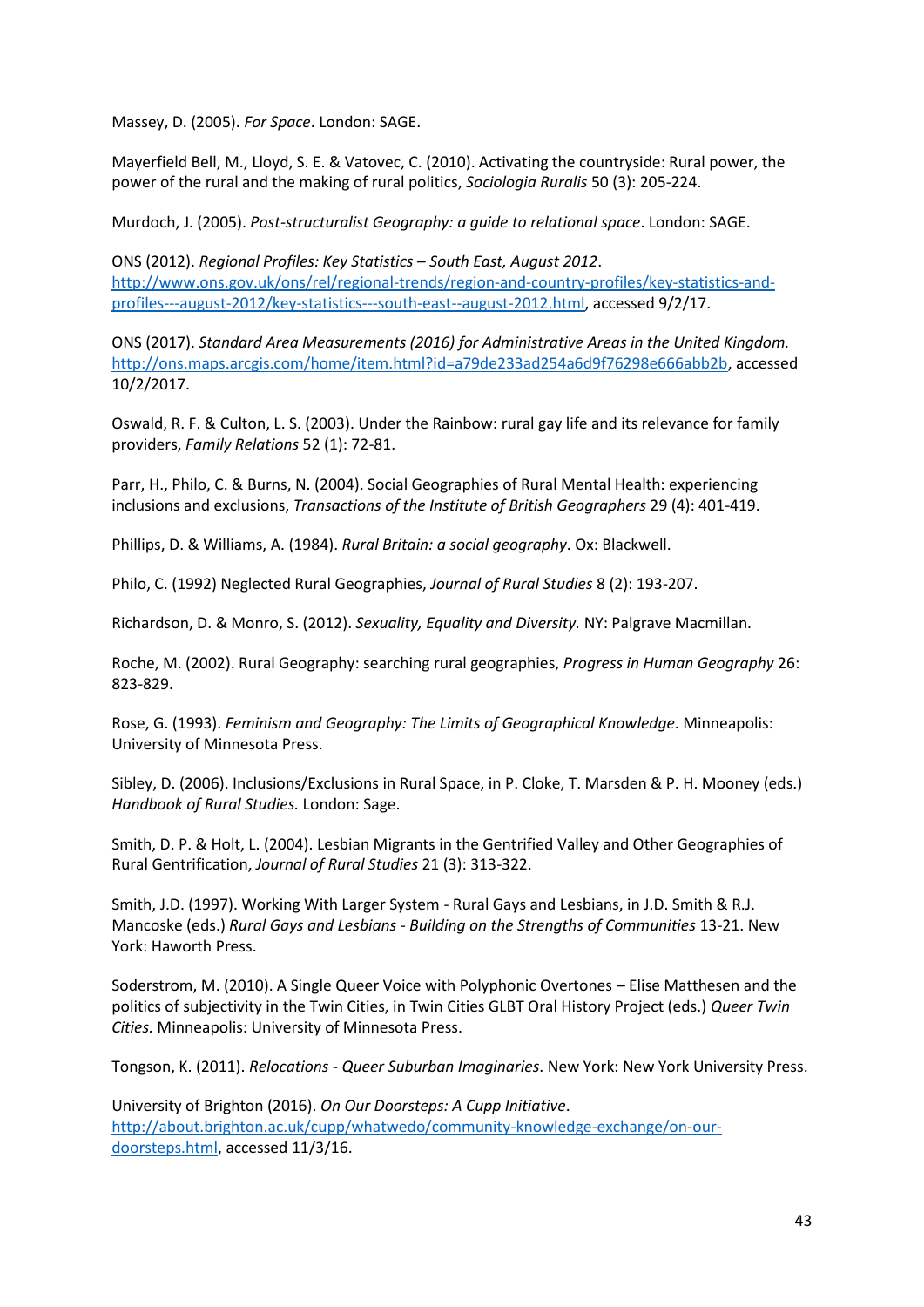Massey, D. (2005). *For Space*. London: SAGE.

Mayerfield Bell, M., Lloyd, S. E. & Vatovec, C. (2010). Activating the countryside: Rural power, the power of the rural and the making of rural politics, *Sociologia Ruralis* 50 (3): 205-224.

Murdoch, J. (2005). *Post-structuralist Geography: a guide to relational space*. London: SAGE.

ONS (2012). *Regional Profiles: Key Statistics – South East, August 2012*. [http://www.ons.gov.uk/ons/rel/regional-trends/region-and-country-profiles/key-statistics-and](http://www.ons.gov.uk/ons/rel/regional-trends/region-and-country-profiles/key-statistics-and-profiles---august-2012/key-statistics---south-east--august-2012.html)[profiles---august-2012/key-statistics---south-east--august-2012.html,](http://www.ons.gov.uk/ons/rel/regional-trends/region-and-country-profiles/key-statistics-and-profiles---august-2012/key-statistics---south-east--august-2012.html) accessed 9/2/17.

ONS (2017). *Standard Area Measurements (2016) for Administrative Areas in the United Kingdom.*  [http://ons.maps.arcgis.com/home/item.html?id=a79de233ad254a6d9f76298e666abb2b,](http://ons.maps.arcgis.com/home/item.html?id=a79de233ad254a6d9f76298e666abb2b) accessed 10/2/2017.

Oswald, R. F. & Culton, L. S. (2003). Under the Rainbow: rural gay life and its relevance for family providers, *Family Relations* 52 (1): 72-81.

Parr, H., Philo, C. & Burns, N. (2004). Social Geographies of Rural Mental Health: experiencing inclusions and exclusions, *Transactions of the Institute of British Geographers* 29 (4): 401-419.

Phillips, D. & Williams, A. (1984). *Rural Britain: a social geography*. Ox: Blackwell.

Philo, C. (1992) Neglected Rural Geographies, *Journal of Rural Studies* 8 (2): 193-207.

Richardson, D. & Monro, S. (2012). *Sexuality, Equality and Diversity.* NY: Palgrave Macmillan.

Roche, M. (2002). Rural Geography: searching rural geographies, *Progress in Human Geography* 26: 823-829.

Rose, G. (1993). *Feminism and Geography: The Limits of Geographical Knowledge*. Minneapolis: University of Minnesota Press.

Sibley, D. (2006). Inclusions/Exclusions in Rural Space, in P. Cloke, T. Marsden & P. H. Mooney (eds.) *Handbook of Rural Studies.* London: Sage.

Smith, D. P. & Holt, L. (2004). Lesbian Migrants in the Gentrified Valley and Other Geographies of Rural Gentrification, *Journal of Rural Studies* 21 (3): 313-322.

Smith, J.D. (1997). Working With Larger System - Rural Gays and Lesbians, in J.D. Smith & R.J. Mancoske (eds.) *Rural Gays and Lesbians - Building on the Strengths of Communities* 13-21. New York: Haworth Press.

Soderstrom, M. (2010). A Single Queer Voice with Polyphonic Overtones – Elise Matthesen and the politics of subjectivity in the Twin Cities, in Twin Cities GLBT Oral History Project (eds.) *Queer Twin Cities.* Minneapolis: University of Minnesota Press.

Tongson, K. (2011). *Relocations - Queer Suburban Imaginaries*. New York: New York University Press.

University of Brighton (2016). *On Our Doorsteps: A Cupp Initiative*. [http://about.brighton.ac.uk/cupp/whatwedo/community-knowledge-exchange/on-our](http://about.brighton.ac.uk/cupp/whatwedo/community-knowledge-exchange/on-our-doorsteps.html)[doorsteps.html,](http://about.brighton.ac.uk/cupp/whatwedo/community-knowledge-exchange/on-our-doorsteps.html) accessed 11/3/16.